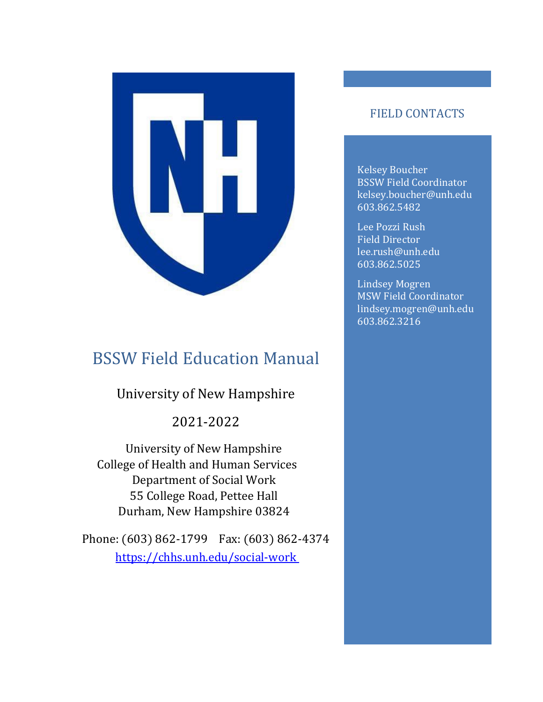

# <span id="page-0-0"></span>BSSW Field Education Manual

### University of New Hampshire

#### 2021-2022

University of New Hampshire College of Health and Human Services Department of Social Work 55 College Road, Pettee Hall Durham, New Hampshire 03824

Phone: (603) 862-1799 Fax: (603) 862-4374 <https://chhs.unh.edu/social-work>

#### FIELD CONTACTS

Kelsey Boucher BSSW Field Coordinator kelsey.boucher@unh.edu 603.862.5482

Lee Pozzi Rush Field Director lee.rush@unh.edu 603.862.5025

Lindsey Mogren MSW Field Coordinator lindsey.mogren@unh.edu 603.862.3216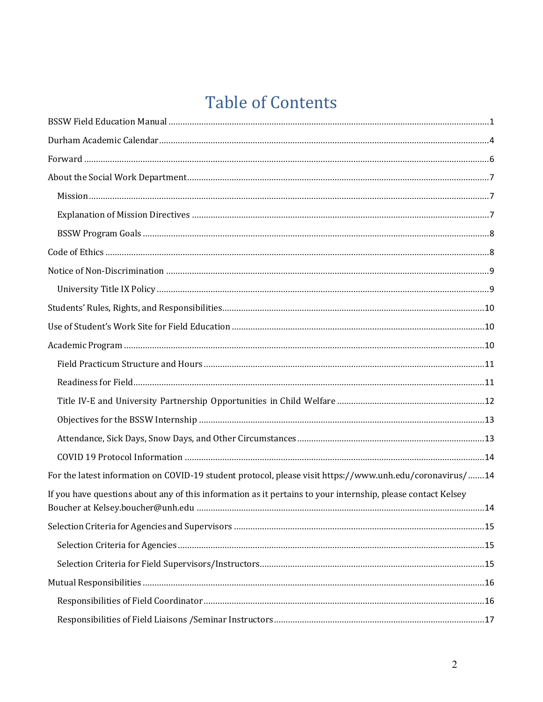# **Table of Contents**

| For the latest information on COVID-19 student protocol, please visit https://www.unh.edu/coronavirus/14     |  |
|--------------------------------------------------------------------------------------------------------------|--|
| If you have questions about any of this information as it pertains to your internship, please contact Kelsey |  |
|                                                                                                              |  |
|                                                                                                              |  |
|                                                                                                              |  |
|                                                                                                              |  |
|                                                                                                              |  |
|                                                                                                              |  |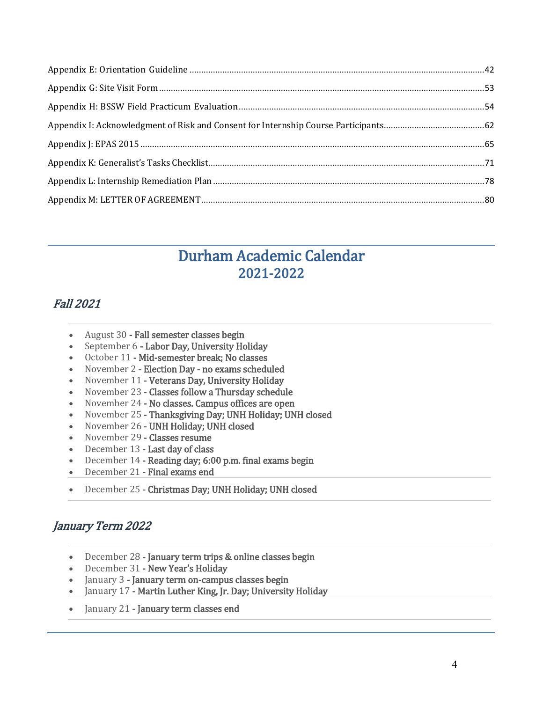# Durham Academic Calendar 2021-2022

#### <span id="page-3-0"></span>Fall 2021

- August 30 Fall semester classes begin<br>• September 6 Labor Day, University Ho
- September 6 Labor Day, University Holiday
- October 11 Mid-semester break; No classes<br>• November 2 Election Dav no exams schedi
- November 2 Election Day no exams scheduled<br>• November 11 Veterans Day Hniversity Holiday
- November 11 Veterans Day, University Holiday<br>• November 23 Classes follow a Thursday schedul
- November 23 Classes follow a Thursday schedule
- November 24 No classes. Campus offices are open<br>• November 25 Thanksgiving Day: UNH Holiday: UN
- November 25 Thanksgiving Day; UNH Holiday; UNH closed<br>• November 26 UNH Holiday: UNH closed
- November 26 UNH Holiday; UNH closed
- November 29  **Classes resume**<br>• December 13  **Last day of class**
- December 13 Last day of class
- December 14 Reading day; 6:00 p.m. final exams begin
- December 21 Final exams end
- December 25 Christmas Day; UNH Holiday; UNH closed

#### January Term 2022

- December 28 January term trips & online classes begin<br>• December 31 New Year's Holiday
- December 31 New Year's Holiday
- January 3 January term on-campus classes begin
- January 17 Martin Luther King, Jr. Day; University Holiday
- January 21 January term classes end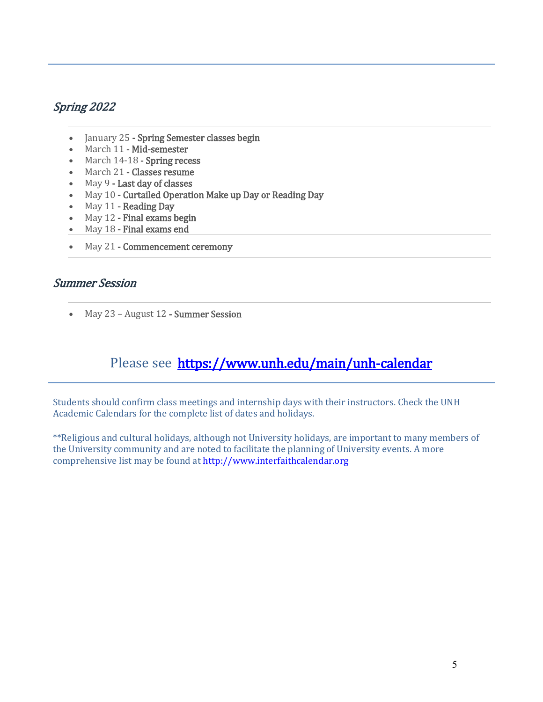#### Spring 2022

- January 25 Spring Semester classes begin
- March 11 Mid-semester
- March 14-18 Spring recess
- March 21 Classes resume<br>• May 9 Last day of classes
- May 9 Last day of classes<br>• May 10 Curtailed Operation
- May 10 Curtailed Operation Make up Day or Reading Day
- May  $11$  Reading Day<br>• May  $12$  Final exams b
- May 12 Final exams begin
- May 18 Final exams end
- May 21 Commencement ceremony

#### Summer Session

• May 23 – August 12 - Summer Session

### Please see <https://www.unh.edu/main/unh-calendar>

Students should confirm class meetings and internship days with their instructors. Check the UNH Academic Calendars for the complete list of dates and holidays.

\*\*Religious and cultural holidays, although not University holidays, are important to many members of the University community and are noted to facilitate the planning of University events. A more comprehensive list may be found at [http://www.interfaithcalendar.org](http://www.interfaithcalendar.org/)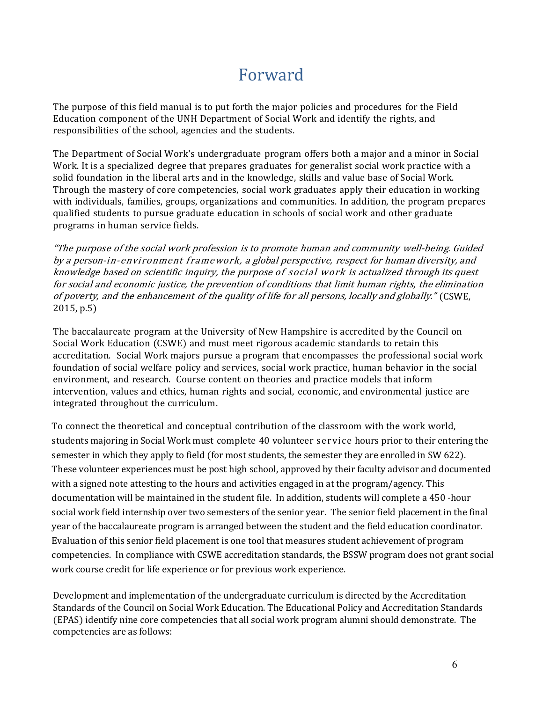# Forward

<span id="page-5-0"></span>The purpose of this field manual is to put forth the major policies and procedures for the Field Education component of the UNH Department of Social Work and identify the rights, and responsibilities of the school, agencies and the students.

The Department of Social Work's undergraduate program offers both a major and a minor in Social Work. It is a specialized degree that prepares graduates for generalist social work practice with a solid foundation in the liberal arts and in the knowledge, skills and value base of Social Work. Through the mastery of core competencies, social work graduates apply their education in working with individuals, families, groups, organizations and communities. In addition, the program prepares qualified students to pursue graduate education in schools of social work and other graduate programs in human service fields.

"The purpose of the social work profession is to promote human and community well-being. Guided by <sup>a</sup> person-in-environment framework, <sup>a</sup> global perspective, respect for human diversity, and knowledge based on scientific inquiry, the purpose of social work is actualized through its quest for social and economic justice, the prevention of conditions that limit human rights, the elimination of poverty, and the enhancement of the quality of life for all persons, locally and globally." (CSWE, 2015, p.5)

The baccalaureate program at the University of New Hampshire is accredited by the Council on Social Work Education (CSWE) and must meet rigorous academic standards to retain this accreditation. Social Work majors pursue a program that encompasses the professional social work foundation of social welfare policy and services, social work practice, human behavior in the social environment, and research. Course content on theories and practice models that inform intervention, values and ethics, human rights and social, economic, and environmental justice are integrated throughout the curriculum.

To connect the theoretical and conceptual contribution of the classroom with the work world, students majoring in Social Work must complete 40 volunteer service hours prior to their entering the semester in which they apply to field (for most students, the semester they are enrolled in SW 622). These volunteer experiences must be post high school, approved by their faculty advisor and documented with a signed note attesting to the hours and activities engaged in at the program/agency. This documentation will be maintained in the student file. In addition, students will complete a 450 -hour social work field internship over two semesters of the senior year. The senior field placement in the final year of the baccalaureate program is arranged between the student and the field education coordinator. Evaluation of this senior field placement is one tool that measures student achievement of program competencies. In compliance with CSWE accreditation standards, the BSSW program does not grant social work course credit for life experience or for previous work experience.

Development and implementation of the undergraduate curriculum is directed by the Accreditation Standards of the Council on Social Work Education. The Educational Policy and Accreditation Standards (EPAS) identify nine core competencies that all social work program alumni should demonstrate. The competencies are as follows: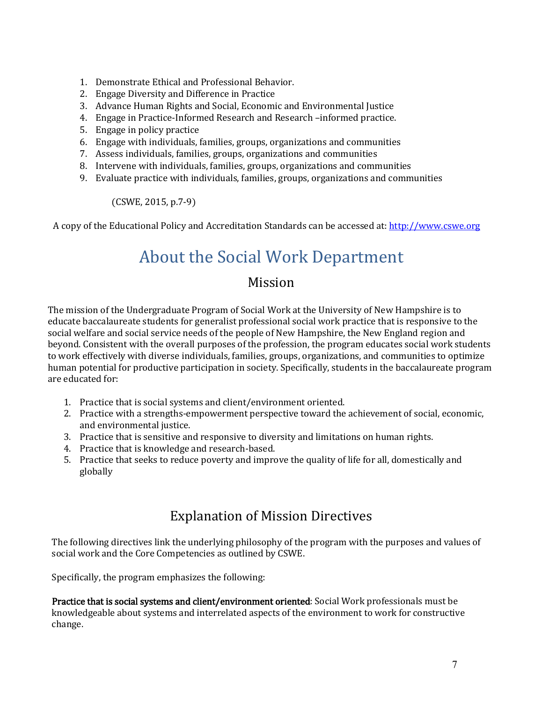- 1. Demonstrate Ethical and Professional Behavior.
- 2. Engage Diversity and Difference in Practice
- 3. Advance Human Rights and Social, Economic and Environmental Justice
- 4. Engage in Practice-Informed Research and Research –informed practice.
- 5. Engage in policy practice
- 6. Engage with individuals, families, groups, organizations and communities
- 7. Assess individuals, families, groups, organizations and communities
- 8. Intervene with individuals, families, groups, organizations and communities
- 9. Evaluate practice with individuals, families, groups, organizations and communities

(CSWE, 2015, p.7-9)

<span id="page-6-0"></span>A copy of the Educational Policy and Accreditation Standards can be accessed at: [http://www.cswe.org](http://www.cswe.org/)

# About the Social Work Department

#### Mission

<span id="page-6-1"></span>The mission of the Undergraduate Program of Social Work at the University of New Hampshire is to educate baccalaureate students for generalist professional social work practice that is responsive to the social welfare and social service needs of the people of New Hampshire, the New England region and beyond. Consistent with the overall purposes of the profession, the program educates social work students to work effectively with diverse individuals, families, groups, organizations, and communities to optimize human potential for productive participation in society. Specifically, students in the baccalaureate program are educated for:

- 1. Practice that is social systems and client/environment oriented.
- 2. Practice with a strengths-empowerment perspective toward the achievement of social, economic, and environmental justice.
- 3. Practice that is sensitive and responsive to diversity and limitations on human rights.
- 4. Practice that is knowledge and research-based.
- 5. Practice that seeks to reduce poverty and improve the quality of life for all, domestically and globally

#### Explanation of Mission Directives

<span id="page-6-2"></span>The following directives link the underlying philosophy of the program with the purposes and values of social work and the Core Competencies as outlined by CSWE.

Specifically, the program emphasizes the following:

Practice that is social systems and client/environment oriented: Social Work professionals must be knowledgeable about systems and interrelated aspects of the environment to work for constructive change.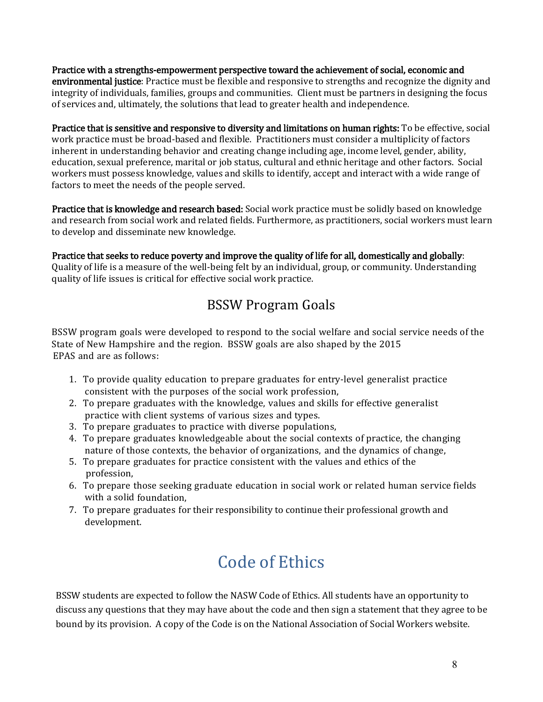Practice with a strengths-empowerment perspective toward the achievement of social, economic and environmental justice: Practice must be flexible and responsive to strengths and recognize the dignity and integrity of individuals, families, groups and communities. Client must be partners in designing the focus of services and, ultimately, the solutions that lead to greater health and independence.

Practice that is sensitive and responsive to diversity and limitations on human rights: To be effective, social work practice must be broad-based and flexible. Practitioners must consider a multiplicity of factors inherent in understanding behavior and creating change including age, income level, gender, ability, education, sexual preference, marital or job status, cultural and ethnic heritage and other factors. Social workers must possess knowledge, values and skills to identify, accept and interact with a wide range of factors to meet the needs of the people served.

Practice that is knowledge and research based: Social work practice must be solidly based on knowledge and research from social work and related fields. Furthermore, as practitioners, social workers must learn to develop and disseminate new knowledge.

Practice that seeks to reduce poverty and improve the quality of life for all, domestically and globally:

Quality of life is a measure of the well-being felt by an individual, group, or community. Understanding quality of life issues is critical for effective social work practice.

## BSSW Program Goals

<span id="page-7-0"></span>BSSW program goals were developed to respond to the social welfare and social service needs of the State of New Hampshire and the region. BSSW goals are also shaped by the 2015 EPAS and are as follows:

- 1. To provide quality education to prepare graduates for entry-level generalist practice consistent with the purposes of the social work profession,
- 2. To prepare graduates with the knowledge, values and skills for effective generalist practice with client systems of various sizes and types.
- 3. To prepare graduates to practice with diverse populations,
- 4. To prepare graduates knowledgeable about the social contexts of practice, the changing nature of those contexts, the behavior of organizations, and the dynamics of change,
- 5. To prepare graduates for practice consistent with the values and ethics of the profession,
- 6. To prepare those seeking graduate education in social work or related human service fields with a solid foundation,
- <span id="page-7-1"></span>7. To prepare graduates for their responsibility to continue their professional growth and development.

# Code of Ethics

BSSW students are expected to follow the NASW Code of Ethics. All students have an opportunity to discuss any questions that they may have about the code and then sign a statement that they agree to be bound by its provision. A copy of the Code is on the National Association of Social Workers website.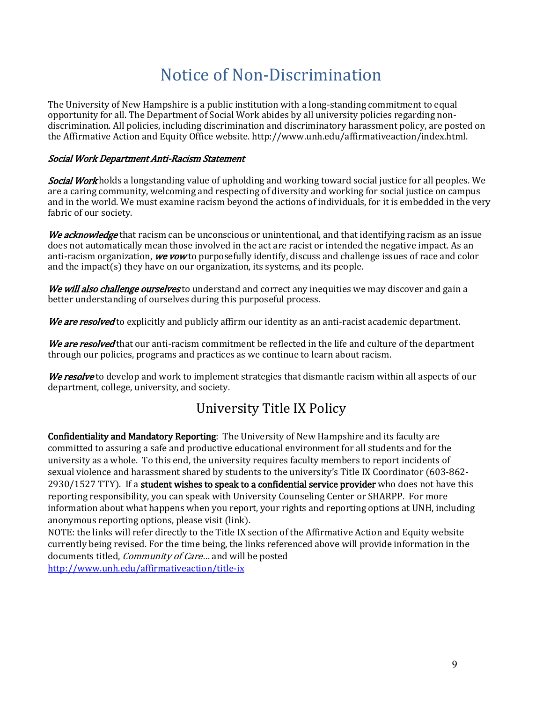# Notice of Non-Discrimination

<span id="page-8-0"></span>The University of New Hampshire is a public institution with a long-standing commitment to equal opportunity for all. The Department of Social Work abides by all university policies regarding nondiscrimination. All policies, including discrimination and discriminatory harassment policy, are posted on the Affirmative Action and Equity Office website. http://www.unh.edu/affirmativeaction/index.html.

#### Social Work Department Anti-Racism Statement

Social Work holds a longstanding value of upholding and working toward social justice for all peoples. We are a caring community, welcoming and respecting of diversity and working for social justice on campus and in the world. We must examine racism beyond the actions of individuals, for it is embedded in the very fabric of our society.

We acknowledge that racism can be unconscious or unintentional, and that identifying racism as an issue does not automatically mean those involved in the act are racist or intended the negative impact. As an anti-racism organization, we vow to purposefully identify, discuss and challenge issues of race and color and the impact(s) they have on our organization, its systems, and its people.

We will also challenge ourselves to understand and correct any inequities we may discover and gain a better understanding of ourselves during this purposeful process.

We are resolved to explicitly and publicly affirm our identity as an anti-racist academic department.

We are resolved that our anti-racism commitment be reflected in the life and culture of the department through our policies, programs and practices as we continue to learn about racism.

<span id="page-8-1"></span>We resolve to develop and work to implement strategies that dismantle racism within all aspects of our department, college, university, and society.

### University Title IX Policy

Confidentiality and Mandatory Reporting: The University of New Hampshire and its faculty are committed to assuring a safe and productive educational environment for all students and for the university as a whole. To this end, the university requires faculty members to report incidents of sexual violence and harassment shared by students to the university's Title IX Coordinator (603-862- 2930/1527 TTY). If a student wishes to speak to a confidential service provider who does not have this reporting responsibility, you can speak with University Counseling Center or SHARPP. For more information about what happens when you report, your rights and reporting options at UNH, including anonymous reporting options, please visit (link).

<span id="page-8-2"></span>NOTE: the links will refer directly to the Title IX section of the Affirmative Action and Equity website currently being revised. For the time being, the links referenced above will provide information in the documents titled, *Community of Care...* and will be posted <http://www.unh.edu/affirmativeaction/title-ix>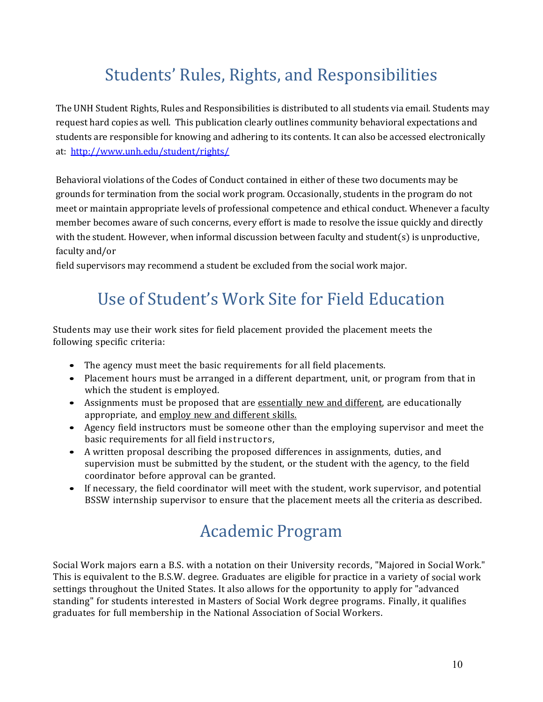# Students' Rules, Rights, and Responsibilities

The UNH Student Rights, Rules and Responsibilities is distributed to all students via email. Students may request hard copies as well. This publication clearly outlines community behavioral expectations and students are responsible for knowing and adhering to its contents. It can also be accessed electronically at: <http://www.unh.edu/student/rights/>

Behavioral violations of the Codes of Conduct contained in either of these two documents may be grounds for termination from the social work program. Occasionally, students in the program do not meet or maintain appropriate levels of professional competence and ethical conduct. Whenever a faculty member becomes aware of such concerns, every effort is made to resolve the issue quickly and directly with the student. However, when informal discussion between faculty and student(s) is unproductive, faculty and/or

<span id="page-9-0"></span>field supervisors may recommend a student be excluded from the social work major.

# Use of Student's Work Site for Field Education

Students may use their work sites for field placement provided the placement meets the following specific criteria:

- The agency must meet the basic requirements for all field placements.
- Placement hours must be arranged in a different department, unit, or program from that in which the student is employed.
- Assignments must be proposed that are essentially new and different, are educationally appropriate, and employ new and different skills.
- Agency field instructors must be someone other than the employing supervisor and meet the basic requirements for all field instructors,
- A written proposal describing the proposed differences in assignments, duties, and supervision must be submitted by the student, or the student with the agency, to the field coordinator before approval can be granted.
- <span id="page-9-1"></span>• If necessary, the field coordinator will meet with the student, work supervisor, and potential BSSW internship supervisor to ensure that the placement meets all the criteria as described.

# Academic Program

Social Work majors earn a B.S. with a notation on their University records, "Majored in Social Work." This is equivalent to the B.S.W. degree. Graduates are eligible for practice in a variety of social work settings throughout the United States. It also allows for the opportunity to apply for "advanced standing" for students interested in Masters of Social Work degree programs. Finally, it qualifies graduates for full membership in the National Association of Social Workers.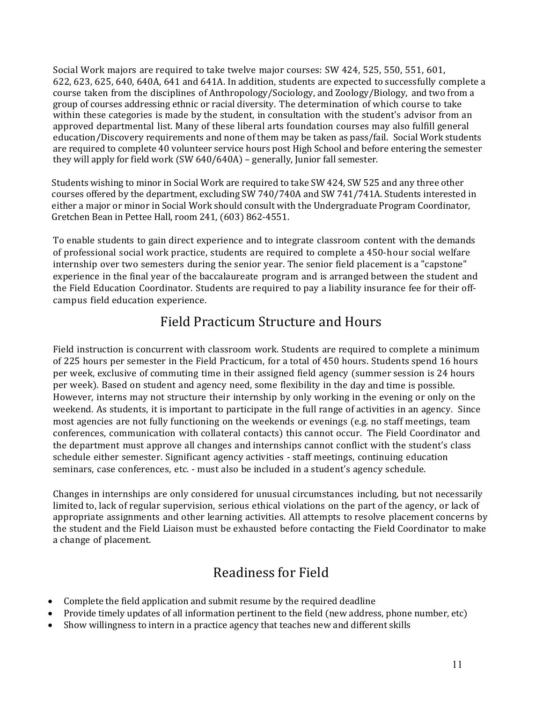Social Work majors are required to take twelve major courses: SW 424, 525, 550, 551, 601, 622, 623, 625, 640, 640A, 641 and 641A. In addition, students are expected to successfully complete a course taken from the disciplines of Anthropology/Sociology, and Zoology/Biology, and two from a group of courses addressing ethnic or racial diversity. The determination of which course to take within these categories is made by the student, in consultation with the student's advisor from an approved departmental list. Many of these liberal arts foundation courses may also fulfill general education/Discovery requirements and none of them may be taken as pass/fail. Social Work students are required to complete 40 volunteer service hours post High School and before entering the semester they will apply for field work (SW 640/640A) – generally, Junior fall semester.

Students wishing to minor in Social Work are required to take SW 424, SW 525 and any three other courses offered by the department, excluding SW 740/740A and SW 741/741A. Students interested in either a major or minor in Social Work should consult with the Undergraduate Program Coordinator, Gretchen Bean in Pettee Hall, room 241, (603) 862-4551.

To enable students to gain direct experience and to integrate classroom content with the demands of professional social work practice, students are required to complete a 450-hour social welfare internship over two semesters during the senior year. The senior field placement is a "capstone" experience in the final year of the baccalaureate program and is arranged between the student and the Field Education Coordinator. Students are required to pay a liability insurance fee for their offcampus field education experience.

#### Field Practicum Structure and Hours

<span id="page-10-0"></span>Field instruction is concurrent with classroom work. Students are required to complete a minimum of 225 hours per semester in the Field Practicum, for a total of 450 hours. Students spend 16 hours per week, exclusive of commuting time in their assigned field agency (summer session is 24 hours per week). Based on student and agency need, some flexibility in the day and time is possible. However, interns may not structure their internship by only working in the evening or only on the weekend. As students, it is important to participate in the full range of activities in an agency. Since most agencies are not fully functioning on the weekends or evenings (e.g. no staff meetings, team conferences, communication with collateral contacts) this cannot occur. The Field Coordinator and the department must approve all changes and internships cannot conflict with the student's class schedule either semester. Significant agency activities - staff meetings, continuing education seminars, case conferences, etc. - must also be included in a student's agency schedule.

Changes in internships are only considered for unusual circumstances including, but not necessarily limited to, lack of regular supervision, serious ethical violations on the part of the agency, or lack of appropriate assignments and other learning activities. All attempts to resolve placement concerns by the student and the Field Liaison must be exhausted before contacting the Field Coordinator to make a change of placement.

### Readiness for Field

- <span id="page-10-1"></span>• Complete the field application and submit resume by the required deadline
- Provide timely updates of all information pertinent to the field (new address, phone number, etc)
- Show willingness to intern in a practice agency that teaches new and different skills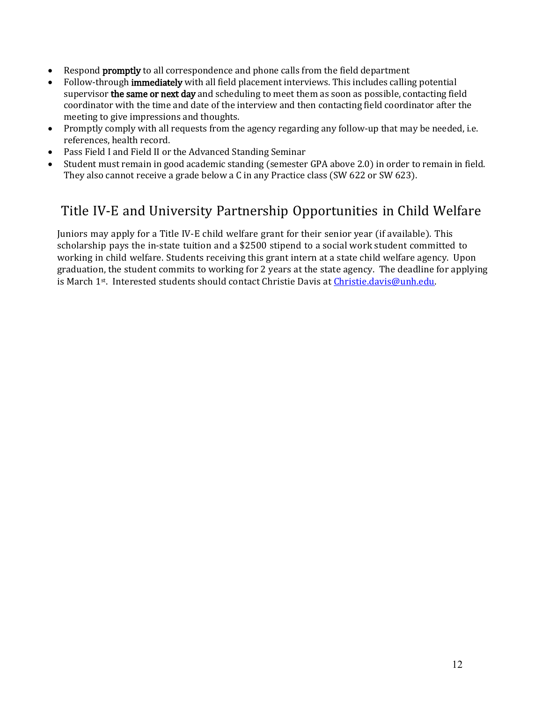- Respond **promptly** to all correspondence and phone calls from the field department
- Follow-through immediately with all field placement interviews. This includes calling potential supervisor **the same or next day** and scheduling to meet them as soon as possible, contacting field coordinator with the time and date of the interview and then contacting field coordinator after the meeting to give impressions and thoughts.
- Promptly comply with all requests from the agency regarding any follow-up that may be needed, i.e. references, health record.
- Pass Field I and Field II or the Advanced Standing Seminar
- Student must remain in good academic standing (semester GPA above 2.0) in order to remain in field. They also cannot receive a grade below a C in any Practice class (SW 622 or SW 623).

### <span id="page-11-0"></span>Title IV-E and University Partnership Opportunities in Child Welfare

Juniors may apply for a Title IV-E child welfare grant for their senior year (if available). This scholarship pays the in-state tuition and a \$2500 stipend to a social work student committed to working in child welfare. Students receiving this grant intern at a state child welfare agency. Upon graduation, the student commits to working for 2 years at the state agency. The deadline for applying is March 1st. Interested students should contact Christie Davis at Christie.davis@unh.edu.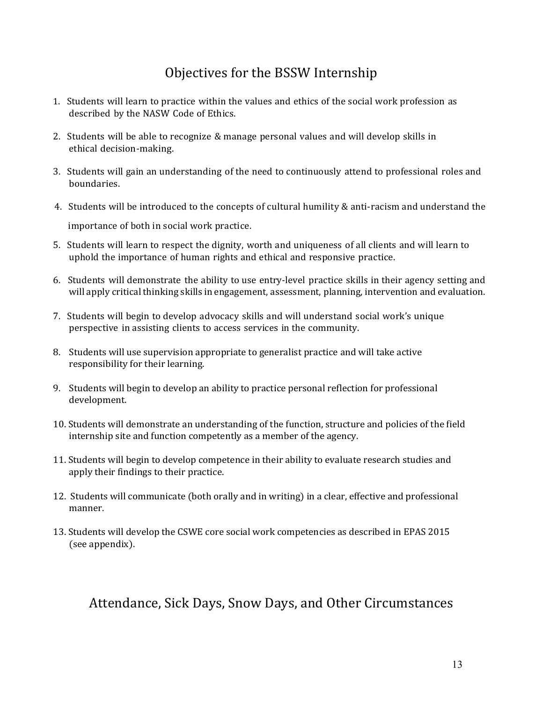## Objectives for the BSSW Internship

- <span id="page-12-0"></span>1. Students will learn to practice within the values and ethics of the social work profession as described by the NASW Code of Ethics.
- 2. Students will be able to recognize & manage personal values and will develop skills in ethical decision-making.
- 3. Students will gain an understanding of the need to continuously attend to professional roles and boundaries.
- 4. Students will be introduced to the concepts of cultural humility & anti-racism and understand the importance of both in social work practice.
- 5. Students will learn to respect the dignity, worth and uniqueness of all clients and will learn to uphold the importance of human rights and ethical and responsive practice.
- 6. Students will demonstrate the ability to use entry-level practice skills in their agency setting and will apply critical thinking skills in engagement, assessment, planning, intervention and evaluation.
- 7. Students will begin to develop advocacy skills and will understand social work's unique perspective in assisting clients to access services in the community.
- 8. Students will use supervision appropriate to generalist practice and will take active responsibility for their learning.
- 9. Students will begin to develop an ability to practice personal reflection for professional development.
- 10. Students will demonstrate an understanding of the function, structure and policies of the field internship site and function competently as a member of the agency.
- 11. Students will begin to develop competence in their ability to evaluate research studies and apply their findings to their practice.
- 12. Students will communicate (both orally and in writing) in a clear, effective and professional manner.
- 13. Students will develop the CSWE core social work competencies as described in EPAS 2015 (see appendix).

### <span id="page-12-1"></span>Attendance, Sick Days, Snow Days, and Other Circumstances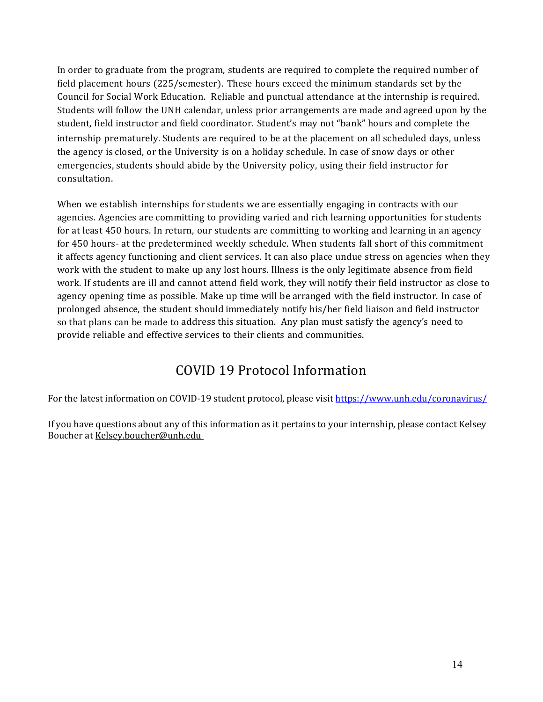In order to graduate from the program, students are required to complete the required number of field placement hours (225/semester). These hours exceed the minimum standards set by the Council for Social Work Education. Reliable and punctual attendance at the internship is required. Students will follow the UNH calendar, unless prior arrangements are made and agreed upon by the student, field instructor and field coordinator. Student's may not "bank" hours and complete the internship prematurely. Students are required to be at the placement on all scheduled days, unless the agency is closed, or the University is on a holiday schedule. In case of snow days or other emergencies, students should abide by the University policy, using their field instructor for consultation.

When we establish internships for students we are essentially engaging in contracts with our agencies. Agencies are committing to providing varied and rich learning opportunities for students for at least 450 hours. In return, our students are committing to working and learning in an agency for 450 hours- at the predetermined weekly schedule. When students fall short of this commitment it affects agency functioning and client services. It can also place undue stress on agencies when they work with the student to make up any lost hours. Illness is the only legitimate absence from field work. If students are ill and cannot attend field work, they will notify their field instructor as close to agency opening time as possible. Make up time will be arranged with the field instructor. In case of prolonged absence, the student should immediately notify his/her field liaison and field instructor so that plans can be made to address this situation. Any plan must satisfy the agency's need to provide reliable and effective services to their clients and communities.

## COVID 19 Protocol Information

<span id="page-13-1"></span><span id="page-13-0"></span>For the latest information on COVID-19 student protocol, please visi[t https://www.unh.edu/coronavirus/](https://www.unh.edu/coronavirus/)

<span id="page-13-2"></span>If you have questions about any of this information as it pertains to your internship, please contact Kelsey Boucher a[t Kelsey.boucher@unh.edu](mailto:Kelsey.boucher@unh.edu)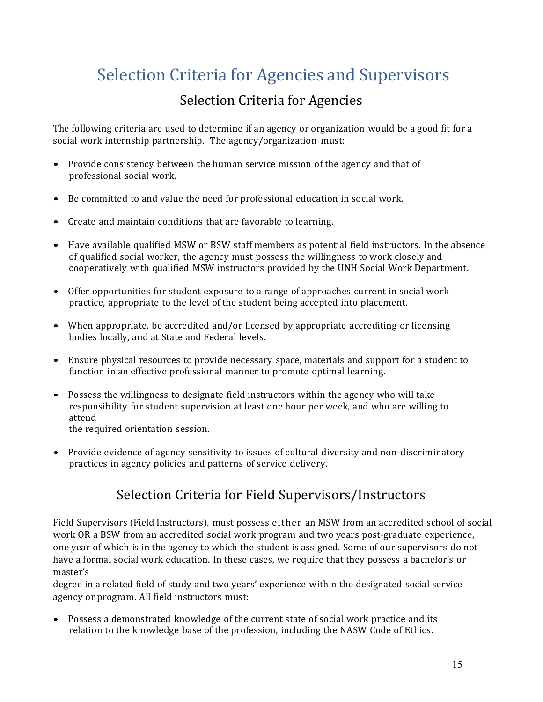# <span id="page-14-0"></span>Selection Criteria for Agencies and Supervisors

## Selection Criteria for Agencies

<span id="page-14-1"></span>The following criteria are used to determine if an agency or organization would be a good fit for a social work internship partnership. The agency/organization must:

- Provide consistency between the human service mission of the agency and that of professional social work.
- Be committed to and value the need for professional education in social work.
- Create and maintain conditions that are favorable to learning.
- Have available qualified MSW or BSW staff members as potential field instructors. In the absence of qualified social worker, the agency must possess the willingness to work closely and cooperatively with qualified MSW instructors provided by the UNH Social Work Department.
- Offer opportunities for student exposure to a range of approaches current in social work practice, appropriate to the level of the student being accepted into placement.
- When appropriate, be accredited and/or licensed by appropriate accrediting or licensing bodies locally, and at State and Federal levels.
- Ensure physical resources to provide necessary space, materials and support for a student to function in an effective professional manner to promote optimal learning.
- Possess the willingness to designate field instructors within the agency who will take responsibility for student supervision at least one hour per week, and who are willing to attend

the required orientation session.

<span id="page-14-2"></span>• Provide evidence of agency sensitivity to issues of cultural diversity and non-discriminatory practices in agency policies and patterns of service delivery.

### Selection Criteria for Field Supervisors/Instructors

Field Supervisors (Field Instructors), must possess either an MSW from an accredited school of social work OR a BSW from an accredited social work program and two years post-graduate experience, one year of which is in the agency to which the student is assigned. Some of our supervisors do not have a formal social work education. In these cases, we require that they possess a bachelor's or master's

degree in a related field of study and two years' experience within the designated social service agency or program. All field instructors must:

• Possess a demonstrated knowledge of the current state of social work practice and its relation to the knowledge base of the profession, including the NASW Code of Ethics.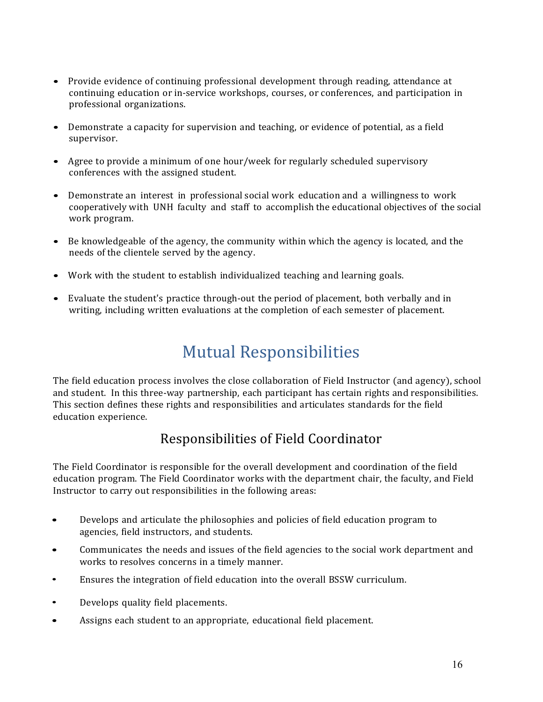- Provide evidence of continuing professional development through reading, attendance at continuing education or in-service workshops, courses, or conferences, and participation in professional organizations.
- Demonstrate a capacity for supervision and teaching, or evidence of potential, as a field supervisor.
- Agree to provide a minimum of one hour/week for regularly scheduled supervisory conferences with the assigned student.
- Demonstrate an interest in professional social work education and a willingness to work cooperatively with UNH faculty and staff to accomplish the educational objectives of the social work program.
- Be knowledgeable of the agency, the community within which the agency is located, and the needs of the clientele served by the agency.
- Work with the student to establish individualized teaching and learning goals.
- <span id="page-15-0"></span>• Evaluate the student's practice through-out the period of placement, both verbally and in writing, including written evaluations at the completion of each semester of placement.

# Mutual Responsibilities

The field education process involves the close collaboration of Field Instructor (and agency), school and student. In this three-way partnership, each participant has certain rights and responsibilities. This section defines these rights and responsibilities and articulates standards for the field education experience.

### Responsibilities of Field Coordinator

<span id="page-15-1"></span>The Field Coordinator is responsible for the overall development and coordination of the field education program. The Field Coordinator works with the department chair, the faculty, and Field Instructor to carry out responsibilities in the following areas:

- Develops and articulate the philosophies and policies of field education program to agencies, field instructors, and students.
- Communicates the needs and issues of the field agencies to the social work department and works to resolves concerns in a timely manner.
- Ensures the integration of field education into the overall BSSW curriculum.
- Develops quality field placements.
- Assigns each student to an appropriate, educational field placement.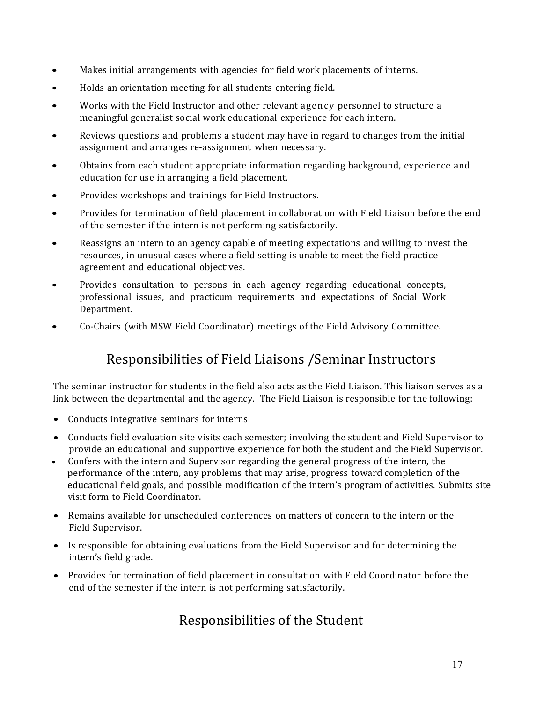- Makes initial arrangements with agencies for field work placements of interns.
- Holds an orientation meeting for all students entering field.
- Works with the Field Instructor and other relevant agency personnel to structure a meaningful generalist social work educational experience for each intern.
- Reviews questions and problems a student may have in regard to changes from the initial assignment and arranges re-assignment when necessary.
- Obtains from each student appropriate information regarding background, experience and education for use in arranging a field placement.
- Provides workshops and trainings for Field Instructors.
- Provides for termination of field placement in collaboration with Field Liaison before the end of the semester if the intern is not performing satisfactorily.
- Reassigns an intern to an agency capable of meeting expectations and willing to invest the resources, in unusual cases where a field setting is unable to meet the field practice agreement and educational objectives.
- Provides consultation to persons in each agency regarding educational concepts, professional issues, and practicum requirements and expectations of Social Work Department.
- <span id="page-16-0"></span>• Co-Chairs (with MSW Field Coordinator) meetings of the Field Advisory Committee.

### Responsibilities of Field Liaisons /Seminar Instructors

The seminar instructor for students in the field also acts as the Field Liaison. This liaison serves as a link between the departmental and the agency. The Field Liaison is responsible for the following:

- Conducts integrative seminars for interns
- Conducts field evaluation site visits each semester; involving the student and Field Supervisor to provide an educational and supportive experience for both the student and the Field Supervisor.
- Confers with the intern and Supervisor regarding the general progress of the intern, the performance of the intern, any problems that may arise, progress toward completion of the educational field goals, and possible modification of the intern's program of activities. Submits site visit form to Field Coordinator.
- Remains available for unscheduled conferences on matters of concern to the intern or the Field Supervisor.
- Is responsible for obtaining evaluations from the Field Supervisor and for determining the intern's field grade.
- <span id="page-16-1"></span>• Provides for termination of field placement in consultation with Field Coordinator before the end of the semester if the intern is not performing satisfactorily.

### Responsibilities of the Student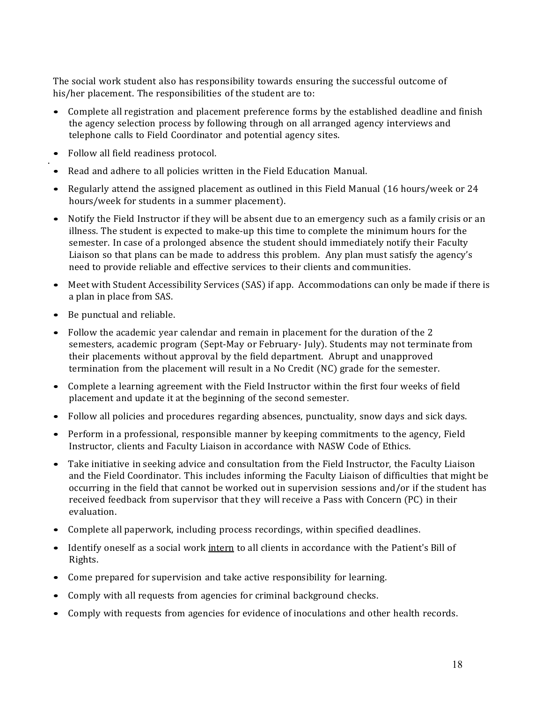The social work student also has responsibility towards ensuring the successful outcome of his/her placement. The responsibilities of the student are to:

- Complete all registration and placement preference forms by the established deadline and finish the agency selection process by following through on all arranged agency interviews and telephone calls to Field Coordinator and potential agency sites.
- Follow all field readiness protocol. .
- Read and adhere to all policies written in the Field Education Manual.
- Regularly attend the assigned placement as outlined in this Field Manual (16 hours/week or 24 hours/week for students in a summer placement).
- Notify the Field Instructor if they will be absent due to an emergency such as a family crisis or an illness. The student is expected to make-up this time to complete the minimum hours for the semester. In case of a prolonged absence the student should immediately notify their Faculty Liaison so that plans can be made to address this problem. Any plan must satisfy the agency's need to provide reliable and effective services to their clients and communities.
- Meet with Student Accessibility Services (SAS) if app. Accommodations can only be made if there is a plan in place from SAS.
- Be punctual and reliable.
- Follow the academic year calendar and remain in placement for the duration of the 2 semesters, academic program (Sept-May or February- July). Students may not terminate from their placements without approval by the field department. Abrupt and unapproved termination from the placement will result in a No Credit (NC) grade for the semester.
- Complete a learning agreement with the Field Instructor within the first four weeks of field placement and update it at the beginning of the second semester.
- Follow all policies and procedures regarding absences, punctuality, snow days and sick days.
- Perform in a professional, responsible manner by keeping commitments to the agency, Field Instructor, clients and Faculty Liaison in accordance with NASW Code of Ethics.
- Take initiative in seeking advice and consultation from the Field Instructor, the Faculty Liaison and the Field Coordinator. This includes informing the Faculty Liaison of difficulties that might be occurring in the field that cannot be worked out in supervision sessions and/or if the student has received feedback from supervisor that they will receive a Pass with Concern (PC) in their evaluation.
- Complete all paperwork, including process recordings, within specified deadlines.
- Identify oneself as a social work intern to all clients in accordance with the Patient's Bill of Rights.
- Come prepared for supervision and take active responsibility for learning.
- Comply with all requests from agencies for criminal background checks.
- Comply with requests from agencies for evidence of inoculations and other health records.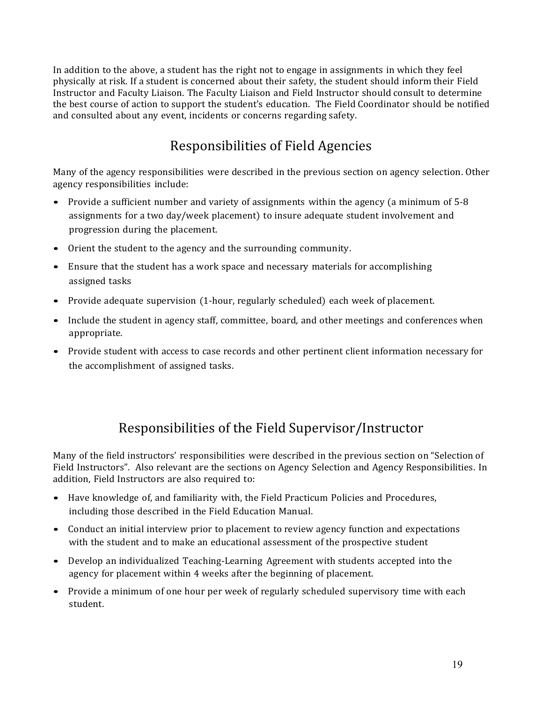In addition to the above, a student has the right not to engage in assignments in which they feel physically at risk. If a student is concerned about their safety, the student should inform their Field Instructor and Faculty Liaison. The Faculty Liaison and Field Instructor should consult to determine the best course of action to support the student's education. The Field Coordinator should be notified and consulted about any event, incidents or concerns regarding safety.

## Responsibilities of Field Agencies

<span id="page-18-0"></span>Many of the agency responsibilities were described in the previous section on agency selection. Other agency responsibilities include:

- Provide a sufficient number and variety of assignments within the agency (a minimum of 5-8 assignments for a two day/week placement) to insure adequate student involvement and progression during the placement.
- Orient the student to the agency and the surrounding community.
- Ensure that the student has a work space and necessary materials for accomplishing assigned tasks
- Provide adequate supervision (1-hour, regularly scheduled) each week of placement.
- Include the student in agency staff, committee, board, and other meetings and conferences when appropriate.
- Provide student with access to case records and other pertinent client information necessary for the accomplishment of assigned tasks.

### Responsibilities of the Field Supervisor/Instructor

<span id="page-18-1"></span>Many of the field instructors' responsibilities were described in the previous section on "Selection of Field Instructors". Also relevant are the sections on Agency Selection and Agency Responsibilities. In addition, Field Instructors are also required to:

- Have knowledge of, and familiarity with, the Field Practicum Policies and Procedures, including those described in the Field Education Manual.
- Conduct an initial interview prior to placement to review agency function and expectations with the student and to make an educational assessment of the prospective student
- Develop an individualized Teaching-Learning Agreement with students accepted into the agency for placement within 4 weeks after the beginning of placement.
- Provide a minimum of one hour per week of regularly scheduled supervisory time with each student.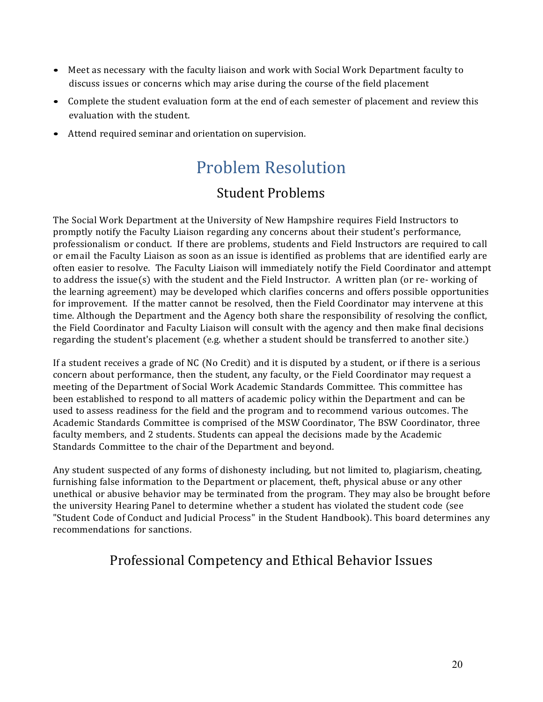- Meet as necessary with the faculty liaison and work with Social Work Department faculty to discuss issues or concerns which may arise during the course of the field placement
- Complete the student evaluation form at the end of each semester of placement and review this evaluation with the student.
- <span id="page-19-0"></span>• Attend required seminar and orientation on supervision.

# Problem Resolution Student Problems

<span id="page-19-1"></span>The Social Work Department at the University of New Hampshire requires Field Instructors to promptly notify the Faculty Liaison regarding any concerns about their student's performance, professionalism or conduct. If there are problems, students and Field Instructors are required to call or email the Faculty Liaison as soon as an issue is identified as problems that are identified early are often easier to resolve. The Faculty Liaison will immediately notify the Field Coordinator and attempt to address the issue(s) with the student and the Field Instructor. A written plan (or re- working of the learning agreement) may be developed which clarifies concerns and offers possible opportunities for improvement. If the matter cannot be resolved, then the Field Coordinator may intervene at this time. Although the Department and the Agency both share the responsibility of resolving the conflict, the Field Coordinator and Faculty Liaison will consult with the agency and then make final decisions regarding the student's placement (e.g. whether a student should be transferred to another site.)

If a student receives a grade of NC (No Credit) and it is disputed by a student, or if there is a serious concern about performance, then the student, any faculty, or the Field Coordinator may request a meeting of the Department of Social Work Academic Standards Committee. This committee has been established to respond to all matters of academic policy within the Department and can be used to assess readiness for the field and the program and to recommend various outcomes. The Academic Standards Committee is comprised of the MSW Coordinator, The BSW Coordinator, three faculty members, and 2 students. Students can appeal the decisions made by the Academic Standards Committee to the chair of the Department and beyond.

Any student suspected of any forms of dishonesty including, but not limited to, plagiarism, cheating, furnishing false information to the Department or placement, theft, physical abuse or any other unethical or abusive behavior may be terminated from the program. They may also be brought before the university Hearing Panel to determine whether a student has violated the student code (see "Student Code of Conduct and Judicial Process" in the Student Handbook). This board determines any recommendations for sanctions.

### <span id="page-19-2"></span>Professional Competency and Ethical Behavior Issues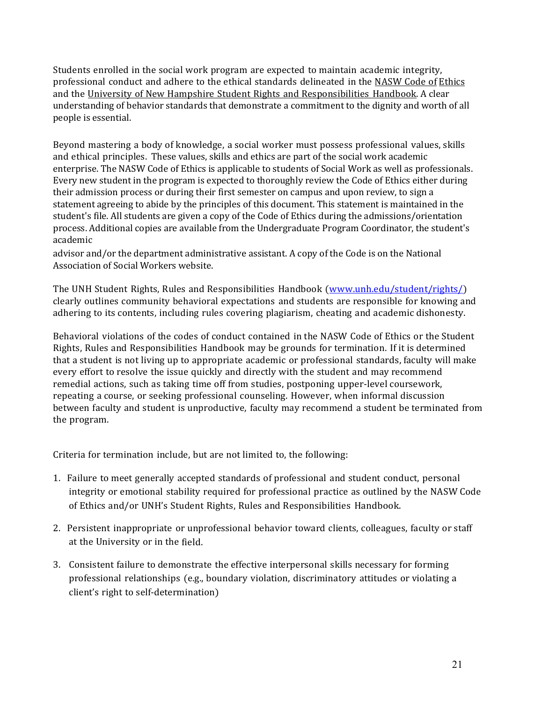Students enrolled in the social work program are expected to maintain academic integrity, professional conduct and adhere to the ethical standards delineated in the NASW Code of Ethics and the University of New Hampshire Student Rights and Responsibilities Handbook. A clear understanding of behavior standards that demonstrate a commitment to the dignity and worth of all people is essential.

Beyond mastering a body of knowledge, a social worker must possess professional values, skills and ethical principles. These values, skills and ethics are part of the social work academic enterprise. The NASW Code of Ethics is applicable to students of Social Work as well as professionals. Every new student in the program is expected to thoroughly review the Code of Ethics either during their admission process or during their first semester on campus and upon review, to sign a statement agreeing to abide by the principles of this document. This statement is maintained in the student's file. All students are given a copy of the Code of Ethics during the admissions/orientation process. Additional copies are available from the Undergraduate Program Coordinator, the student's academic

advisor and/or the department administrative assistant. A copy of the Code is on the National Association of Social Workers website.

The UNH Student Rights, Rules and Responsibilities Handbook [\(www.unh.edu/student/rights/\)](http://www.unh.edu/student/rights/))  clearly outlines community behavioral expectations and students are responsible for knowing and adhering to its contents, including rules covering plagiarism, cheating and academic dishonesty.

Behavioral violations of the codes of conduct contained in the NASW Code of Ethics or the Student Rights, Rules and Responsibilities Handbook may be grounds for termination. If it is determined that a student is not living up to appropriate academic or professional standards, faculty will make every effort to resolve the issue quickly and directly with the student and may recommend remedial actions, such as taking time off from studies, postponing upper-level coursework, repeating a course, or seeking professional counseling. However, when informal discussion between faculty and student is unproductive, faculty may recommend a student be terminated from the program.

Criteria for termination include, but are not limited to, the following:

- 1. Failure to meet generally accepted standards of professional and student conduct, personal integrity or emotional stability required for professional practice as outlined by the NASW Code of Ethics and/or UNH's Student Rights, Rules and Responsibilities Handbook.
- 2. Persistent inappropriate or unprofessional behavior toward clients, colleagues, faculty or staff at the University or in the field.
- 3. Consistent failure to demonstrate the effective interpersonal skills necessary for forming professional relationships (e.g., boundary violation, discriminatory attitudes or violating a client's right to self-determination)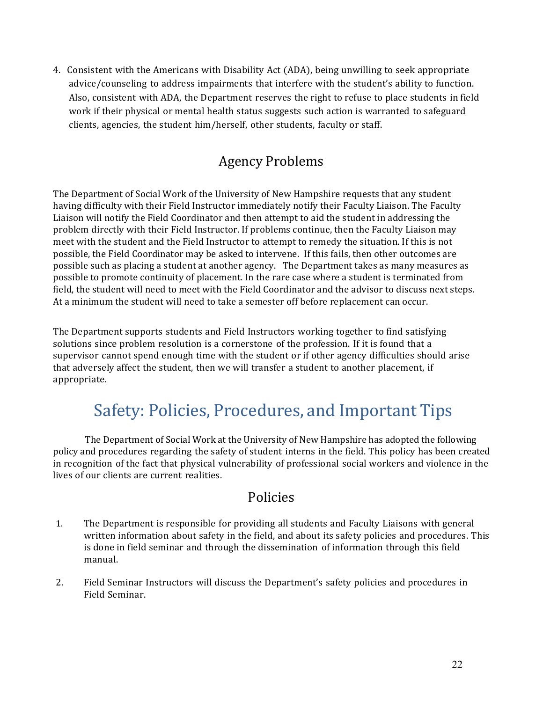4. Consistent with the Americans with Disability Act (ADA), being unwilling to seek appropriate advice/counseling to address impairments that interfere with the student's ability to function. Also, consistent with ADA, the Department reserves the right to refuse to place students in field work if their physical or mental health status suggests such action is warranted to safeguard clients, agencies, the student him/herself, other students, faculty or staff.

### Agency Problems

<span id="page-21-0"></span>The Department of Social Work of the University of New Hampshire requests that any student having difficulty with their Field Instructor immediately notify their Faculty Liaison. The Faculty Liaison will notify the Field Coordinator and then attempt to aid the student in addressing the problem directly with their Field Instructor. If problems continue, then the Faculty Liaison may meet with the student and the Field Instructor to attempt to remedy the situation. If this is not possible, the Field Coordinator may be asked to intervene. If this fails, then other outcomes are possible such as placing a student at another agency. The Department takes as many measures as possible to promote continuity of placement. In the rare case where a student is terminated from field, the student will need to meet with the Field Coordinator and the advisor to discuss next steps. At a minimum the student will need to take a semester off before replacement can occur.

The Department supports students and Field Instructors working together to find satisfying solutions since problem resolution is a cornerstone of the profession. If it is found that a supervisor cannot spend enough time with the student or if other agency difficulties should arise that adversely affect the student, then we will transfer a student to another placement, if appropriate.

# Safety: Policies, Procedures, and Important Tips

<span id="page-21-1"></span>The Department of Social Work at the University of New Hampshire has adopted the following policy and procedures regarding the safety of student interns in the field. This policy has been created in recognition of the fact that physical vulnerability of professional social workers and violence in the lives of our clients are current realities.

#### Policies

- <span id="page-21-2"></span>1. The Department is responsible for providing all students and Faculty Liaisons with general written information about safety in the field, and about its safety policies and procedures. This is done in field seminar and through the dissemination of information through this field manual.
- 2. Field Seminar Instructors will discuss the Department's safety policies and procedures in Field Seminar.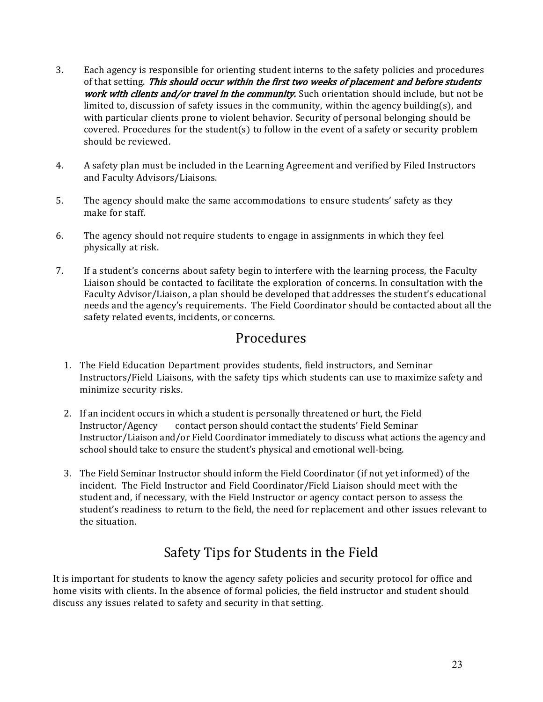- 3. Each agency is responsible for orienting student interns to the safety policies and procedures of that setting. This should occur within the first two weeks of placement and before students work with clients and/or travel in the community. Such orientation should include, but not be limited to, discussion of safety issues in the community, within the agency building(s), and with particular clients prone to violent behavior. Security of personal belonging should be covered. Procedures for the student(s) to follow in the event of a safety or security problem should be reviewed.
- 4. A safety plan must be included in the Learning Agreement and verified by Filed Instructors and Faculty Advisors/Liaisons.
- 5. The agency should make the same accommodations to ensure students' safety as they make for staff.
- 6. The agency should not require students to engage in assignments in which they feel physically at risk.
- 7. If a student's concerns about safety begin to interfere with the learning process, the Faculty Liaison should be contacted to facilitate the exploration of concerns. In consultation with the Faculty Advisor/Liaison, a plan should be developed that addresses the student's educational needs and the agency's requirements. The Field Coordinator should be contacted about all the safety related events, incidents, or concerns.

#### Procedures

- <span id="page-22-0"></span>1. The Field Education Department provides students, field instructors, and Seminar Instructors/Field Liaisons, with the safety tips which students can use to maximize safety and minimize security risks.
- 2. If an incident occurs in which a student is personally threatened or hurt, the Field<br>Instructor/Agency contact person should contact the students' Field Seminar contact person should contact the students' Field Seminar Instructor/Liaison and/or Field Coordinator immediately to discuss what actions the agency and school should take to ensure the student's physical and emotional well-being.
- 3. The Field Seminar Instructor should inform the Field Coordinator (if not yet informed) of the incident. The Field Instructor and Field Coordinator/Field Liaison should meet with the student and, if necessary, with the Field Instructor or agency contact person to assess the student's readiness to return to the field, the need for replacement and other issues relevant to the situation.

## Safety Tips for Students in the Field

<span id="page-22-1"></span>It is important for students to know the agency safety policies and security protocol for office and home visits with clients. In the absence of formal policies, the field instructor and student should discuss any issues related to safety and security in that setting.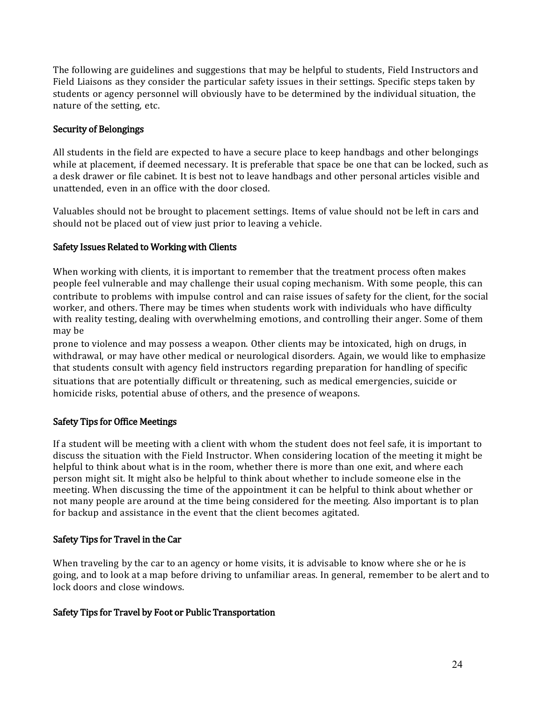The following are guidelines and suggestions that may be helpful to students, Field Instructors and Field Liaisons as they consider the particular safety issues in their settings. Specific steps taken by students or agency personnel will obviously have to be determined by the individual situation, the nature of the setting, etc.

#### Security of Belongings

All students in the field are expected to have a secure place to keep handbags and other belongings while at placement, if deemed necessary. It is preferable that space be one that can be locked, such as a desk drawer or file cabinet. It is best not to leave handbags and other personal articles visible and unattended, even in an office with the door closed.

Valuables should not be brought to placement settings. Items of value should not be left in cars and should not be placed out of view just prior to leaving a vehicle.

#### Safety Issues Related to Working with Clients

When working with clients, it is important to remember that the treatment process often makes people feel vulnerable and may challenge their usual coping mechanism. With some people, this can contribute to problems with impulse control and can raise issues of safety for the client, for the social worker, and others. There may be times when students work with individuals who have difficulty with reality testing, dealing with overwhelming emotions, and controlling their anger. Some of them may be

prone to violence and may possess a weapon. Other clients may be intoxicated, high on drugs, in withdrawal, or may have other medical or neurological disorders. Again, we would like to emphasize that students consult with agency field instructors regarding preparation for handling of specific situations that are potentially difficult or threatening, such as medical emergencies, suicide or homicide risks, potential abuse of others, and the presence of weapons.

#### Safety Tips for Office Meetings

If a student will be meeting with a client with whom the student does not feel safe, it is important to discuss the situation with the Field Instructor. When considering location of the meeting it might be helpful to think about what is in the room, whether there is more than one exit, and where each person might sit. It might also be helpful to think about whether to include someone else in the meeting. When discussing the time of the appointment it can be helpful to think about whether or not many people are around at the time being considered for the meeting. Also important is to plan for backup and assistance in the event that the client becomes agitated.

#### Safety Tips for Travel in the Car

When traveling by the car to an agency or home visits, it is advisable to know where she or he is going, and to look at a map before driving to unfamiliar areas. In general, remember to be alert and to lock doors and close windows.

#### Safety Tips for Travel by Foot or Public Transportation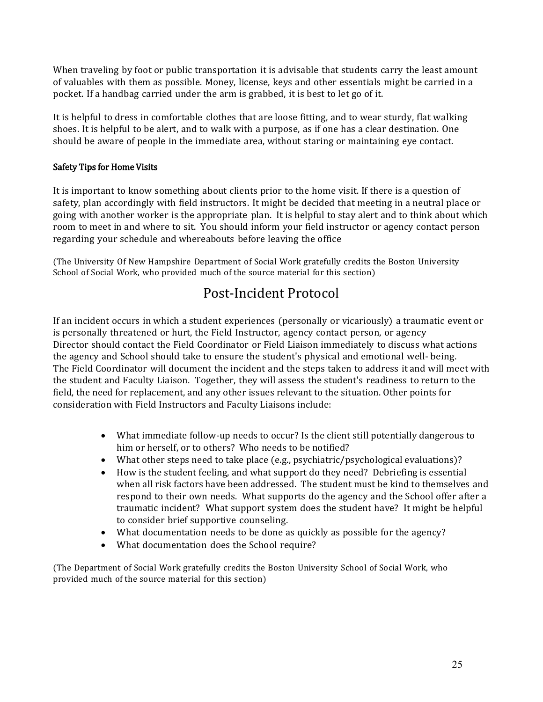When traveling by foot or public transportation it is advisable that students carry the least amount of valuables with them as possible. Money, license, keys and other essentials might be carried in a pocket. If a handbag carried under the arm is grabbed, it is best to let go of it.

It is helpful to dress in comfortable clothes that are loose fitting, and to wear sturdy, flat walking shoes. It is helpful to be alert, and to walk with a purpose, as if one has a clear destination. One should be aware of people in the immediate area, without staring or maintaining eye contact.

#### Safety Tips for Home Visits

It is important to know something about clients prior to the home visit. If there is a question of safety, plan accordingly with field instructors. It might be decided that meeting in a neutral place or going with another worker is the appropriate plan. It is helpful to stay alert and to think about which room to meet in and where to sit. You should inform your field instructor or agency contact person regarding your schedule and whereabouts before leaving the office

<span id="page-24-0"></span>(The University Of New Hampshire Department of Social Work gratefully credits the Boston University School of Social Work, who provided much of the source material for this section)

#### Post-Incident Protocol

If an incident occurs in which a student experiences (personally or vicariously) a traumatic event or is personally threatened or hurt, the Field Instructor, agency contact person, or agency Director should contact the Field Coordinator or Field Liaison immediately to discuss what actions the agency and School should take to ensure the student's physical and emotional well- being. The Field Coordinator will document the incident and the steps taken to address it and will meet with the student and Faculty Liaison. Together, they will assess the student's readiness to return to the field, the need for replacement, and any other issues relevant to the situation. Other points for consideration with Field Instructors and Faculty Liaisons include:

- What immediate follow-up needs to occur? Is the client still potentially dangerous to him or herself, or to others? Who needs to be notified?
- What other steps need to take place (e.g., psychiatric/psychological evaluations)?
- How is the student feeling, and what support do they need? Debriefing is essential when all risk factors have been addressed. The student must be kind to themselves and respond to their own needs. What supports do the agency and the School offer after a traumatic incident? What support system does the student have? It might be helpful to consider brief supportive counseling.
- What documentation needs to be done as quickly as possible for the agency?
- What documentation does the School require?

(The Department of Social Work gratefully credits the Boston University School of Social Work, who provided much of the source material for this section)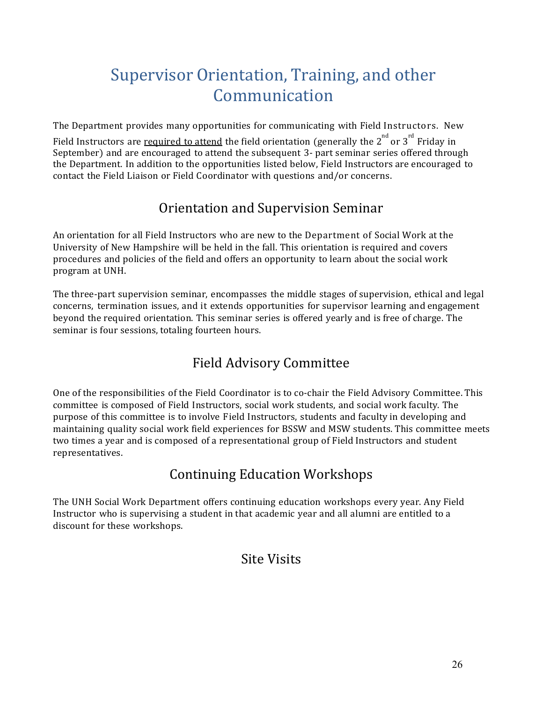# Supervisor Orientation, Training, and other Communication

<span id="page-25-0"></span>The Department provides many opportunities for communicating with Field Instructors. New

Field Instructors are <u>required to attend</u> the field orientation (generally the  $2^{nd}$  or  $3^{rd}$  Friday in September) and are encouraged to attend the subsequent 3- part seminar series offered through the Department. In addition to the opportunities listed below, Field Instructors are encouraged to contact the Field Liaison or Field Coordinator with questions and/or concerns.

### Orientation and Supervision Seminar

<span id="page-25-1"></span>An orientation for all Field Instructors who are new to the Department of Social Work at the University of New Hampshire will be held in the fall. This orientation is required and covers procedures and policies of the field and offers an opportunity to learn about the social work program at UNH.

The three-part supervision seminar, encompasses the middle stages of supervision, ethical and legal concerns, termination issues, and it extends opportunities for supervisor learning and engagement beyond the required orientation. This seminar series is offered yearly and is free of charge. The seminar is four sessions, totaling fourteen hours.

## Field Advisory Committee

<span id="page-25-2"></span>One of the responsibilities of the Field Coordinator is to co-chair the Field Advisory Committee. This committee is composed of Field Instructors, social work students, and social work faculty. The purpose of this committee is to involve Field Instructors, students and faculty in developing and maintaining quality social work field experiences for BSSW and MSW students. This committee meets two times a year and is composed of a representational group of Field Instructors and student representatives.

## Continuing Education Workshops

<span id="page-25-4"></span><span id="page-25-3"></span>The UNH Social Work Department offers continuing education workshops every year. Any Field Instructor who is supervising a student in that academic year and all alumni are entitled to a discount for these workshops.

### Site Visits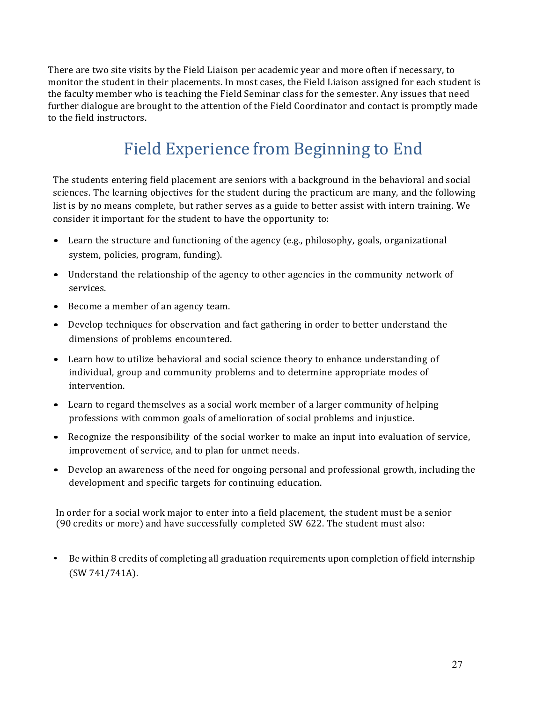There are two site visits by the Field Liaison per academic year and more often if necessary, to monitor the student in their placements. In most cases, the Field Liaison assigned for each student is the faculty member who is teaching the Field Seminar class for the semester. Any issues that need further dialogue are brought to the attention of the Field Coordinator and contact is promptly made to the field instructors.

# Field Experience from Beginning to End

<span id="page-26-0"></span>The students entering field placement are seniors with a background in the behavioral and social sciences. The learning objectives for the student during the practicum are many, and the following list is by no means complete, but rather serves as a guide to better assist with intern training. We consider it important for the student to have the opportunity to:

- Learn the structure and functioning of the agency (e.g., philosophy, goals, organizational system, policies, program, funding).
- Understand the relationship of the agency to other agencies in the community network of services.
- Become a member of an agency team.
- Develop techniques for observation and fact gathering in order to better understand the dimensions of problems encountered.
- Learn how to utilize behavioral and social science theory to enhance understanding of individual, group and community problems and to determine appropriate modes of intervention.
- Learn to regard themselves as a social work member of a larger community of helping professions with common goals of amelioration of social problems and injustice.
- Recognize the responsibility of the social worker to make an input into evaluation of service, improvement of service, and to plan for unmet needs.
- Develop an awareness of the need for ongoing personal and professional growth, including the development and specific targets for continuing education.

In order for a social work major to enter into a field placement, the student must be a senior (90 credits or more) and have successfully completed SW 622. The student must also:

• Be within 8 credits of completing all graduation requirements upon completion of field internship (SW 741/741A).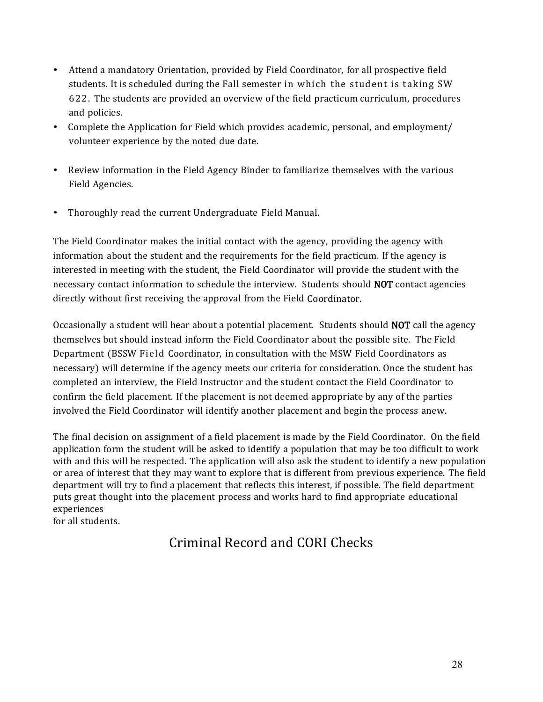- Attend <sup>a</sup> mandatory Orientation, provided by Field Coordinator, for all prospective field students. It is scheduled during the Fall semester in which the student is taking SW 622. The students are provided an overview of the field practicum curriculum, procedures and policies.
- Complete the Application for Field which provides academic, personal, and employment/ volunteer experience by the noted due date.
- Review information in the Field Agency Binder to familiarize themselves with the various Field Agencies.
- Thoroughly read the current Undergraduate Field Manual.

The Field Coordinator makes the initial contact with the agency, providing the agency with information about the student and the requirements for the field practicum. If the agency is interested in meeting with the student, the Field Coordinator will provide the student with the necessary contact information to schedule the interview. Students should NOT contact agencies directly without first receiving the approval from the Field Coordinator.

Occasionally a student will hear about a potential placement. Students should NOT call the agency themselves but should instead inform the Field Coordinator about the possible site. The Field Department (BSSW Field Coordinator, in consultation with the MSW Field Coordinators as necessary) will determine if the agency meets our criteria for consideration. Once the student has completed an interview, the Field Instructor and the student contact the Field Coordinator to confirm the field placement. If the placement is not deemed appropriate by any of the parties involved the Field Coordinator will identify another placement and begin the process anew.

The final decision on assignment of a field placement is made by the Field Coordinator. On the field application form the student will be asked to identify a population that may be too difficult to work with and this will be respected. The application will also ask the student to identify a new population or area of interest that they may want to explore that is different from previous experience. The field department will try to find a placement that reflects this interest, if possible. The field department puts great thought into the placement process and works hard to find appropriate educational experiences

<span id="page-27-0"></span>for all students.

# Criminal Record and CORI Checks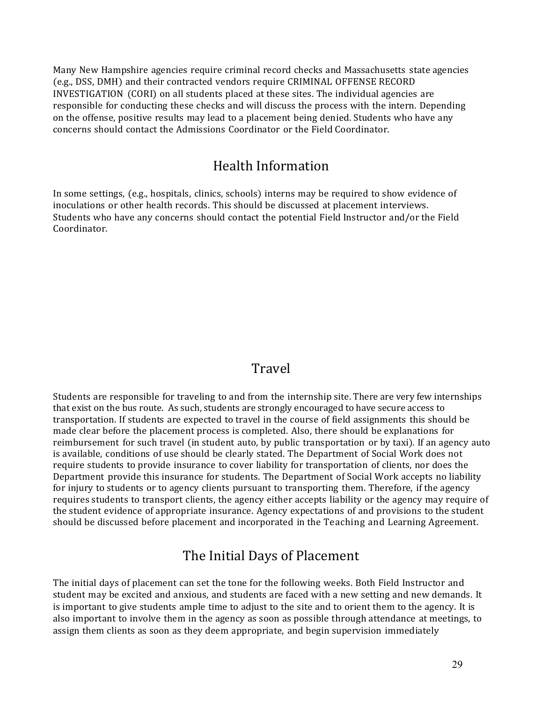Many New Hampshire agencies require criminal record checks and Massachusetts state agencies (e.g., DSS, DMH) and their contracted vendors require CRIMINAL OFFENSE RECORD INVESTIGATION (CORI) on all students placed at these sites. The individual agencies are responsible for conducting these checks and will discuss the process with the intern. Depending on the offense, positive results may lead to a placement being denied. Students who have any concerns should contact the Admissions Coordinator or the Field Coordinator.

#### Health Information

<span id="page-28-0"></span>In some settings, (e.g., hospitals, clinics, schools) interns may be required to show evidence of inoculations or other health records. This should be discussed at placement interviews. Students who have any concerns should contact the potential Field Instructor and/or the Field Coordinator.

#### Travel

<span id="page-28-1"></span>Students are responsible for traveling to and from the internship site. There are very few internships that exist on the bus route. As such, students are strongly encouraged to have secure access to transportation. If students are expected to travel in the course of field assignments this should be made clear before the placement process is completed. Also, there should be explanations for reimbursement for such travel (in student auto, by public transportation or by taxi). If an agency auto is available, conditions of use should be clearly stated. The Department of Social Work does not require students to provide insurance to cover liability for transportation of clients, nor does the Department provide this insurance for students. The Department of Social Work accepts no liability for injury to students or to agency clients pursuant to transporting them. Therefore, if the agency requires students to transport clients, the agency either accepts liability or the agency may require of the student evidence of appropriate insurance. Agency expectations of and provisions to the student should be discussed before placement and incorporated in the Teaching and Learning Agreement.

#### The Initial Days of Placement

<span id="page-28-2"></span>The initial days of placement can set the tone for the following weeks. Both Field Instructor and student may be excited and anxious, and students are faced with a new setting and new demands. It is important to give students ample time to adjust to the site and to orient them to the agency. It is also important to involve them in the agency as soon as possible through attendance at meetings, to assign them clients as soon as they deem appropriate, and begin supervision immediately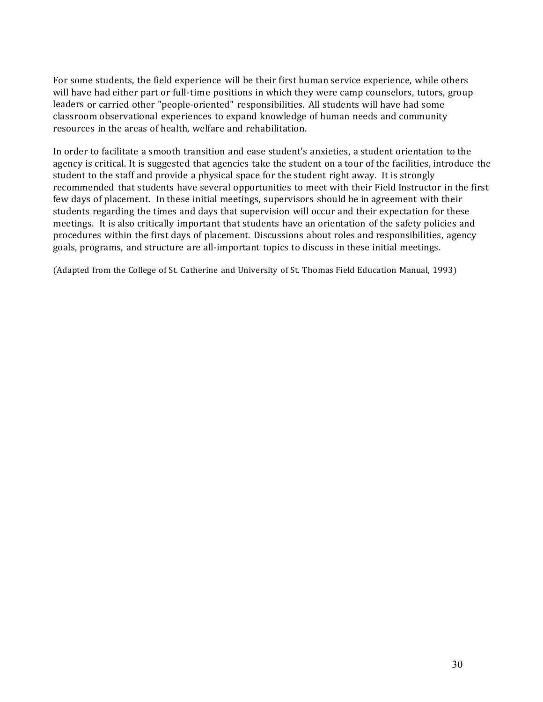For some students, the field experience will be their first human service experience, while others will have had either part or full-time positions in which they were camp counselors, tutors, group leaders or carried other "people-oriented" responsibilities. All students will have had some classroom observational experiences to expand knowledge of human needs and community resources in the areas of health, welfare and rehabilitation.

In order to facilitate a smooth transition and ease student's anxieties, a student orientation to the agency is critical. It is suggested that agencies take the student on a tour of the facilities, introduce the student to the staff and provide a physical space for the student right away. It is strongly recommended that students have several opportunities to meet with their Field Instructor in the first few days of placement. In these initial meetings, supervisors should be in agreement with their students regarding the times and days that supervision will occur and their expectation for these meetings. It is also critically important that students have an orientation of the safety policies and procedures within the first days of placement. Discussions about roles and responsibilities, agency goals, programs, and structure are all-important topics to discuss in these initial meetings.

(Adapted from the College of St. Catherine and University of St. Thomas Field Education Manual, 1993)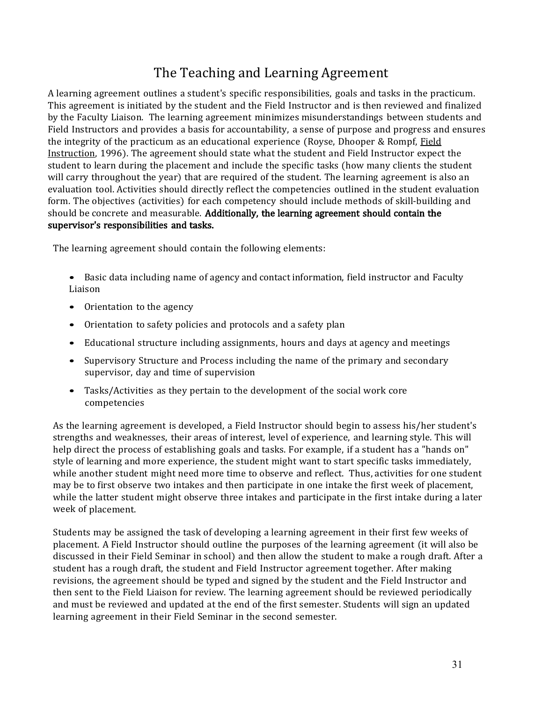### The Teaching and Learning Agreement

<span id="page-30-0"></span>A learning agreement outlines a student's specific responsibilities, goals and tasks in the practicum. This agreement is initiated by the student and the Field Instructor and is then reviewed and finalized by the Faculty Liaison. The learning agreement minimizes misunderstandings between students and Field Instructors and provides a basis for accountability, a sense of purpose and progress and ensures the integrity of the practicum as an educational experience (Royse, Dhooper & Rompf, Field Instruction, 1996). The agreement should state what the student and Field Instructor expect the student to learn during the placement and include the specific tasks (how many clients the student will carry throughout the year) that are required of the student. The learning agreement is also an evaluation tool. Activities should directly reflect the competencies outlined in the student evaluation form. The objectives (activities) for each competency should include methods of skill-building and should be concrete and measurable. Additionally, the learning agreement should contain the supervisor's responsibilities and tasks.

The learning agreement should contain the following elements:

- Basic data including name of agency and contact information, field instructor and Faculty Liaison
- Orientation to the agency
- Orientation to safety policies and protocols and a safety plan
- Educational structure including assignments, hours and days at agency and meetings
- Supervisory Structure and Process including the name of the primary and secondary supervisor, day and time of supervision
- Tasks/Activities as they pertain to the development of the social work core competencies

As the learning agreement is developed, a Field Instructor should begin to assess his/her student's strengths and weaknesses, their areas of interest, level of experience, and learning style. This will help direct the process of establishing goals and tasks. For example, if a student has a "hands on" style of learning and more experience, the student might want to start specific tasks immediately, while another student might need more time to observe and reflect. Thus, activities for one student may be to first observe two intakes and then participate in one intake the first week of placement, while the latter student might observe three intakes and participate in the first intake during a later week of placement.

Students may be assigned the task of developing a learning agreement in their first few weeks of placement. A Field Instructor should outline the purposes of the learning agreement (it will also be discussed in their Field Seminar in school) and then allow the student to make a rough draft. After a student has a rough draft, the student and Field Instructor agreement together. After making revisions, the agreement should be typed and signed by the student and the Field Instructor and then sent to the Field Liaison for review. The learning agreement should be reviewed periodically and must be reviewed and updated at the end of the first semester. Students will sign an updated learning agreement in their Field Seminar in the second semester.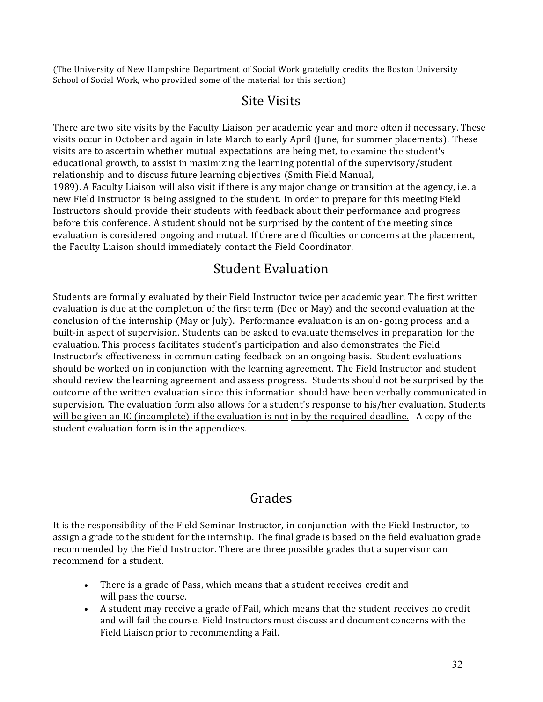<span id="page-31-0"></span>(The University of New Hampshire Department of Social Work gratefully credits the Boston University School of Social Work, who provided some of the material for this section)

#### Site Visits

There are two site visits by the Faculty Liaison per academic year and more often if necessary. These visits occur in October and again in late March to early April (June, for summer placements). These visits are to ascertain whether mutual expectations are being met, to examine the student's educational growth, to assist in maximizing the learning potential of the supervisory/student relationship and to discuss future learning objectives (Smith Field Manual, 1989). A Faculty Liaison will also visit if there is any major change or transition at the agency, i.e. a new Field Instructor is being assigned to the student. In order to prepare for this meeting Field Instructors should provide their students with feedback about their performance and progress before this conference. A student should not be surprised by the content of the meeting since evaluation is considered ongoing and mutual. If there are difficulties or concerns at the placement, the Faculty Liaison should immediately contact the Field Coordinator.

#### Student Evaluation

<span id="page-31-1"></span>Students are formally evaluated by their Field Instructor twice per academic year. The first written evaluation is due at the completion of the first term (Dec or May) and the second evaluation at the conclusion of the internship (May or July). Performance evaluation is an on- going process and a built-in aspect of supervision. Students can be asked to evaluate themselves in preparation for the evaluation. This process facilitates student's participation and also demonstrates the Field Instructor's effectiveness in communicating feedback on an ongoing basis. Student evaluations should be worked on in conjunction with the learning agreement. The Field Instructor and student should review the learning agreement and assess progress. Students should not be surprised by the outcome of the written evaluation since this information should have been verbally communicated in supervision. The evaluation form also allows for a student's response to his/her evaluation. Students will be given an IC (incomplete) if the evaluation is not in by the required deadline. A copy of the student evaluation form is in the appendices.

#### Grades

<span id="page-31-2"></span>It is the responsibility of the Field Seminar Instructor, in conjunction with the Field Instructor, to assign a grade to the student for the internship. The final grade is based on the field evaluation grade recommended by the Field Instructor. There are three possible grades that a supervisor can recommend for a student.

- There is a grade of Pass, which means that a student receives credit and will pass the course.
- A student may receive a grade of Fail, which means that the student receives no credit and will fail the course. Field Instructors must discuss and document concerns with the Field Liaison prior to recommending a Fail.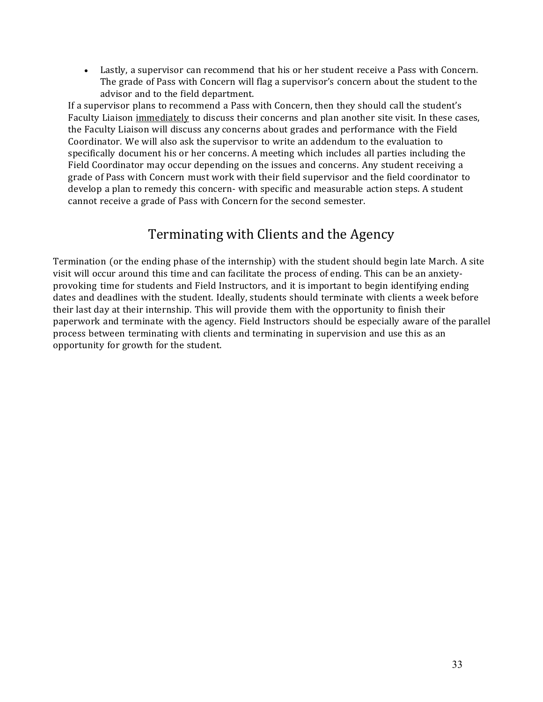• Lastly, a supervisor can recommend that his or her student receive a Pass with Concern. The grade of Pass with Concern will flag a supervisor's concern about the student to the advisor and to the field department.

If a supervisor plans to recommend a Pass with Concern, then they should call the student's Faculty Liaison immediately to discuss their concerns and plan another site visit. In these cases, the Faculty Liaison will discuss any concerns about grades and performance with the Field Coordinator. We will also ask the supervisor to write an addendum to the evaluation to specifically document his or her concerns. A meeting which includes all parties including the Field Coordinator may occur depending on the issues and concerns. Any student receiving a grade of Pass with Concern must work with their field supervisor and the field coordinator to develop a plan to remedy this concern- with specific and measurable action steps. A student cannot receive a grade of Pass with Concern for the second semester.

#### Terminating with Clients and the Agency

<span id="page-32-0"></span>Termination (or the ending phase of the internship) with the student should begin late March. A site visit will occur around this time and can facilitate the process of ending. This can be an anxietyprovoking time for students and Field Instructors, and it is important to begin identifying ending dates and deadlines with the student. Ideally, students should terminate with clients a week before their last day at their internship. This will provide them with the opportunity to finish their paperwork and terminate with the agency. Field Instructors should be especially aware of the parallel process between terminating with clients and terminating in supervision and use this as an opportunity for growth for the student.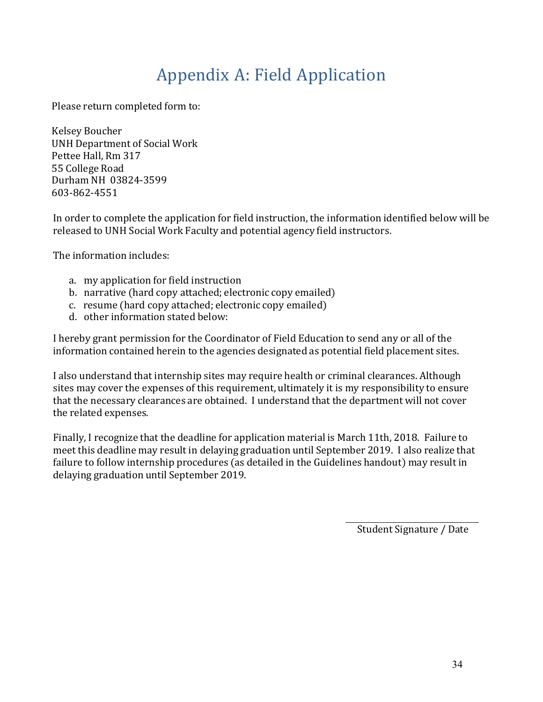# Appendix A: Field Application

<span id="page-33-0"></span>Please return completed form to:

Kelsey Boucher UNH Department of Social Work Pettee Hall, Rm 317 55 College Road Durham NH 03824-3599 603-862-4551

In order to complete the application for field instruction, the information identified below will be released to UNH Social Work Faculty and potential agency field instructors.

The information includes:

- a. my application for field instruction
- b. narrative (hard copy attached; electronic copy emailed)
- c. resume (hard copy attached; electronic copy emailed)
- d. other information stated below:

I hereby grant permission for the Coordinator of Field Education to send any or all of the information contained herein to the agencies designated as potential field placement sites.

I also understand that internship sites may require health or criminal clearances. Although sites may cover the expenses of this requirement, ultimately it is my responsibility to ensure that the necessary clearances are obtained. I understand that the department will not cover the related expenses.

Finally, I recognize that the deadline for application material is March 11th, 2018. Failure to meet this deadline may result in delaying graduation until September 2019. I also realize that failure to follow internship procedures (as detailed in the Guidelines handout) may result in delaying graduation until September 2019.

Student Signature / Date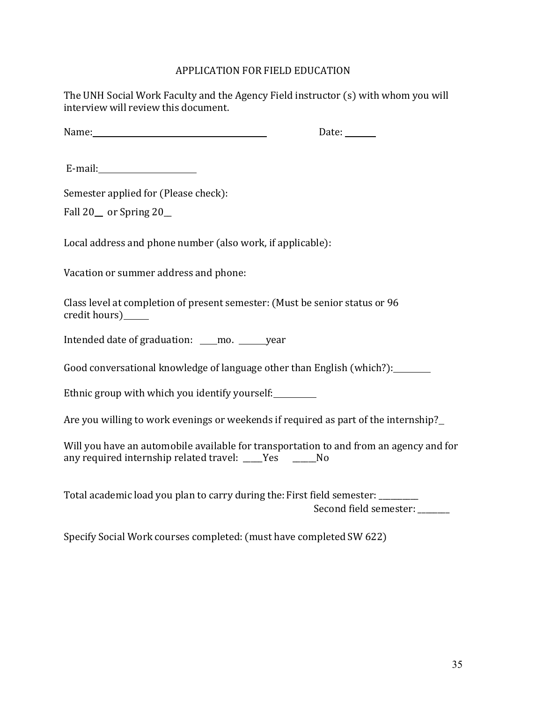#### APPLICATION FOR FIELD EDUCATION

The UNH Social Work Faculty and the Agency Field instructor (s) with whom you will interview will review this document.

Name: Date:

E-mail:

Semester applied for (Please check):

Fall  $20$  or Spring  $20$ 

Local address and phone number (also work, if applicable):

Vacation or summer address and phone:

Class level at completion of present semester: (Must be senior status or 96 credit hours)

Intended date of graduation: \_\_\_\_ mo. \_\_\_\_\_ year

Good conversational knowledge of language other than English (which?):

Ethnic group with which you identify yourself:

Are you willing to work evenings or weekends if required as part of the internship?

Will you have an automobile available for transportation to and from an agency and for any required internship related travel: \_\_\_\_Yes \_\_\_\_\_No

Total academic load you plan to carry during the: First field semester: \_\_\_\_\_\_\_\_ Second field semester: \_\_\_\_\_\_

Specify Social Work courses completed: (must have completed SW 622)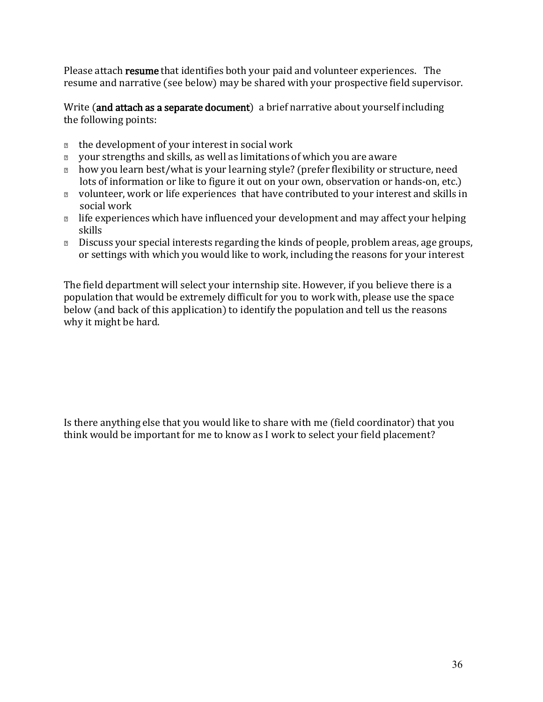Please attach resume that identifies both your paid and volunteer experiences. The resume and narrative (see below) may be shared with your prospective field supervisor.

Write (and attach as a separate document) a brief narrative about yourself including the following points:

- $\Box$  the development of your interest in social work
- your strengths and skills, as well as limitations of which you are aware
- **n** how you learn best/what is your learning style? (prefer flexibility or structure, need lots of information or like to figure it out on your own, observation or hands-on, etc.)
- volunteer, work or life experiences that have contributed to your interest and skills in social work
- $\Box$  life experiences which have influenced your development and may affect your helping skills
- Discuss your special interests regarding the kinds of people, problem areas, age groups, or settings with which you would like to work, including the reasons for your interest

The field department will select your internship site. However, if you believe there is a population that would be extremely difficult for you to work with, please use the space below (and back of this application) to identify the population and tell us the reasons why it might be hard.

Is there anything else that you would like to share with me (field coordinator) that you think would be important for me to know as I work to select your field placement?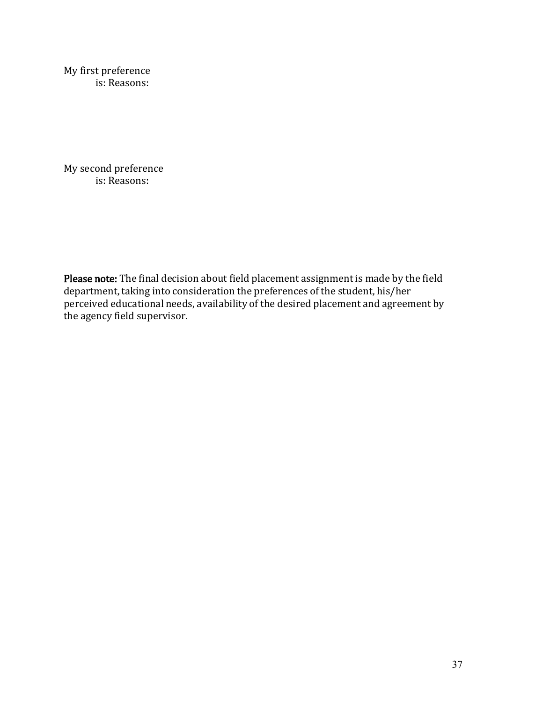My first preference is: Reasons:

My second preference is: Reasons:

Please note: The final decision about field placement assignment is made by the field department, taking into consideration the preferences of the student, his/her perceived educational needs, availability of the desired placement and agreement by the agency field supervisor.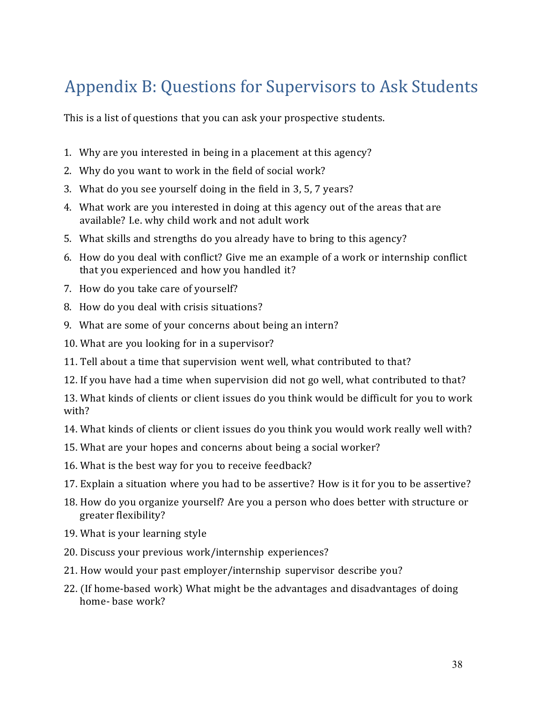# Appendix B: Questions for Supervisors to Ask Students

This is a list of questions that you can ask your prospective students.

- 1. Why are you interested in being in a placement at this agency?
- 2. Why do you want to work in the field of social work?
- 3. What do you see yourself doing in the field in 3, 5, 7 years?
- 4. What work are you interested in doing at this agency out of the areas that are available? I.e. why child work and not adult work
- 5. What skills and strengths do you already have to bring to this agency?
- 6. How do you deal with conflict? Give me an example of a work or internship conflict that you experienced and how you handled it?
- 7. How do you take care of yourself?
- 8. How do you deal with crisis situations?
- 9. What are some of your concerns about being an intern?
- 10. What are you looking for in a supervisor?
- 11. Tell about a time that supervision went well, what contributed to that?
- 12. If you have had a time when supervision did not go well, what contributed to that?

13. What kinds of clients or client issues do you think would be difficult for you to work with?

- 14. What kinds of clients or client issues do you think you would work really well with?
- 15. What are your hopes and concerns about being a social worker?
- 16. What is the best way for you to receive feedback?
- 17. Explain a situation where you had to be assertive? How is it for you to be assertive?
- 18. How do you organize yourself? Are you a person who does better with structure or greater flexibility?
- 19. What is your learning style
- 20. Discuss your previous work/internship experiences?
- 21. How would your past employer/internship supervisor describe you?
- 22. (If home-based work) What might be the advantages and disadvantages of doing home- base work?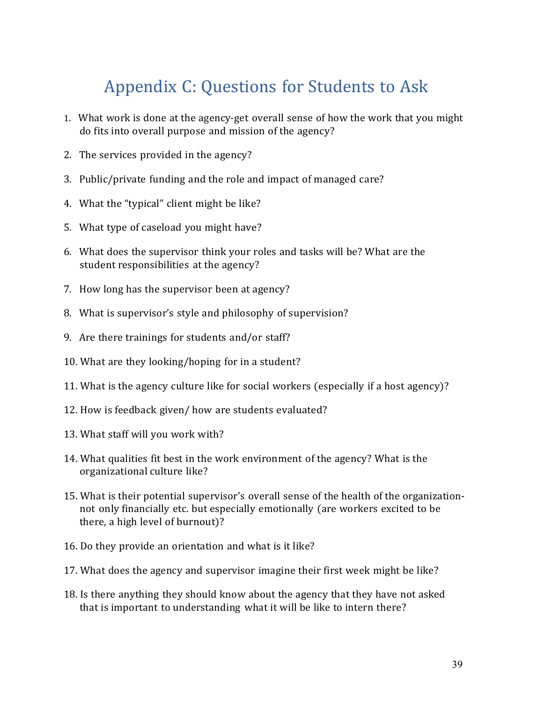# Appendix C: Questions for Students to Ask

- 1. What work is done at the agency-get overall sense of how the work that you might do fits into overall purpose and mission of the agency?
- 2. The services provided in the agency?
- 3. Public/private funding and the role and impact of managed care?
- 4. What the "typical" client might be like?
- 5. What type of caseload you might have?
- 6. What does the supervisor think your roles and tasks will be? What are the student responsibilities at the agency?
- 7. How long has the supervisor been at agency?
- 8. What is supervisor's style and philosophy of supervision?
- 9. Are there trainings for students and/or staff?
- 10. What are they looking/hoping for in a student?
- 11. What is the agency culture like for social workers (especially if a host agency)?
- 12. How is feedback given/ how are students evaluated?
- 13. What staff will you work with?
- 14. What qualities fit best in the work environment of the agency? What is the organizational culture like?
- 15. What is their potential supervisor's overall sense of the health of the organizationnot only financially etc. but especially emotionally (are workers excited to be there, a high level of burnout)?
- 16. Do they provide an orientation and what is it like?
- 17. What does the agency and supervisor imagine their first week might be like?
- 18. Is there anything they should know about the agency that they have not asked that is important to understanding what it will be like to intern there?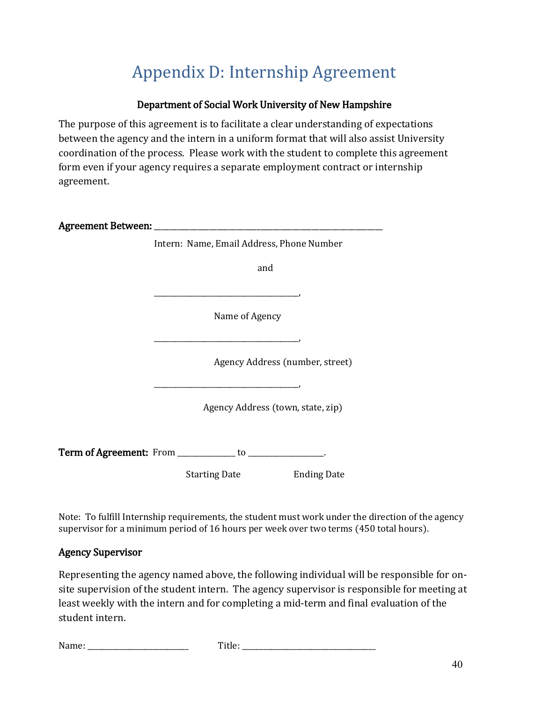# Appendix D: Internship Agreement

# Department of Social Work University of New Hampshire

The purpose of this agreement is to facilitate a clear understanding of expectations between the agency and the intern in a uniform format that will also assist University coordination of the process. Please work with the student to complete this agreement form even if your agency requires a separate employment contract or internship agreement.

| Intern: Name, Email Address, Phone Number                        |  |
|------------------------------------------------------------------|--|
| and                                                              |  |
|                                                                  |  |
| Name of Agency                                                   |  |
|                                                                  |  |
| Agency Address (number, street)                                  |  |
|                                                                  |  |
| Agency Address (town, state, zip)                                |  |
| <b>Term of Agreement:</b> From ____________ to ________________. |  |
|                                                                  |  |
| <b>Ending Date</b><br>Starting Date                              |  |

Note: To fulfill Internship requirements, the student must work under the direction of the agency supervisor for a minimum period of 16 hours per week over two terms (450 total hours).

## Agency Supervisor

Representing the agency named above, the following individual will be responsible for onsite supervision of the student intern. The agency supervisor is responsible for meeting at least weekly with the intern and for completing a mid-term and final evaluation of the student intern.

| <b>B</b><br>. .<br>.<br>$\sim$ $\sim$ |  |
|---------------------------------------|--|
|---------------------------------------|--|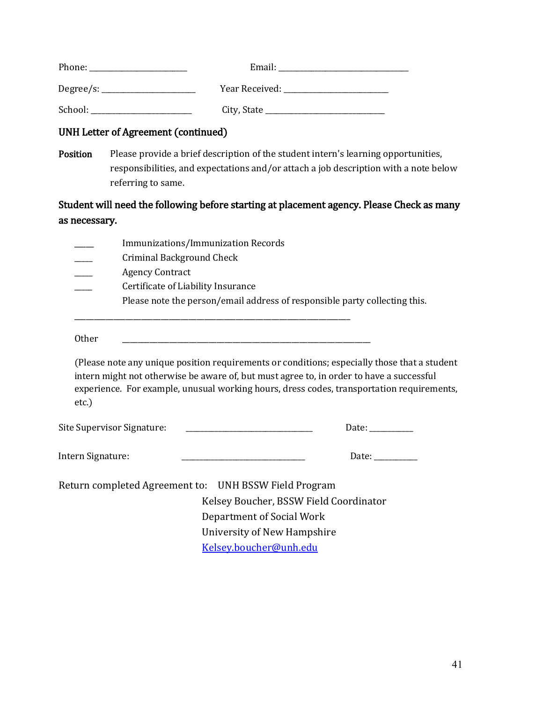| Phone:    | Email:         |
|-----------|----------------|
| Degree/s: | Year Received: |
| School:   | City, State    |

#### UNH Letter of Agreement (continued)

Position Please provide a brief description of the student intern's learning opportunities, responsibilities, and expectations and/or attach a job description with a note below referring to same.

# Student will need the following before starting at placement agency. Please Check as many as necessary.

|                   | Immunizations/Immunization Records<br><b>Criminal Background Check</b><br><b>Agency Contract</b><br>Certificate of Liability Insurance |                                                                     |                                                                                                                                                                                                                                                                                       |  |
|-------------------|----------------------------------------------------------------------------------------------------------------------------------------|---------------------------------------------------------------------|---------------------------------------------------------------------------------------------------------------------------------------------------------------------------------------------------------------------------------------------------------------------------------------|--|
|                   |                                                                                                                                        |                                                                     | Please note the person/email address of responsible party collecting this.                                                                                                                                                                                                            |  |
| Other             |                                                                                                                                        |                                                                     |                                                                                                                                                                                                                                                                                       |  |
| $etc.$ )          |                                                                                                                                        |                                                                     | (Please note any unique position requirements or conditions; especially those that a student<br>intern might not otherwise be aware of, but must agree to, in order to have a successful<br>experience. For example, unusual working hours, dress codes, transportation requirements, |  |
|                   | Site Supervisor Signature:                                                                                                             | <u> 1980 - Johann Barbara, martin a</u>                             | Date:                                                                                                                                                                                                                                                                                 |  |
| Intern Signature: |                                                                                                                                        |                                                                     | Date:                                                                                                                                                                                                                                                                                 |  |
|                   | Return completed Agreement to: UNH BSSW Field Program                                                                                  | Kelsey Boucher, BSSW Field Coordinator<br>Department of Social Work |                                                                                                                                                                                                                                                                                       |  |

University of New Hampshire

[Kelsey.boucher@unh.edu](mailto:Kelsey.boucher@unh.edu)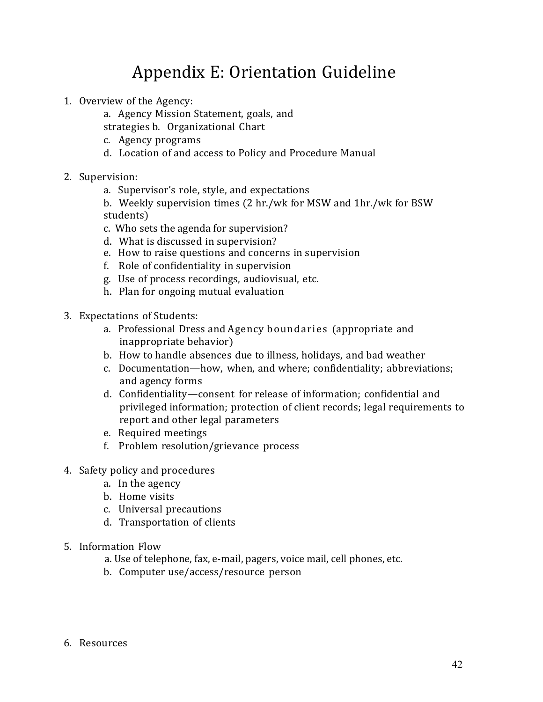# Appendix E: Orientation Guideline

- 1. Overview of the Agency:
	- a. Agency Mission Statement, goals, and
	- strategies b. Organizational Chart
	- c. Agency programs
	- d. Location of and access to Policy and Procedure Manual
- 2. Supervision:
	- a. Supervisor's role, style, and expectations
	- b. Weekly supervision times (2 hr./wk for MSW and 1hr./wk for BSW students)
	- c. Who sets the agenda for supervision?
	- d. What is discussed in supervision?
	- e. How to raise questions and concerns in supervision
	- f. Role of confidentiality in supervision
	- g. Use of process recordings, audiovisual, etc.
	- h. Plan for ongoing mutual evaluation
- 3. Expectations of Students:
	- a. Professional Dress and Agency boundaries (appropriate and inappropriate behavior)
	- b. How to handle absences due to illness, holidays, and bad weather
	- c. Documentation—how, when, and where; confidentiality; abbreviations; and agency forms
	- d. Confidentiality—consent for release of information; confidential and privileged information; protection of client records; legal requirements to report and other legal parameters
	- e. Required meetings
	- f. Problem resolution/grievance process
- 4. Safety policy and procedures
	- a. In the agency
	- b. Home visits
	- c. Universal precautions
	- d. Transportation of clients
- 5. Information Flow
	- a. Use of telephone, fax, e-mail, pagers, voice mail, cell phones, etc.
	- b. Computer use/access/resource person
- 6. Resources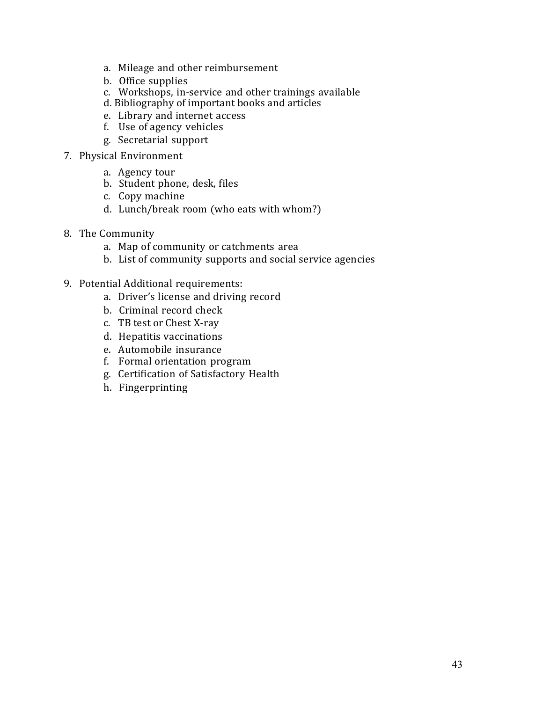- a. Mileage and other reimbursement
- b. Office supplies
- c. Workshops, in-service and other trainings available
- d. Bibliography of important books and articles
- e. Library and internet access
- f. Use of agency vehicles
- g. Secretarial support
- 7. Physical Environment
	- a. Agency tour
	- b. Student phone, desk, files
	- c. Copy machine
	- d. Lunch/break room (who eats with whom?)
- 8. The Community
	- a. Map of community or catchments area
	- b. List of community supports and social service agencies
- 9. Potential Additional requirements:
	- a. Driver's license and driving record
	- b. Criminal record check
	- c. TB test or Chest X-ray
	- d. Hepatitis vaccinations
	- e. Automobile insurance
	- f. Formal orientation program
	- g. Certification of Satisfactory Health
	- h. Fingerprinting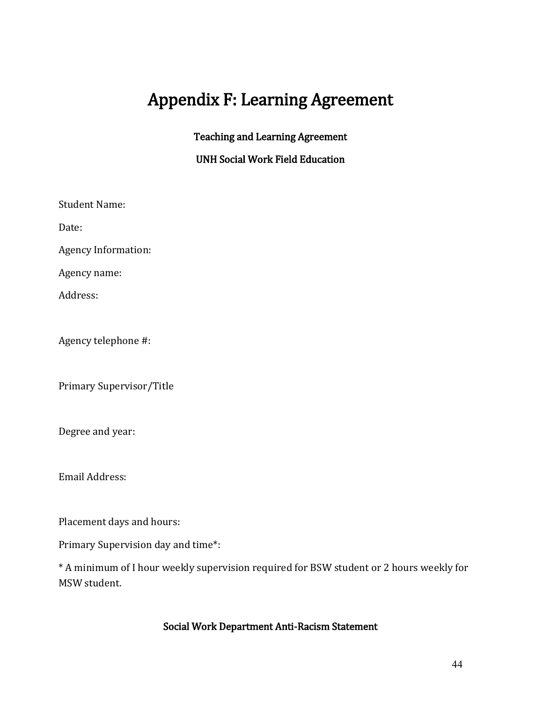# Appendix F: Learning Agreement

## Teaching and Learning Agreement

## UNH Social Work Field Education

Student Name:

Date:

Agency Information:

Agency name:

Address:

Agency telephone #:

Primary Supervisor/Title

Degree and year:

Email Address:

Placement days and hours:

Primary Supervision day and time\*:

\* A minimum of I hour weekly supervision required for BSW student or 2 hours weekly for MSW student.

# Social Work Department Anti-Racism Statement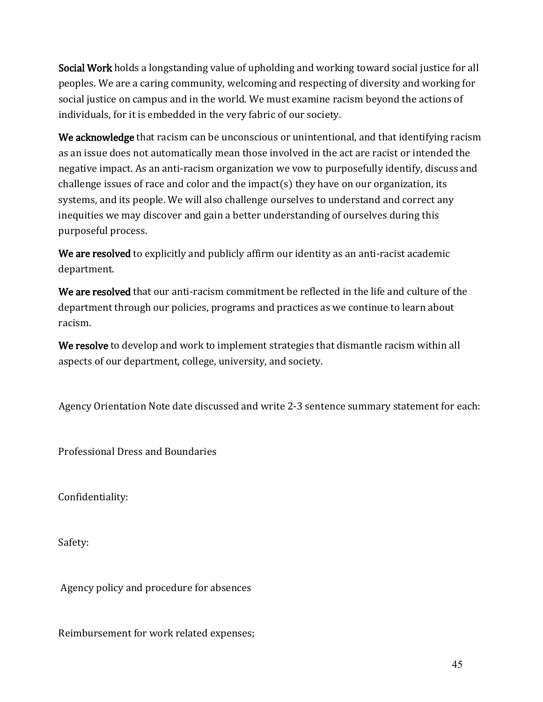Social Work holds a longstanding value of upholding and working toward social justice for all peoples. We are a caring community, welcoming and respecting of diversity and working for social justice on campus and in the world. We must examine racism beyond the actions of individuals, for it is embedded in the very fabric of our society.

We acknowledge that racism can be unconscious or unintentional, and that identifying racism as an issue does not automatically mean those involved in the act are racist or intended the negative impact. As an anti-racism organization we vow to purposefully identify, discuss and challenge issues of race and color and the impact(s) they have on our organization, its systems, and its people. We will also challenge ourselves to understand and correct any inequities we may discover and gain a better understanding of ourselves during this purposeful process.

We are resolved to explicitly and publicly affirm our identity as an anti-racist academic department.

We are resolved that our anti-racism commitment be reflected in the life and culture of the department through our policies, programs and practices as we continue to learn about racism.

We resolve to develop and work to implement strategies that dismantle racism within all aspects of our department, college, university, and society.

Agency Orientation Note date discussed and write 2-3 sentence summary statement for each:

Professional Dress and Boundaries

Confidentiality:

Safety:

Agency policy and procedure for absences

Reimbursement for work related expenses;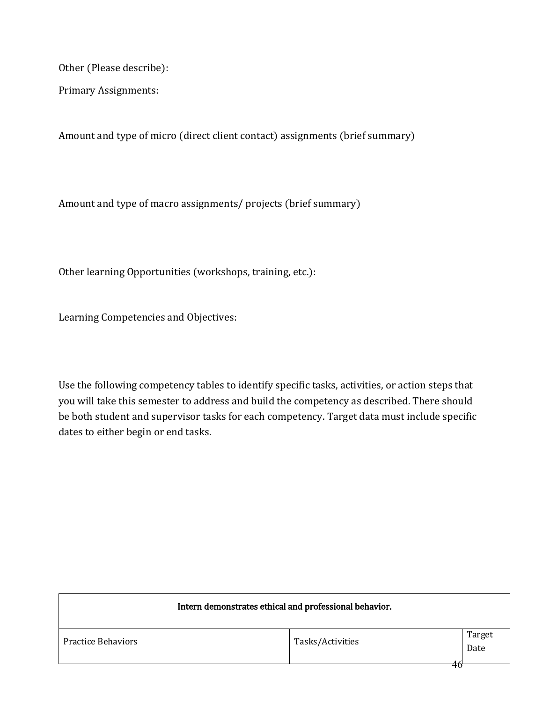Other (Please describe):

Primary Assignments:

Amount and type of micro (direct client contact) assignments (brief summary)

Amount and type of macro assignments/ projects (brief summary)

Other learning Opportunities (workshops, training, etc.):

Learning Competencies and Objectives:

Use the following competency tables to identify specific tasks, activities, or action steps that you will take this semester to address and build the competency as described. There should be both student and supervisor tasks for each competency. Target data must include specific dates to either begin or end tasks.

| Intern demonstrates ethical and professional behavior. |                  |                |  |
|--------------------------------------------------------|------------------|----------------|--|
| <b>Practice Behaviors</b>                              | Tasks/Activities | Target<br>Date |  |
|                                                        |                  | 40             |  |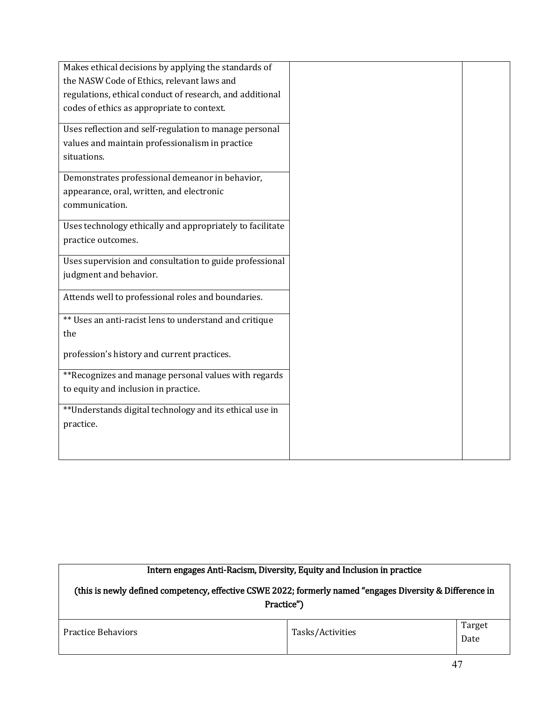| Makes ethical decisions by applying the standards of      |
|-----------------------------------------------------------|
| the NASW Code of Ethics, relevant laws and                |
| regulations, ethical conduct of research, and additional  |
| codes of ethics as appropriate to context.                |
|                                                           |
| Uses reflection and self-regulation to manage personal    |
| values and maintain professionalism in practice           |
| situations.                                               |
| Demonstrates professional demeanor in behavior,           |
|                                                           |
| appearance, oral, written, and electronic                 |
| communication.                                            |
| Uses technology ethically and appropriately to facilitate |
| practice outcomes.                                        |
|                                                           |
| Uses supervision and consultation to guide professional   |
| judgment and behavior.                                    |
| Attends well to professional roles and boundaries.        |
|                                                           |
| ** Uses an anti-racist lens to understand and critique    |
| the                                                       |
|                                                           |
| profession's history and current practices.               |
| **Recognizes and manage personal values with regards      |
| to equity and inclusion in practice.                      |
|                                                           |
| **Understands digital technology and its ethical use in   |
| practice.                                                 |
|                                                           |
|                                                           |

| Intern engages Anti-Racism, Diversity, Equity and Inclusion in practice<br>(this is newly defined competency, effective CSWE 2022; formerly named "engages Diversity & Difference in<br>Practice") |                  |                |
|----------------------------------------------------------------------------------------------------------------------------------------------------------------------------------------------------|------------------|----------------|
| <b>Practice Behaviors</b>                                                                                                                                                                          | Tasks/Activities | Target<br>Date |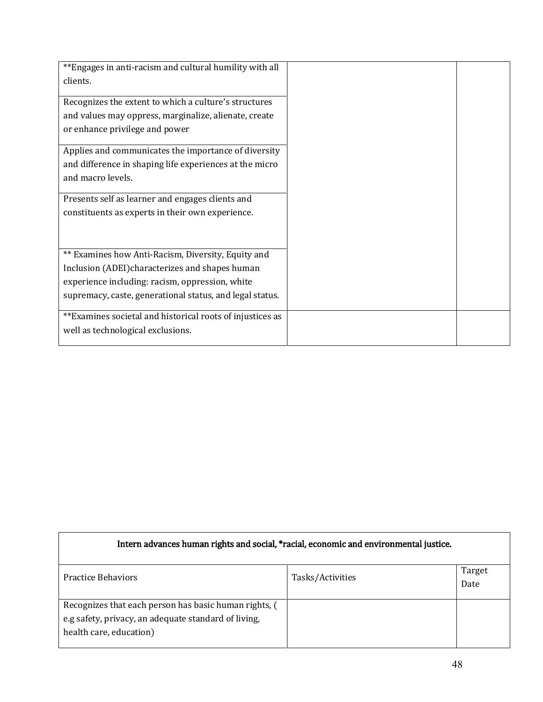| **Engages in anti-racism and cultural humility with all   |
|-----------------------------------------------------------|
| clients.                                                  |
|                                                           |
| Recognizes the extent to which a culture's structures     |
| and values may oppress, marginalize, alienate, create     |
| or enhance privilege and power                            |
| Applies and communicates the importance of diversity      |
| and difference in shaping life experiences at the micro   |
| and macro levels.                                         |
|                                                           |
| Presents self as learner and engages clients and          |
| constituents as experts in their own experience.          |
|                                                           |
|                                                           |
| ** Examines how Anti-Racism, Diversity, Equity and        |
| Inclusion (ADEI) characterizes and shapes human           |
| experience including: racism, oppression, white           |
| supremacy, caste, generational status, and legal status.  |
|                                                           |
| **Examines societal and historical roots of injustices as |
| well as technological exclusions.                         |
|                                                           |

| Intern advances human rights and social, *racial, economic and environmental justice.                                                    |                  |                |
|------------------------------------------------------------------------------------------------------------------------------------------|------------------|----------------|
| <b>Practice Behaviors</b>                                                                                                                | Tasks/Activities | Target<br>Date |
| Recognizes that each person has basic human rights, (<br>e.g safety, privacy, an adequate standard of living,<br>health care, education) |                  |                |

 $\overline{1}$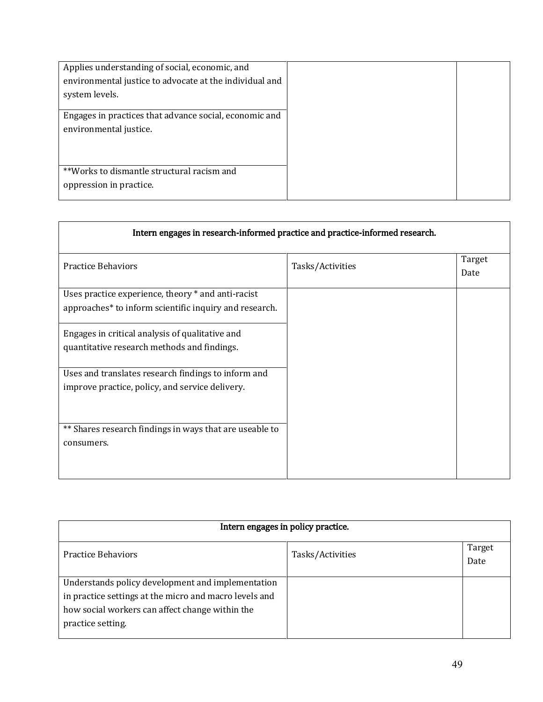| Applies understanding of social, economic, and<br>environmental justice to advocate at the individual and<br>system levels. |  |
|-----------------------------------------------------------------------------------------------------------------------------|--|
| Engages in practices that advance social, economic and<br>environmental justice.                                            |  |
| **Works to dismantle structural racism and<br>oppression in practice.                                                       |  |

| Intern engages in research-informed practice and practice-informed research.                                             |                  |                |
|--------------------------------------------------------------------------------------------------------------------------|------------------|----------------|
| <b>Practice Behaviors</b>                                                                                                | Tasks/Activities | Target<br>Date |
| Uses practice experience, theory * and anti-racist<br>approaches <sup>*</sup> to inform scientific inquiry and research. |                  |                |
| Engages in critical analysis of qualitative and<br>quantitative research methods and findings.                           |                  |                |
| Uses and translates research findings to inform and<br>improve practice, policy, and service delivery.                   |                  |                |
| ** Shares research findings in ways that are useable to<br>consumers.                                                    |                  |                |

| Intern engages in policy practice.                                                                                                                                                  |                  |                |
|-------------------------------------------------------------------------------------------------------------------------------------------------------------------------------------|------------------|----------------|
| <b>Practice Behaviors</b>                                                                                                                                                           | Tasks/Activities | Target<br>Date |
| Understands policy development and implementation<br>in practice settings at the micro and macro levels and<br>how social workers can affect change within the<br>practice setting. |                  |                |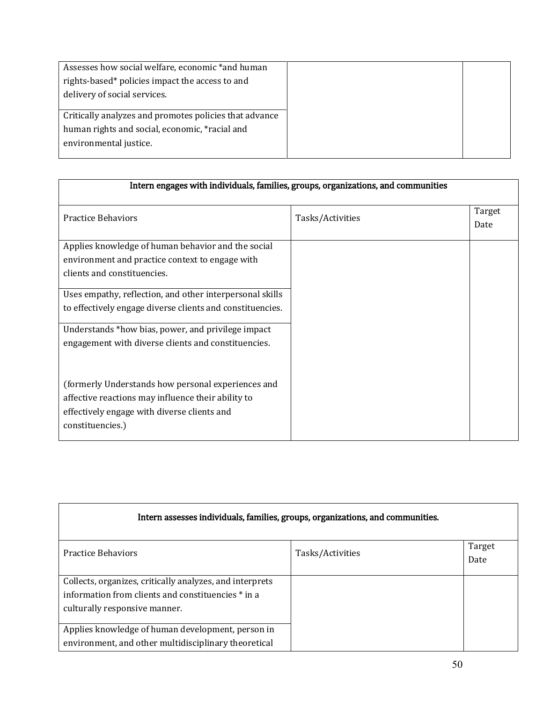| Assesses how social welfare, economic *and human       |
|--------------------------------------------------------|
| rights-based* policies impact the access to and        |
| delivery of social services.                           |
|                                                        |
| Critically analyzes and promotes policies that advance |
| human rights and social, economic, *racial and         |
| environmental justice.                                 |
|                                                        |

| Intern engages with individuals, families, groups, organizations, and communities                                                                                                                                                  |                  |                |  |  |
|------------------------------------------------------------------------------------------------------------------------------------------------------------------------------------------------------------------------------------|------------------|----------------|--|--|
| <b>Practice Behaviors</b>                                                                                                                                                                                                          | Tasks/Activities | Target<br>Date |  |  |
| Applies knowledge of human behavior and the social<br>environment and practice context to engage with<br>clients and constituencies.                                                                                               |                  |                |  |  |
| Uses empathy, reflection, and other interpersonal skills<br>to effectively engage diverse clients and constituencies.<br>Understands *how bias, power, and privilege impact<br>engagement with diverse clients and constituencies. |                  |                |  |  |
| (formerly Understands how personal experiences and<br>affective reactions may influence their ability to<br>effectively engage with diverse clients and<br>constituencies.)                                                        |                  |                |  |  |

| Intern assesses individuals, families, groups, organizations, and communities. |                  |        |  |  |
|--------------------------------------------------------------------------------|------------------|--------|--|--|
| <b>Practice Behaviors</b>                                                      | Tasks/Activities | Target |  |  |
|                                                                                |                  | Date   |  |  |
| Collects, organizes, critically analyzes, and interprets                       |                  |        |  |  |
| information from clients and constituencies * in a                             |                  |        |  |  |
| culturally responsive manner.                                                  |                  |        |  |  |
| Applies knowledge of human development, person in                              |                  |        |  |  |
| environment, and other multidisciplinary theoretical                           |                  |        |  |  |

 $\mathbf{r}$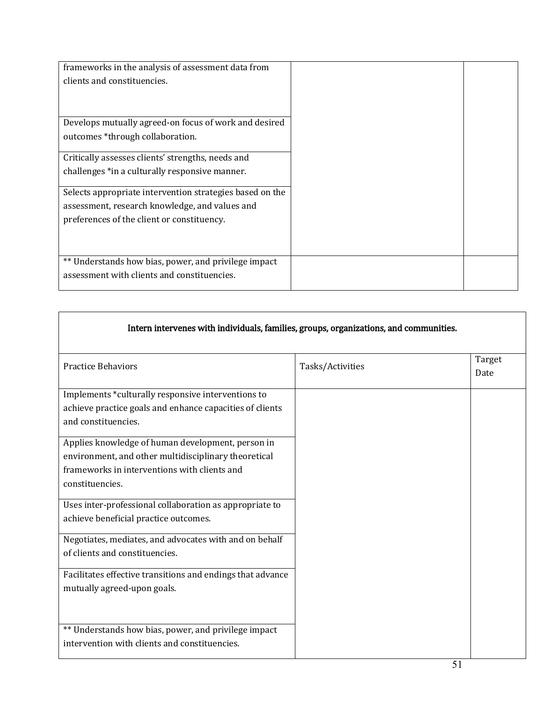| frameworks in the analysis of assessment data from       |  |
|----------------------------------------------------------|--|
| clients and constituencies.                              |  |
|                                                          |  |
|                                                          |  |
| Develops mutually agreed-on focus of work and desired    |  |
| outcomes *through collaboration.                         |  |
|                                                          |  |
| Critically assesses clients' strengths, needs and        |  |
| challenges *in a culturally responsive manner.           |  |
|                                                          |  |
| Selects appropriate intervention strategies based on the |  |
| assessment, research knowledge, and values and           |  |
| preferences of the client or constituency.               |  |
|                                                          |  |
|                                                          |  |
| ** Understands how bias, power, and privilege impact     |  |
| assessment with clients and constituencies.              |  |
|                                                          |  |

 $\Gamma$ 

| Intern intervenes with individuals, families, groups, organizations, and communities.                                                                                        |                  |                |  |  |
|------------------------------------------------------------------------------------------------------------------------------------------------------------------------------|------------------|----------------|--|--|
| <b>Practice Behaviors</b>                                                                                                                                                    | Tasks/Activities | Target<br>Date |  |  |
| Implements *culturally responsive interventions to<br>achieve practice goals and enhance capacities of clients<br>and constituencies.                                        |                  |                |  |  |
| Applies knowledge of human development, person in<br>environment, and other multidisciplinary theoretical<br>frameworks in interventions with clients and<br>constituencies. |                  |                |  |  |
| Uses inter-professional collaboration as appropriate to<br>achieve beneficial practice outcomes.                                                                             |                  |                |  |  |
| Negotiates, mediates, and advocates with and on behalf<br>of clients and constituencies.                                                                                     |                  |                |  |  |
| Facilitates effective transitions and endings that advance<br>mutually agreed-upon goals.                                                                                    |                  |                |  |  |
| ** Understands how bias, power, and privilege impact<br>intervention with clients and constituencies.                                                                        |                  |                |  |  |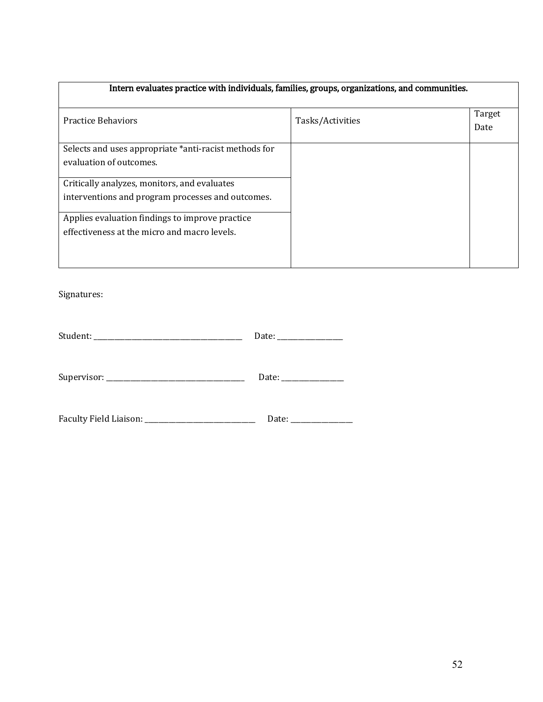# Intern evaluates practice with individuals, families, groups, organizations, and communities.

| <b>Practice Behaviors</b>                             | Tasks/Activities | Target |
|-------------------------------------------------------|------------------|--------|
|                                                       |                  | Date   |
|                                                       |                  |        |
| Selects and uses appropriate *anti-racist methods for |                  |        |
| evaluation of outcomes.                               |                  |        |
|                                                       |                  |        |
| Critically analyzes, monitors, and evaluates          |                  |        |
| interventions and program processes and outcomes.     |                  |        |
|                                                       |                  |        |
| Applies evaluation findings to improve practice       |                  |        |
| effectiveness at the micro and macro levels.          |                  |        |
|                                                       |                  |        |
|                                                       |                  |        |
|                                                       |                  |        |

Signatures:

| Date: the contract of the contract of the contract of the contract of the contract of the contract of the contract of the contract of the contract of the contract of the contract of the contract of the contract of the cont |
|--------------------------------------------------------------------------------------------------------------------------------------------------------------------------------------------------------------------------------|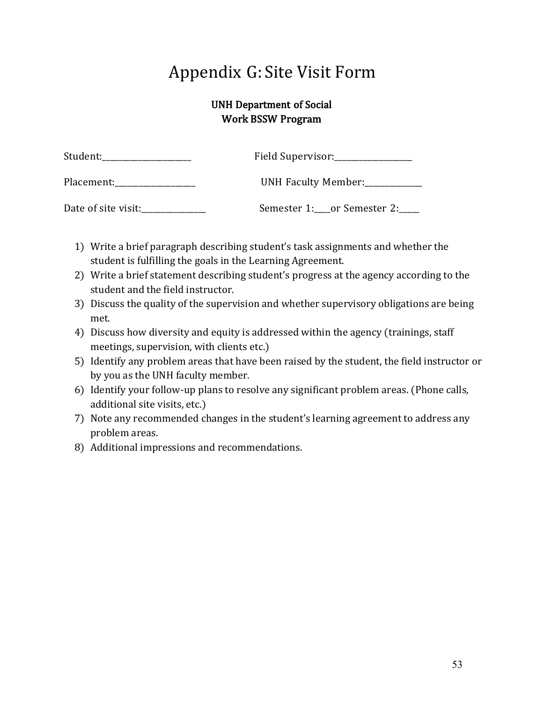# Appendix G: Site Visit Form

# UNH Department of Social Work BSSW Program

| Student:            | Field Supervisor:                 |  |  |
|---------------------|-----------------------------------|--|--|
| Placement:          | UNH Faculty Member:               |  |  |
| Date of site visit: | Semester 1: ___ or Semester 2: __ |  |  |

- 1) Write a brief paragraph describing student's task assignments and whether the student is fulfilling the goals in the Learning Agreement.
- 2) Write a brief statement describing student's progress at the agency according to the student and the field instructor.
- 3) Discuss the quality of the supervision and whether supervisory obligations are being met.
- 4) Discuss how diversity and equity is addressed within the agency (trainings, staff meetings, supervision, with clients etc.)
- 5) Identify any problem areas that have been raised by the student, the field instructor or by you as the UNH faculty member.
- 6) Identify your follow-up plans to resolve any significant problem areas. (Phone calls, additional site visits, etc.)
- 7) Note any recommended changes in the student's learning agreement to address any problem areas.
- 8) Additional impressions and recommendations.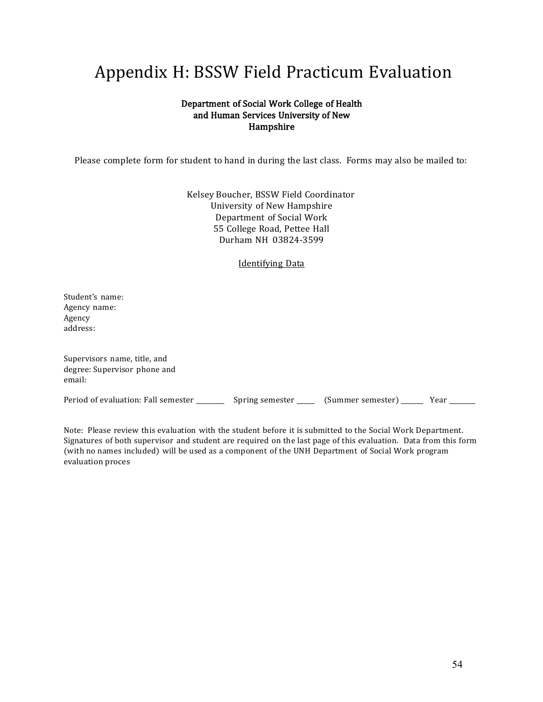# Appendix H: BSSW Field Practicum Evaluation

#### Department of Social Work College of Health and Human Services University of New Hampshire

Please complete form for student to hand in during the last class. Forms may also be mailed to:

Kelsey Boucher, BSSW Field Coordinator University of New Hampshire Department of Social Work 55 College Road, Pettee Hall Durham NH 03824-3599

#### Identifying Data

Student's name: Agency name: Agency address:

| Supervisors name, title, and<br>degree: Supervisor phone and<br>email: |                 |                   |      |
|------------------------------------------------------------------------|-----------------|-------------------|------|
| Period of evaluation: Fall semester                                    | Spring semester | (Summer semester) | Year |

Note: Please review this evaluation with the student before it is submitted to the Social Work Department. Signatures of both supervisor and student are required on the last page of this evaluation. Data from this form (with no names included) will be used as a component of the UNH Department of Social Work program evaluation proces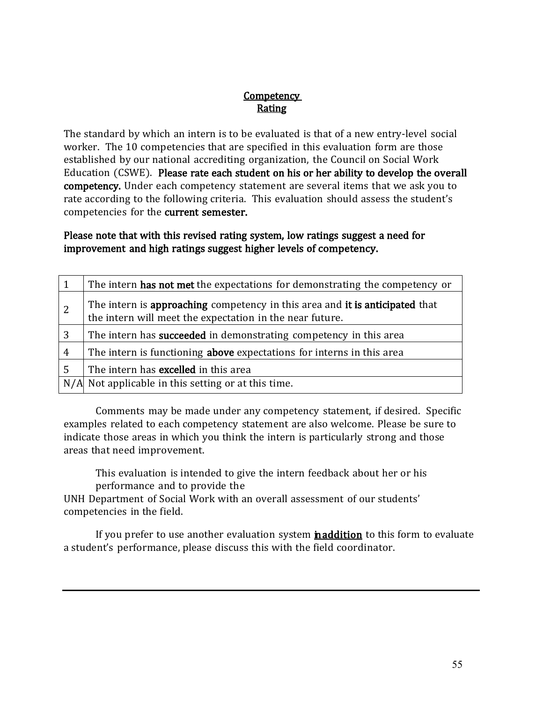## **Competency Rating**

The standard by which an intern is to be evaluated is that of a new entry-level social worker. The 10 competencies that are specified in this evaluation form are those established by our national accrediting organization, the Council on Social Work Education (CSWE). Please rate each student on his or her ability to develop the overall competency. Under each competency statement are several items that we ask you to rate according to the following criteria. This evaluation should assess the student's competencies for the current semester.

# Please note that with this revised rating system, low ratings suggest a need for improvement and high ratings suggest higher levels of competency.

|                | The intern has not met the expectations for demonstrating the competency or                                                              |
|----------------|------------------------------------------------------------------------------------------------------------------------------------------|
| $\overline{2}$ | The intern is approaching competency in this area and it is anticipated that<br>the intern will meet the expectation in the near future. |
| 3              | The intern has <b>succeeded</b> in demonstrating competency in this area                                                                 |
| $\overline{4}$ | The intern is functioning above expectations for interns in this area                                                                    |
| 5              | The intern has excelled in this area                                                                                                     |
|                | N/A Not applicable in this setting or at this time.                                                                                      |

Comments may be made under any competency statement, if desired. Specific examples related to each competency statement are also welcome. Please be sure to indicate those areas in which you think the intern is particularly strong and those areas that need improvement.

This evaluation is intended to give the intern feedback about her or his performance and to provide the

UNH Department of Social Work with an overall assessment of our students' competencies in the field.

If you prefer to use another evaluation system **naddition** to this form to evaluate a student's performance, please discuss this with the field coordinator.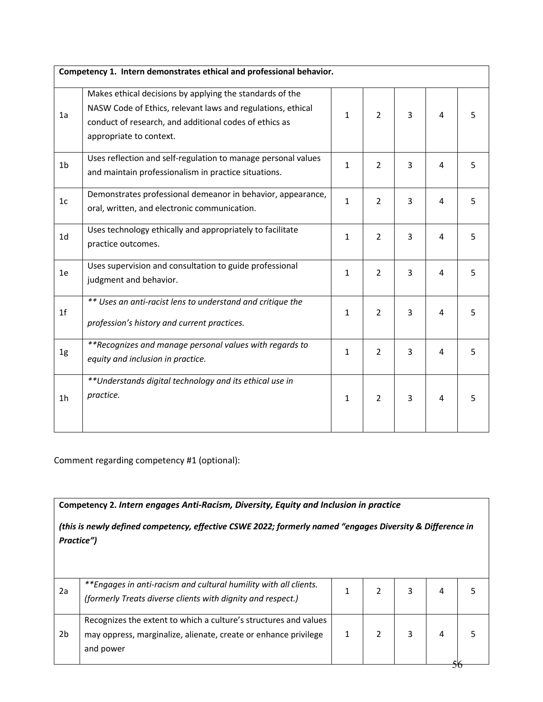|                | Competency 1. Intern demonstrates ethical and professional behavior.                                                                                                                                         |              |                |   |   |   |
|----------------|--------------------------------------------------------------------------------------------------------------------------------------------------------------------------------------------------------------|--------------|----------------|---|---|---|
| 1a             | Makes ethical decisions by applying the standards of the<br>NASW Code of Ethics, relevant laws and regulations, ethical<br>conduct of research, and additional codes of ethics as<br>appropriate to context. | $\mathbf{1}$ | $\overline{2}$ | 3 | 4 | 5 |
| 1 <sub>b</sub> | Uses reflection and self-regulation to manage personal values<br>and maintain professionalism in practice situations.                                                                                        | $\mathbf{1}$ | $\overline{2}$ | 3 | 4 | 5 |
| 1 <sub>c</sub> | Demonstrates professional demeanor in behavior, appearance,<br>oral, written, and electronic communication.                                                                                                  | $\mathbf{1}$ | $\overline{2}$ | 3 | 4 | 5 |
| 1 <sub>d</sub> | Uses technology ethically and appropriately to facilitate<br>practice outcomes.                                                                                                                              | $\mathbf{1}$ | $\overline{2}$ | 3 | 4 | 5 |
| 1e             | Uses supervision and consultation to guide professional<br>judgment and behavior.                                                                                                                            | $\mathbf{1}$ | $\overline{2}$ | 3 | 4 | 5 |
| 1 <sup>f</sup> | ** Uses an anti-racist lens to understand and critique the<br>profession's history and current practices.                                                                                                    | $\mathbf{1}$ | 2              | 3 | 4 | 5 |
| 1g             | **Recognizes and manage personal values with regards to<br>equity and inclusion in practice.                                                                                                                 | $\mathbf{1}$ | $\overline{2}$ | 3 | 4 | 5 |
| 1 <sub>h</sub> | **Understands digital technology and its ethical use in<br>practice.                                                                                                                                         | $\mathbf{1}$ | $\overline{2}$ | 3 | 4 | 5 |

Comment regarding competency #1 (optional):

**Competency 2.** *Intern engages Anti-Racism, Diversity, Equity and Inclusion in practice*

*(this is newly defined competency, effective CSWE 2022; formerly named "engages Diversity & Difference in Practice")*

| 2a | **Engages in anti-racism and cultural humility with all clients.<br>(formerly Treats diverse clients with dignity and respect.)                  |  |  |  |
|----|--------------------------------------------------------------------------------------------------------------------------------------------------|--|--|--|
| 2b | Recognizes the extent to which a culture's structures and values<br>may oppress, marginalize, alienate, create or enhance privilege<br>and power |  |  |  |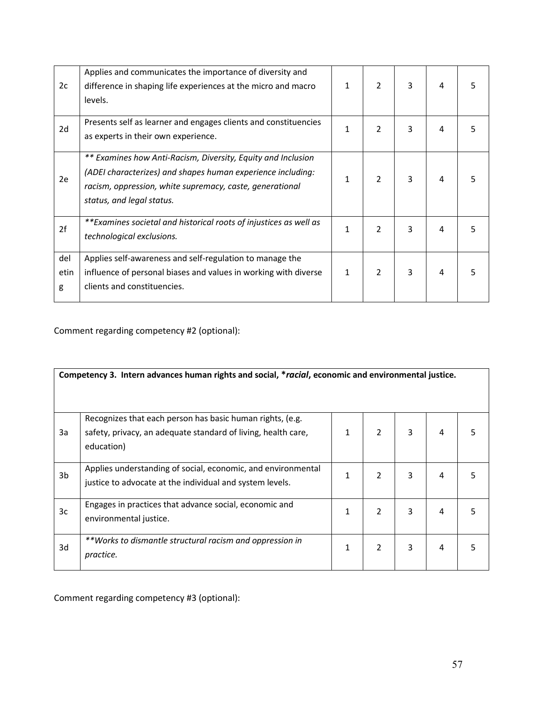| 2c               | Applies and communicates the importance of diversity and<br>difference in shaping life experiences at the micro and macro<br>levels.                                                                                 | 1 | $\mathcal{P}$ | 3 | 4 |   |
|------------------|----------------------------------------------------------------------------------------------------------------------------------------------------------------------------------------------------------------------|---|---------------|---|---|---|
| 2d               | Presents self as learner and engages clients and constituencies<br>as experts in their own experience.                                                                                                               | 1 | $\mathcal{P}$ | 3 | 4 | 5 |
| 2e               | ** Examines how Anti-Racism, Diversity, Equity and Inclusion<br>(ADEI characterizes) and shapes human experience including:<br>racism, oppression, white supremacy, caste, generational<br>status, and legal status. | 1 | $\mathcal{P}$ | 3 | 4 |   |
| 2f               | **Examines societal and historical roots of injustices as well as<br>technological exclusions.                                                                                                                       | 1 | 2             | 3 | 4 | 5 |
| del<br>etin<br>g | Applies self-awareness and self-regulation to manage the<br>influence of personal biases and values in working with diverse<br>clients and constituencies.                                                           | 1 | 2             | 3 | 4 | 5 |

Comment regarding competency #2 (optional):

|    | Competency 3. Intern advances human rights and social, *racial, economic and environmental justice.                                      |              |   |   |   |   |
|----|------------------------------------------------------------------------------------------------------------------------------------------|--------------|---|---|---|---|
| 3a | Recognizes that each person has basic human rights, (e.g.<br>safety, privacy, an adequate standard of living, health care,<br>education) | $\mathbf{1}$ | 2 | 3 | 4 | 5 |
| 3b | Applies understanding of social, economic, and environmental<br>justice to advocate at the individual and system levels.                 | 1            | 2 | 3 | 4 | 5 |
| 3c | Engages in practices that advance social, economic and<br>environmental justice.                                                         | 1            | 2 | 3 | 4 | 5 |
| 3d | **Works to dismantle structural racism and oppression in<br>practice.                                                                    | 1            | 2 | 3 | 4 | 5 |

Comment regarding competency #3 (optional):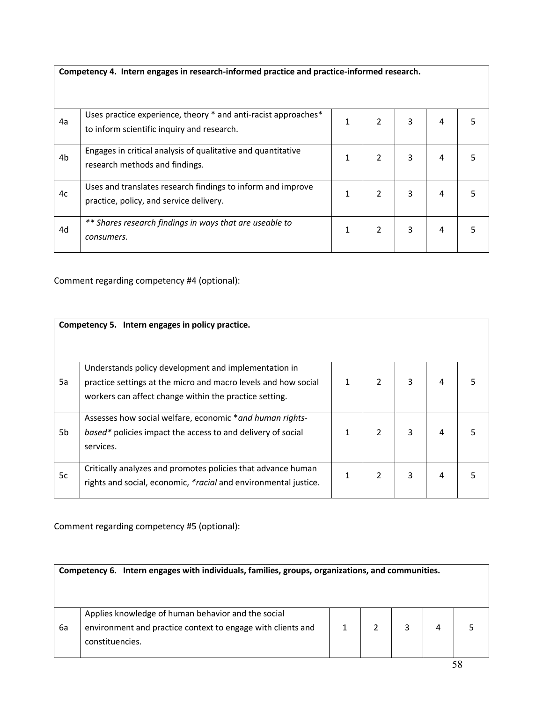|    | Competency 4. Intern engages in research-informed practice and practice-informed research.                    |   |   |   |   |  |
|----|---------------------------------------------------------------------------------------------------------------|---|---|---|---|--|
| 4a | Uses practice experience, theory * and anti-racist approaches *<br>to inform scientific inquiry and research. | 1 | 2 | 3 | 4 |  |
| 4b | Engages in critical analysis of qualitative and quantitative<br>research methods and findings.                | 1 | 2 | 3 | 4 |  |
| 4c | Uses and translates research findings to inform and improve<br>practice, policy, and service delivery.        | 1 | 2 | 3 | 4 |  |
| 4d | ** Shares research findings in ways that are useable to<br>consumers.                                         | 1 | 2 | 3 | 4 |  |

Comment regarding competency #4 (optional):

|    | Competency 5. Intern engages in policy practice.                                                                                                                                 |              |   |   |   |   |
|----|----------------------------------------------------------------------------------------------------------------------------------------------------------------------------------|--------------|---|---|---|---|
|    |                                                                                                                                                                                  |              |   |   |   |   |
| 5a | Understands policy development and implementation in<br>practice settings at the micro and macro levels and how social<br>workers can affect change within the practice setting. | $\mathbf{1}$ | 2 | 3 | 4 |   |
| 5b | Assesses how social welfare, economic *and human rights-<br>based* policies impact the access to and delivery of social<br>services.                                             | 1            | 2 | 3 | 4 |   |
| 5c | Critically analyzes and promotes policies that advance human<br>rights and social, economic, *racial and environmental justice.                                                  | 1            | 2 | 3 | 4 | 5 |

Comment regarding competency #5 (optional):

|    | Competency 6. Intern engages with individuals, families, groups, organizations, and communities.                                     |  |  |  |  |  |  |  |
|----|--------------------------------------------------------------------------------------------------------------------------------------|--|--|--|--|--|--|--|
| 6a | Applies knowledge of human behavior and the social<br>environment and practice context to engage with clients and<br>constituencies. |  |  |  |  |  |  |  |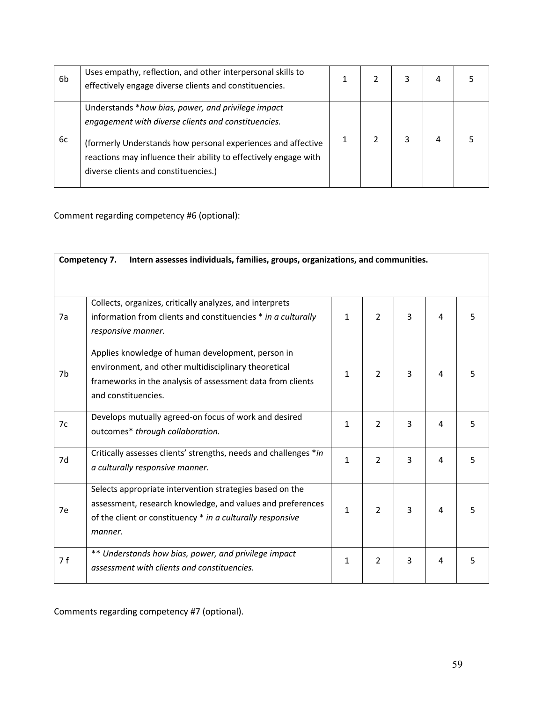| 6b | Uses empathy, reflection, and other interpersonal skills to<br>effectively engage diverse clients and constituencies.                                                                                                                                                                 |  | 3 | 4 |  |
|----|---------------------------------------------------------------------------------------------------------------------------------------------------------------------------------------------------------------------------------------------------------------------------------------|--|---|---|--|
| 6с | Understands *how bias, power, and privilege impact<br>engagement with diverse clients and constituencies.<br>(formerly Understands how personal experiences and affective<br>reactions may influence their ability to effectively engage with<br>diverse clients and constituencies.) |  | 3 | 4 |  |

Comment regarding competency #6 (optional):

| Intern assesses individuals, families, groups, organizations, and communities.<br>Competency 7. |                                                                                                                                                                                                 |              |               |   |   |    |
|-------------------------------------------------------------------------------------------------|-------------------------------------------------------------------------------------------------------------------------------------------------------------------------------------------------|--------------|---------------|---|---|----|
| 7a                                                                                              | Collects, organizes, critically analyzes, and interprets<br>information from clients and constituencies * in a culturally<br>responsive manner.                                                 | $\mathbf{1}$ | $\mathcal{P}$ | 3 | 4 | 5. |
| 7b                                                                                              | Applies knowledge of human development, person in<br>environment, and other multidisciplinary theoretical<br>frameworks in the analysis of assessment data from clients<br>and constituencies.  | 1            | $\mathcal{P}$ | 3 | 4 | 5. |
| 7c                                                                                              | Develops mutually agreed-on focus of work and desired<br>outcomes* through collaboration.                                                                                                       | 1            | $\mathcal{P}$ | 3 | 4 | 5  |
| 7d                                                                                              | Critically assesses clients' strengths, needs and challenges *in<br>a culturally responsive manner.                                                                                             | $\mathbf{1}$ | $\mathcal{P}$ | 3 | 4 | 5  |
| 7e                                                                                              | Selects appropriate intervention strategies based on the<br>assessment, research knowledge, and values and preferences<br>of the client or constituency * in a culturally responsive<br>manner. | $\mathbf{1}$ | $\mathcal{P}$ | 3 | 4 | 5. |
| 7 f                                                                                             | ** Understands how bias, power, and privilege impact<br>assessment with clients and constituencies.                                                                                             | 1            | 2             | 3 | 4 | 5  |

Comments regarding competency #7 (optional).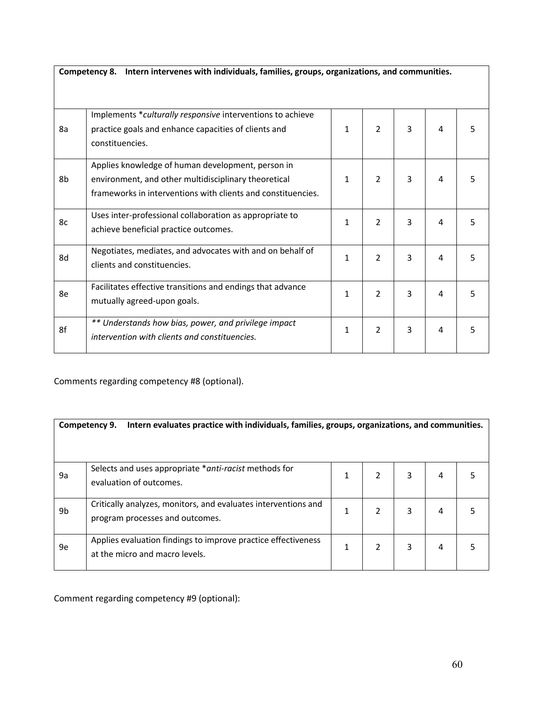|    | Competency 8. Intern intervenes with individuals, families, groups, organizations, and communities.                                                                       |              |                |   |   |   |
|----|---------------------------------------------------------------------------------------------------------------------------------------------------------------------------|--------------|----------------|---|---|---|
| 8a | Implements *culturally responsive interventions to achieve<br>practice goals and enhance capacities of clients and<br>constituencies.                                     | $\mathbf{1}$ | 2              | 3 | 4 | 5 |
| 8b | Applies knowledge of human development, person in<br>environment, and other multidisciplinary theoretical<br>frameworks in interventions with clients and constituencies. | $\mathbf{1}$ | $\overline{2}$ | 3 | 4 | 5 |
| 8c | Uses inter-professional collaboration as appropriate to<br>achieve beneficial practice outcomes.                                                                          | 1            | $\overline{2}$ | 3 | 4 | 5 |
| 8d | Negotiates, mediates, and advocates with and on behalf of<br>clients and constituencies.                                                                                  | $\mathbf{1}$ | $\overline{2}$ | 3 | 4 | 5 |
| 8e | Facilitates effective transitions and endings that advance<br>mutually agreed-upon goals.                                                                                 | 1            | 2              | 3 | 4 | 5 |
| 8f | ** Understands how bias, power, and privilege impact<br>intervention with clients and constituencies.                                                                     | 1            | $\overline{2}$ | 3 | 4 | 5 |

Comments regarding competency #8 (optional).

|    | Intern evaluates practice with individuals, families, groups, organizations, and communities.<br>Competency 9. |   |   |   |   |  |  |
|----|----------------------------------------------------------------------------------------------------------------|---|---|---|---|--|--|
| 9a | Selects and uses appropriate *anti-racist methods for<br>evaluation of outcomes.                               | 1 | 2 | 3 | 4 |  |  |
| 9b | Critically analyzes, monitors, and evaluates interventions and<br>program processes and outcomes.              |   | 2 | 3 | 4 |  |  |
| 9e | Applies evaluation findings to improve practice effectiveness<br>at the micro and macro levels.                |   | 2 | 3 | 4 |  |  |

Comment regarding competency #9 (optional):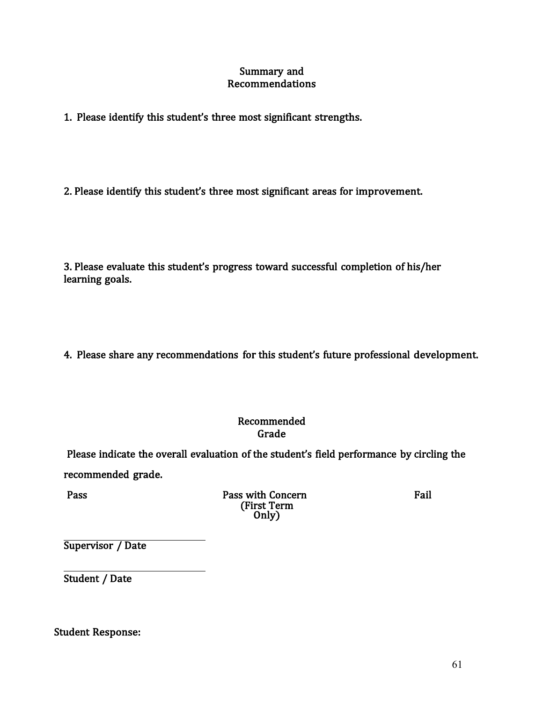#### Summary and Recommendations

1. Please identify this student's three most significant strengths.

2. Please identify this student's three most significant areas for improvement.

3. Please evaluate this student's progress toward successful completion of his/her learning goals.

4. Please share any recommendations for this student's future professional development.

### Recommended Grade

Please indicate the overall evaluation of the student's field performance by circling the recommended grade.

Pass with Concern Fail (First Term Only)

Supervisor / Date

Student / Date

Student Response: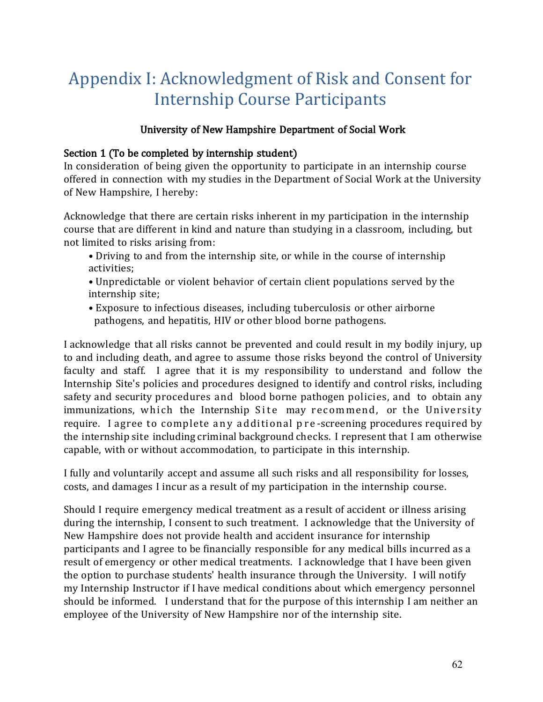# Appendix I: Acknowledgment of Risk and Consent for Internship Course Participants

# University of New Hampshire Department of Social Work

# Section 1 (To be completed by internship student)

In consideration of being given the opportunity to participate in an internship course offered in connection with my studies in the Department of Social Work at the University of New Hampshire, I hereby:

Acknowledge that there are certain risks inherent in my participation in the internship course that are different in kind and nature than studying in a classroom, including, but not limited to risks arising from:

- Driving to and from the internship site, or while in the course of internship activities;
- Unpredictable or violent behavior of certain client populations served by the internship site;
- Exposure to infectious diseases, including tuberculosis or other airborne pathogens, and hepatitis, HIV or other blood borne pathogens.

I acknowledge that all risks cannot be prevented and could result in my bodily injury, up to and including death, and agree to assume those risks beyond the control of University faculty and staff. I agree that it is my responsibility to understand and follow the Internship Site's policies and procedures designed to identify and control risks, including safety and security procedures and blood borne pathogen policies, and to obtain any immunizations, which the Internship Site may recommend, or the University require. I agree to complete any additional pre-screening procedures required by the internship site including criminal background checks. I represent that I am otherwise capable, with or without accommodation, to participate in this internship.

I fully and voluntarily accept and assume all such risks and all responsibility for losses, costs, and damages I incur as a result of my participation in the internship course.

Should I require emergency medical treatment as a result of accident or illness arising during the internship, I consent to such treatment. I acknowledge that the University of New Hampshire does not provide health and accident insurance for internship participants and I agree to be financially responsible for any medical bills incurred as a result of emergency or other medical treatments. I acknowledge that I have been given the option to purchase students' health insurance through the University. I will notify my Internship Instructor if I have medical conditions about which emergency personnel should be informed. I understand that for the purpose of this internship I am neither an employee of the University of New Hampshire nor of the internship site.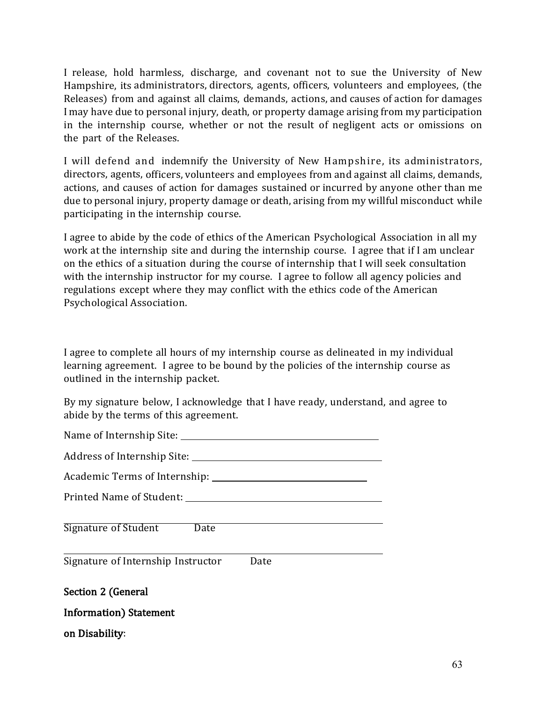I release, hold harmless, discharge, and covenant not to sue the University of New Hampshire, its administrators, directors, agents, officers, volunteers and employees, (the Releases) from and against all claims, demands, actions, and causes of action for damages I may have due to personal injury, death, or property damage arising from my participation in the internship course, whether or not the result of negligent acts or omissions on the part of the Releases.

I will defend and indemnify the University of New Hampshire, its administrators, directors, agents, officers, volunteers and employees from and against all claims, demands, actions, and causes of action for damages sustained or incurred by anyone other than me due to personal injury, property damage or death, arising from my willful misconduct while participating in the internship course.

I agree to abide by the code of ethics of the American Psychological Association in all my work at the internship site and during the internship course. I agree that if I am unclear on the ethics of a situation during the course of internship that I will seek consultation with the internship instructor for my course. I agree to follow all agency policies and regulations except where they may conflict with the ethics code of the American Psychological Association.

I agree to complete all hours of my internship course as delineated in my individual learning agreement. I agree to be bound by the policies of the internship course as outlined in the internship packet.

By my signature below, I acknowledge that I have ready, understand, and agree to abide by the terms of this agreement.

Name of Internship Site:

Address of Internship Site:

Academic Terms of Internship:

Printed Name of Student:

Signature of Student Date

Signature of Internship Instructor Date

Section 2 (General

Information) Statement

on Disability: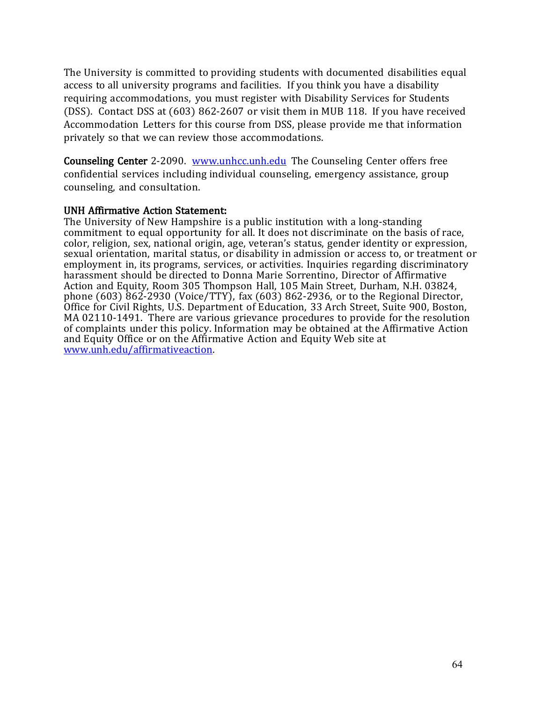The University is committed to providing students with documented disabilities equal access to all university programs and facilities. If you think you have a disability requiring accommodations, you must register with Disability Services for Students (DSS). Contact DSS at (603) 862-2607 or visit them in MUB 118. If you have received Accommodation Letters for this course from DSS, please provide me that information privately so that we can review those accommodations.

Counseling Center 2-2090. [www.unhcc.unh.edu](http://www.unhcc.unh.edu/) The Counseling Center offers free confidential services including individual counseling, emergency assistance, group counseling, and consultation.

#### UNH Affirmative Action Statement:

The University of New Hampshire is a public institution with a long-standing commitment to equal opportunity for all. It does not discriminate on the basis of race, color, religion, sex, national origin, age, veteran's status, gender identity or expression, sexual orientation, marital status, or disability in admission or access to, or treatment or employment in, its programs, services, or activities. Inquiries regarding discriminatory harassment should be directed to Donna Marie Sorrentino, Director of Affirmative Action and Equity, Room 305 Thompson Hall, 105 Main Street, Durham, N.H. 03824, phone (603) 862-2930 (Voice/TTY), fax (603) 862-2936, or to the Regional Director, Office for Civil Rights, U.S. Department of Education, 33 Arch Street, Suite 900, Boston, MA 02110-1491. There are various grievance procedures to provide for the resolution of complaints under this policy. Information may be obtained at the Affirmative Action and Equity Office or on the Affirmative Action and Equity Web site at [www.unh.edu/affirmativeaction.](http://www.unh.edu/affirmativeaction)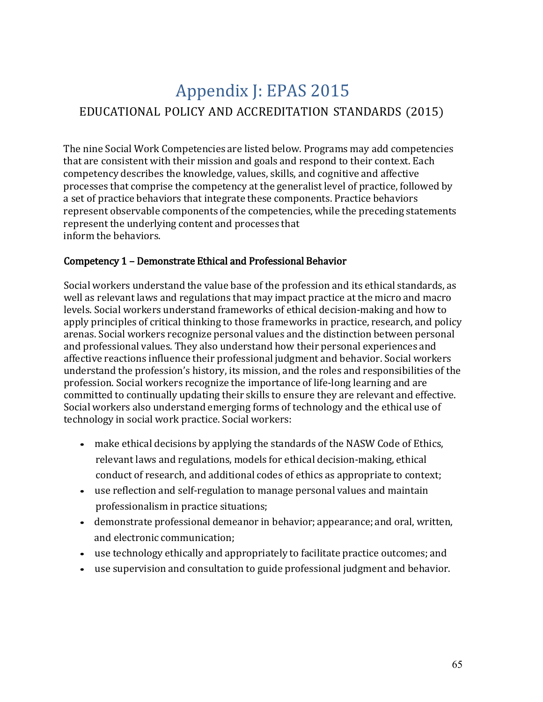# Appendix J: EPAS 2015 EDUCATIONAL POLICY AND ACCREDITATION STANDARDS (2015)

The nine Social Work Competencies are listed below. Programs may add competencies that are consistent with their mission and goals and respond to their context. Each competency describes the knowledge, values, skills, and cognitive and affective processes that comprise the competency at the generalist level of practice, followed by a set of practice behaviors that integrate these components. Practice behaviors represent observable components of the competencies, while the preceding statements represent the underlying content and processes that inform the behaviors.

# Competency 1 – Demonstrate Ethical and Professional Behavior

Social workers understand the value base of the profession and its ethical standards, as well as relevant laws and regulations that may impact practice at the micro and macro levels. Social workers understand frameworks of ethical decision-making and how to apply principles of critical thinking to those frameworks in practice, research, and policy arenas. Social workers recognize personal values and the distinction between personal and professional values. They also understand how their personal experiences and affective reactions influence their professional judgment and behavior. Social workers understand the profession's history, its mission, and the roles and responsibilities of the profession. Social workers recognize the importance of life-long learning and are committed to continually updating their skills to ensure they are relevant and effective. Social workers also understand emerging forms of technology and the ethical use of technology in social work practice. Social workers:

- make ethical decisions by applying the standards of the NASW Code of Ethics, relevant laws and regulations, models for ethical decision-making, ethical conduct of research, and additional codes of ethics as appropriate to context;
- use reflection and self-regulation to manage personal values and maintain professionalism in practice situations;
- demonstrate professional demeanor in behavior; appearance; and oral, written, and electronic communication;
- use technology ethically and appropriately to facilitate practice outcomes; and
- use supervision and consultation to guide professional judgment and behavior.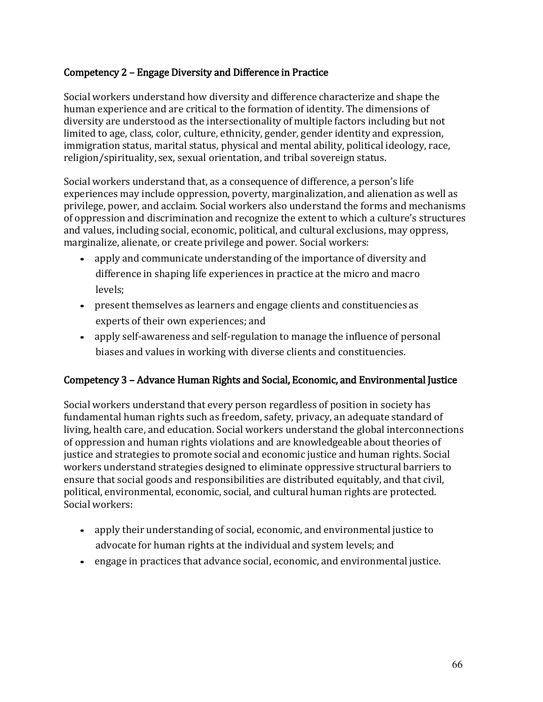### Competency 2 – Engage Diversity and Difference in Practice

Social workers understand how diversity and difference characterize and shape the human experience and are critical to the formation of identity. The dimensions of diversity are understood as the intersectionality of multiple factors including but not limited to age, class, color, culture, ethnicity, gender, gender identity and expression, immigration status, marital status, physical and mental ability, political ideology, race, religion/spirituality, sex, sexual orientation, and tribal sovereign status.

Social workers understand that, as a consequence of difference, a person's life experiences may include oppression, poverty, marginalization, and alienation as well as privilege, power, and acclaim. Social workers also understand the forms and mechanisms of oppression and discrimination and recognize the extent to which a culture's structures and values, including social, economic, political, and cultural exclusions, may oppress, marginalize, alienate, or create privilege and power. Social workers:

- apply and communicate understanding of the importance of diversity and difference in shaping life experiences in practice at the micro and macro levels;
- present themselves as learners and engage clients and constituencies as experts of their own experiences; and
- apply self-awareness and self-regulation to manage the influence of personal biases and values in working with diverse clients and constituencies.

## Competency 3 – Advance Human Rights and Social, Economic, and Environmental Justice

Social workers understand that every person regardless of position in society has fundamental human rights such as freedom, safety, privacy, an adequate standard of living, health care, and education. Social workers understand the global interconnections of oppression and human rights violations and are knowledgeable about theories of justice and strategies to promote social and economic justice and human rights. Social workers understand strategies designed to eliminate oppressive structural barriers to ensure that social goods and responsibilities are distributed equitably, and that civil, political, environmental, economic, social, and cultural human rights are protected. Social workers:

- apply their understanding of social, economic, and environmental justice to advocate for human rights at the individual and system levels; and
- engage in practices that advance social, economic, and environmental justice.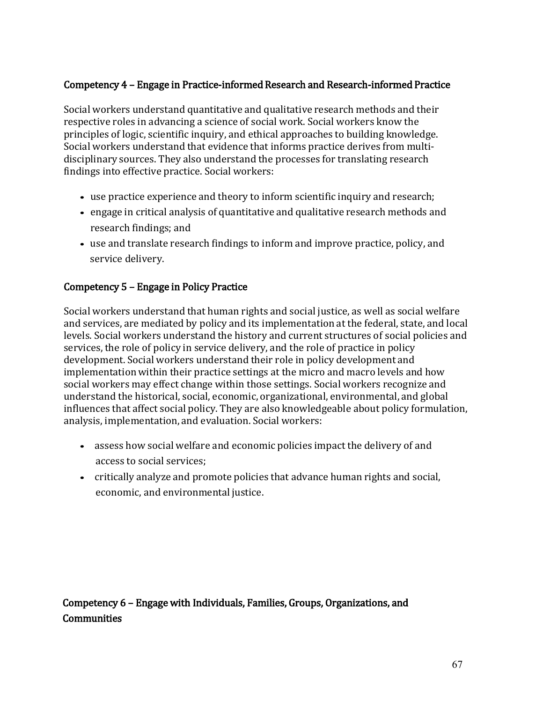# Competency 4 – Engage in Practice-informed Research and Research-informed Practice

Social workers understand quantitative and qualitative research methods and their respective roles in advancing a science of social work. Social workers know the principles of logic, scientific inquiry, and ethical approaches to building knowledge. Social workers understand that evidence that informs practice derives from multidisciplinary sources. They also understand the processes for translating research findings into effective practice. Social workers:

- use practice experience and theory to inform scientific inquiry and research;
- engage in critical analysis of quantitative and qualitative research methods and research findings; and
- use and translate research findings to inform and improve practice, policy, and service delivery.

# Competency 5 – Engage in Policy Practice

Social workers understand that human rights and social justice, as well as social welfare and services, are mediated by policy and its implementation at the federal, state, and local levels. Social workers understand the history and current structures of social policies and services, the role of policy in service delivery, and the role of practice in policy development. Social workers understand their role in policy development and implementation within their practice settings at the micro and macro levels and how social workers may effect change within those settings. Social workers recognize and understand the historical, social, economic, organizational, environmental, and global influences that affect social policy. They are also knowledgeable about policy formulation, analysis, implementation, and evaluation. Social workers:

- assess how social welfare and economic policies impact the delivery of and access to social services;
- critically analyze and promote policies that advance human rights and social, economic, and environmental justice.

Competency 6 – Engage with Individuals, Families, Groups, Organizations, and Communities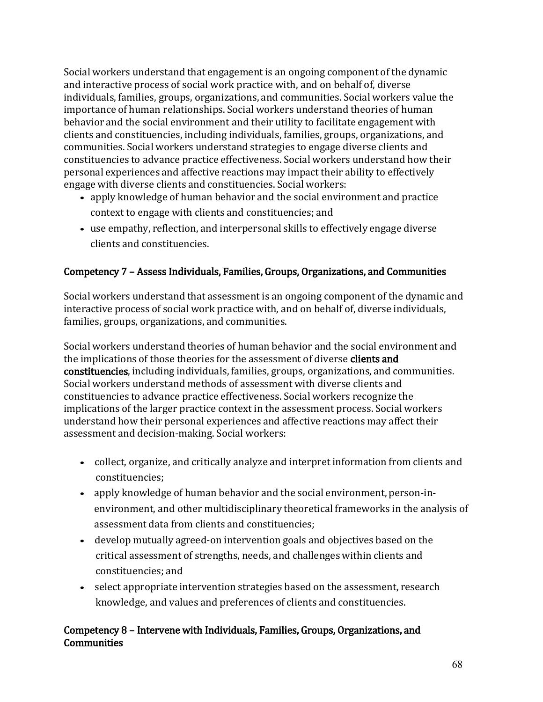Social workers understand that engagement is an ongoing component of the dynamic and interactive process of social work practice with, and on behalf of, diverse individuals, families, groups, organizations, and communities. Social workers value the importance of human relationships. Social workers understand theories of human behavior and the social environment and their utility to facilitate engagement with clients and constituencies, including individuals, families, groups, organizations, and communities. Social workers understand strategies to engage diverse clients and constituencies to advance practice effectiveness. Social workers understand how their personal experiences and affective reactions may impact their ability to effectively engage with diverse clients and constituencies. Social workers:

- apply knowledge of human behavior and the social environment and practice context to engage with clients and constituencies; and
- use empathy, reflection, and interpersonal skills to effectively engage diverse clients and constituencies.

## Competency 7 – Assess Individuals, Families, Groups, Organizations, and Communities

Social workers understand that assessment is an ongoing component of the dynamic and interactive process of social work practice with, and on behalf of, diverse individuals, families, groups, organizations, and communities.

Social workers understand theories of human behavior and the social environment and the implications of those theories for the assessment of diverse clients and constituencies, including individuals, families, groups, organizations, and communities. Social workers understand methods of assessment with diverse clients and constituencies to advance practice effectiveness. Social workers recognize the implications of the larger practice context in the assessment process. Social workers understand how their personal experiences and affective reactions may affect their assessment and decision-making. Social workers:

- collect, organize, and critically analyze and interpret information from clients and constituencies;
- apply knowledge of human behavior and the social environment, person-inenvironment, and other multidisciplinary theoretical frameworks in the analysis of assessment data from clients and constituencies;
- develop mutually agreed-on intervention goals and objectives based on the critical assessment of strengths, needs, and challenges within clients and constituencies; and
- select appropriate intervention strategies based on the assessment, research knowledge, and values and preferences of clients and constituencies.

## Competency 8 – Intervene with Individuals, Families, Groups, Organizations, and **Communities**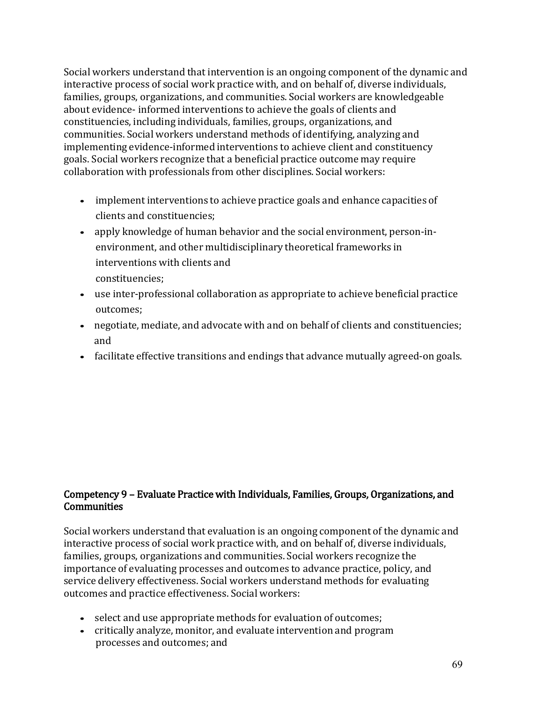Social workers understand that intervention is an ongoing component of the dynamic and interactive process of social work practice with, and on behalf of, diverse individuals, families, groups, organizations, and communities. Social workers are knowledgeable about evidence- informed interventions to achieve the goals of clients and constituencies, including individuals, families, groups, organizations, and communities. Social workers understand methods of identifying, analyzing and implementing evidence-informed interventions to achieve client and constituency goals. Social workers recognize that a beneficial practice outcome may require collaboration with professionals from other disciplines. Social workers:

- implement interventions to achieve practice goals and enhance capacities of clients and constituencies;
- apply knowledge of human behavior and the social environment, person-inenvironment, and other multidisciplinary theoretical frameworks in interventions with clients and constituencies;
- use inter-professional collaboration as appropriate to achieve beneficial practice outcomes;
- negotiate, mediate, and advocate with and on behalf of clients and constituencies; and
- facilitate effective transitions and endings that advance mutually agreed-on goals.

### Competency 9 – Evaluate Practice with Individuals, Families, Groups, Organizations, and **Communities**

Social workers understand that evaluation is an ongoing component of the dynamic and interactive process of social work practice with, and on behalf of, diverse individuals, families, groups, organizations and communities. Social workers recognize the importance of evaluating processes and outcomes to advance practice, policy, and service delivery effectiveness. Social workers understand methods for evaluating outcomes and practice effectiveness. Social workers:

- select and use appropriate methods for evaluation of outcomes;
- critically analyze, monitor, and evaluate intervention and program processes and outcomes; and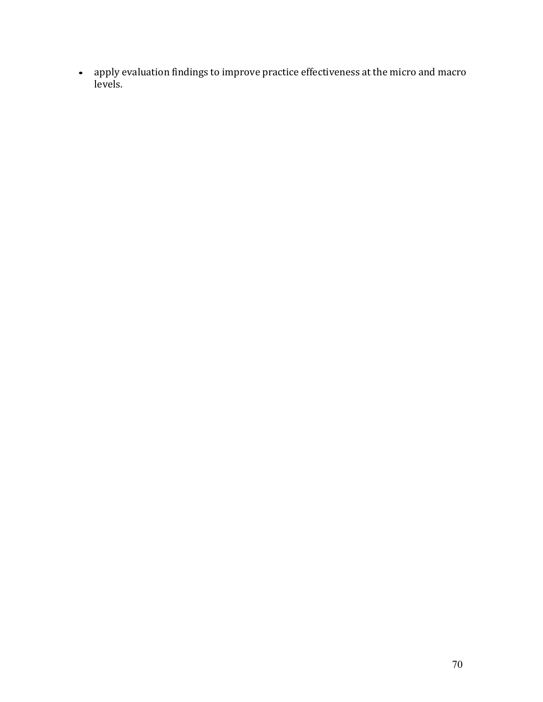• apply evaluation findings to improve practice effectiveness at the micro and macro levels.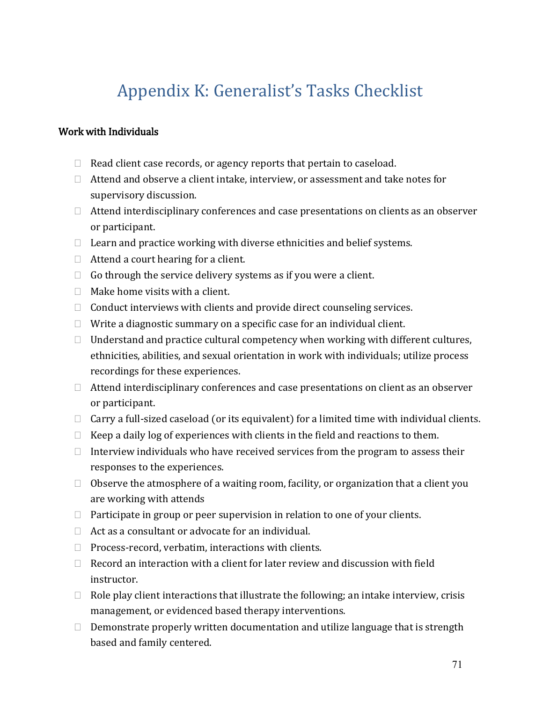# Appendix K: Generalist's Tasks Checklist

### Work with Individuals

- $\Box$  Read client case records, or agency reports that pertain to caseload.
- $\Box$  Attend and observe a client intake, interview, or assessment and take notes for supervisory discussion.
- $\Box$  Attend interdisciplinary conferences and case presentations on clients as an observer or participant.
- $\Box$  Learn and practice working with diverse ethnicities and belief systems.
- $\Box$  Attend a court hearing for a client.
- $\Box$  Go through the service delivery systems as if you were a client.
- $\Box$  Make home visits with a client.
- $\Box$  Conduct interviews with clients and provide direct counseling services.
- $\Box$  Write a diagnostic summary on a specific case for an individual client.
- $\Box$  Understand and practice cultural competency when working with different cultures, ethnicities, abilities, and sexual orientation in work with individuals; utilize process recordings for these experiences.
- $\Box$  Attend interdisciplinary conferences and case presentations on client as an observer or participant.
- $\Box$  Carry a full-sized caseload (or its equivalent) for a limited time with individual clients.
- $\Box$  Keep a daily log of experiences with clients in the field and reactions to them.
- $\Box$  Interview individuals who have received services from the program to assess their responses to the experiences.
- $\Box$  Observe the atmosphere of a waiting room, facility, or organization that a client you are working with attends
- $\Box$  Participate in group or peer supervision in relation to one of your clients.
- $\Box$  Act as a consultant or advocate for an individual.
- $\Box$  Process-record, verbatim, interactions with clients.
- $\Box$  Record an interaction with a client for later review and discussion with field instructor.
- $\Box$  Role play client interactions that illustrate the following; an intake interview, crisis management, or evidenced based therapy interventions.
- $\Box$  Demonstrate properly written documentation and utilize language that is strength based and family centered.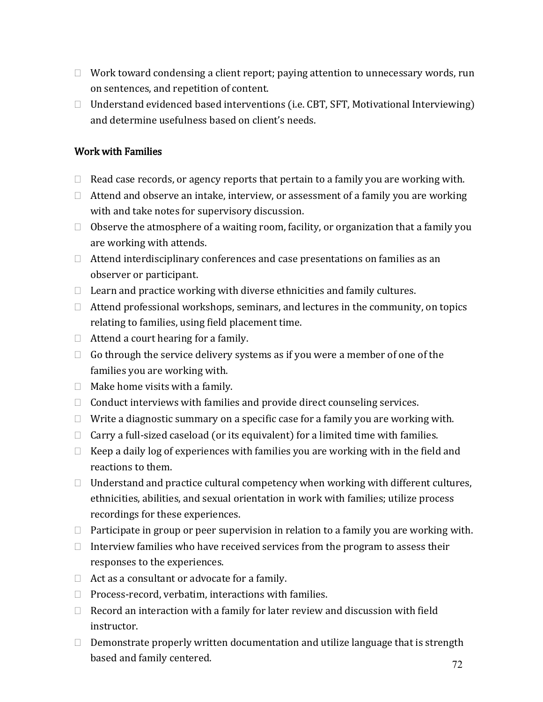- $\Box$  Work toward condensing a client report; paying attention to unnecessary words, run on sentences, and repetition of content.
- $\Box$  Understand evidenced based interventions (i.e. CBT, SFT, Motivational Interviewing) and determine usefulness based on client's needs.

### Work with Families

- $\Box$  Read case records, or agency reports that pertain to a family you are working with.
- $\Box$  Attend and observe an intake, interview, or assessment of a family you are working with and take notes for supervisory discussion.
- $\Box$  Observe the atmosphere of a waiting room, facility, or organization that a family you are working with attends.
- $\Box$  Attend interdisciplinary conferences and case presentations on families as an observer or participant.
- $\Box$  Learn and practice working with diverse ethnicities and family cultures.
- $\Box$  Attend professional workshops, seminars, and lectures in the community, on topics relating to families, using field placement time.
- $\Box$  Attend a court hearing for a family.
- $\Box$  Go through the service delivery systems as if you were a member of one of the families you are working with.
- $\Box$  Make home visits with a family.
- $\Box$  Conduct interviews with families and provide direct counseling services.
- $\Box$  Write a diagnostic summary on a specific case for a family you are working with.
- $\Box$  Carry a full-sized caseload (or its equivalent) for a limited time with families.
- $\Box$  Keep a daily log of experiences with families you are working with in the field and reactions to them.
- $\Box$  Understand and practice cultural competency when working with different cultures, ethnicities, abilities, and sexual orientation in work with families; utilize process recordings for these experiences.
- $\Box$  Participate in group or peer supervision in relation to a family you are working with.
- $\Box$  Interview families who have received services from the program to assess their responses to the experiences.
- $\Box$  Act as a consultant or advocate for a family.
- $\Box$  Process-record, verbatim, interactions with families.
- $\Box$  Record an interaction with a family for later review and discussion with field instructor.
- $\Box$  Demonstrate properly written documentation and utilize language that is strength based and family centered.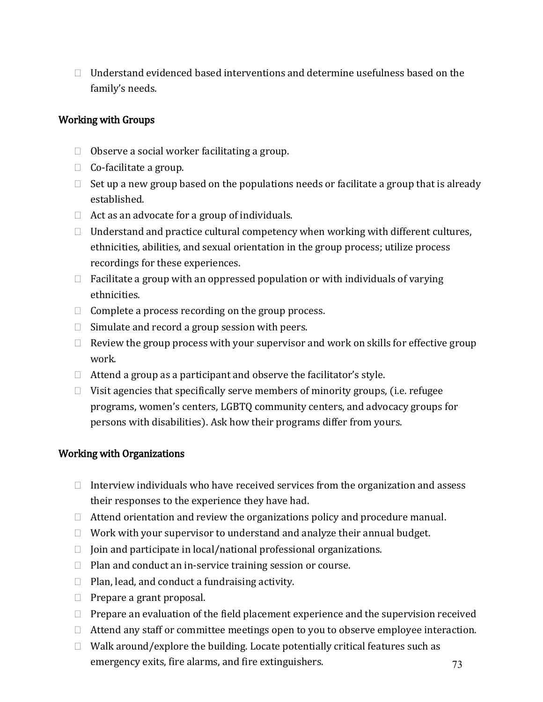$\Box$  Understand evidenced based interventions and determine usefulness based on the family's needs.

#### Working with Groups

- $\Box$  Observe a social worker facilitating a group.
- $\Box$  Co-facilitate a group.
- $\Box$  Set up a new group based on the populations needs or facilitate a group that is already established.
- $\Box$  Act as an advocate for a group of individuals.
- $\Box$  Understand and practice cultural competency when working with different cultures, ethnicities, abilities, and sexual orientation in the group process; utilize process recordings for these experiences.
- $\Box$  Facilitate a group with an oppressed population or with individuals of varying ethnicities.
- $\Box$  Complete a process recording on the group process.
- $\Box$  Simulate and record a group session with peers.
- $\Box$  Review the group process with your supervisor and work on skills for effective group work.
- $\Box$  Attend a group as a participant and observe the facilitator's style.
- $\Box$  Visit agencies that specifically serve members of minority groups, (i.e. refugee programs, women's centers, LGBTQ community centers, and advocacy groups for persons with disabilities). Ask how their programs differ from yours.

#### Working with Organizations

- $\Box$  Interview individuals who have received services from the organization and assess their responses to the experience they have had.
- $\Box$  Attend orientation and review the organizations policy and procedure manual.
- $\Box$  Work with your supervisor to understand and analyze their annual budget.
- $\Box$  Join and participate in local/national professional organizations.
- $\Box$  Plan and conduct an in-service training session or course.
- $\Box$  Plan, lead, and conduct a fundraising activity.
- $\Box$  Prepare a grant proposal.
- $\Box$  Prepare an evaluation of the field placement experience and the supervision received
- $\Box$  Attend any staff or committee meetings open to you to observe employee interaction.
- $\Box$  Walk around/explore the building. Locate potentially critical features such as emergency exits, fire alarms, and fire extinguishers.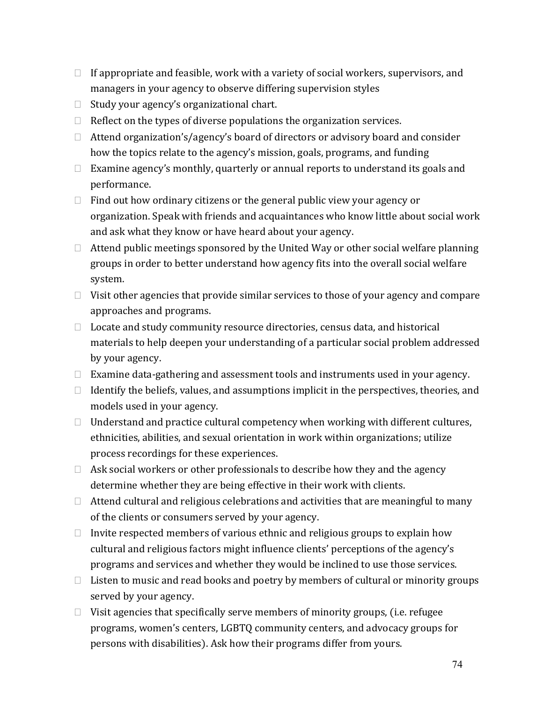- $\Box$  If appropriate and feasible, work with a variety of social workers, supervisors, and managers in your agency to observe differing supervision styles
- $\Box$  Study your agency's organizational chart.
- $\Box$  Reflect on the types of diverse populations the organization services.
- $\Box$  Attend organization's/agency's board of directors or advisory board and consider how the topics relate to the agency's mission, goals, programs, and funding
- $\Box$  Examine agency's monthly, quarterly or annual reports to understand its goals and performance.
- $\Box$  Find out how ordinary citizens or the general public view your agency or organization. Speak with friends and acquaintances who know little about social work and ask what they know or have heard about your agency.
- $\Box$  Attend public meetings sponsored by the United Way or other social welfare planning groups in order to better understand how agency fits into the overall social welfare system.
- $\Box$  Visit other agencies that provide similar services to those of your agency and compare approaches and programs.
- $\Box$  Locate and study community resource directories, census data, and historical materials to help deepen your understanding of a particular social problem addressed by your agency.
- $\Box$  Examine data-gathering and assessment tools and instruments used in your agency.
- $\Box$  Identify the beliefs, values, and assumptions implicit in the perspectives, theories, and models used in your agency.
- $\Box$  Understand and practice cultural competency when working with different cultures, ethnicities, abilities, and sexual orientation in work within organizations; utilize process recordings for these experiences.
- $\Box$  Ask social workers or other professionals to describe how they and the agency determine whether they are being effective in their work with clients.
- $\Box$  Attend cultural and religious celebrations and activities that are meaningful to many of the clients or consumers served by your agency.
- $\Box$  Invite respected members of various ethnic and religious groups to explain how cultural and religious factors might influence clients' perceptions of the agency's programs and services and whether they would be inclined to use those services.
- $\Box$  Listen to music and read books and poetry by members of cultural or minority groups served by your agency.
- $\Box$  Visit agencies that specifically serve members of minority groups, (i.e. refugee programs, women's centers, LGBTQ community centers, and advocacy groups for persons with disabilities). Ask how their programs differ from yours.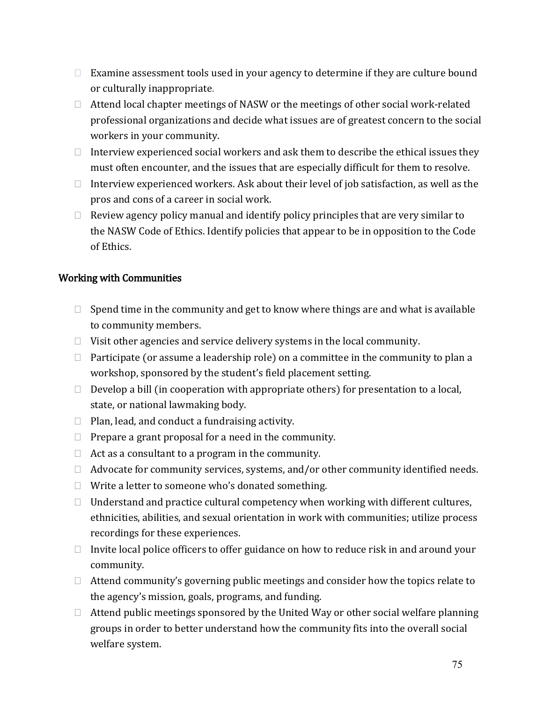- $\Box$  Examine assessment tools used in your agency to determine if they are culture bound or culturally inappropriate.
- $\Box$  Attend local chapter meetings of NASW or the meetings of other social work-related professional organizations and decide what issues are of greatest concern to the social workers in your community.
- $\Box$  Interview experienced social workers and ask them to describe the ethical issues they must often encounter, and the issues that are especially difficult for them to resolve.
- $\Box$  Interview experienced workers. Ask about their level of job satisfaction, as well as the pros and cons of a career in social work.
- $\Box$  Review agency policy manual and identify policy principles that are very similar to the NASW Code of Ethics. Identify policies that appear to be in opposition to the Code of Ethics.

### Working with Communities

- $\Box$  Spend time in the community and get to know where things are and what is available to community members.
- $\Box$  Visit other agencies and service delivery systems in the local community.
- $\Box$  Participate (or assume a leadership role) on a committee in the community to plan a workshop, sponsored by the student's field placement setting.
- $\Box$  Develop a bill (in cooperation with appropriate others) for presentation to a local, state, or national lawmaking body.
- $\Box$  Plan, lead, and conduct a fundraising activity.
- $\Box$  Prepare a grant proposal for a need in the community.
- $\Box$  Act as a consultant to a program in the community.
- $\Box$  Advocate for community services, systems, and/or other community identified needs.
- $\Box$  Write a letter to someone who's donated something.
- $\Box$  Understand and practice cultural competency when working with different cultures, ethnicities, abilities, and sexual orientation in work with communities; utilize process recordings for these experiences.
- $\Box$  Invite local police officers to offer guidance on how to reduce risk in and around your community.
- $\Box$  Attend community's governing public meetings and consider how the topics relate to the agency's mission, goals, programs, and funding.
- $\Box$  Attend public meetings sponsored by the United Way or other social welfare planning groups in order to better understand how the community fits into the overall social welfare system.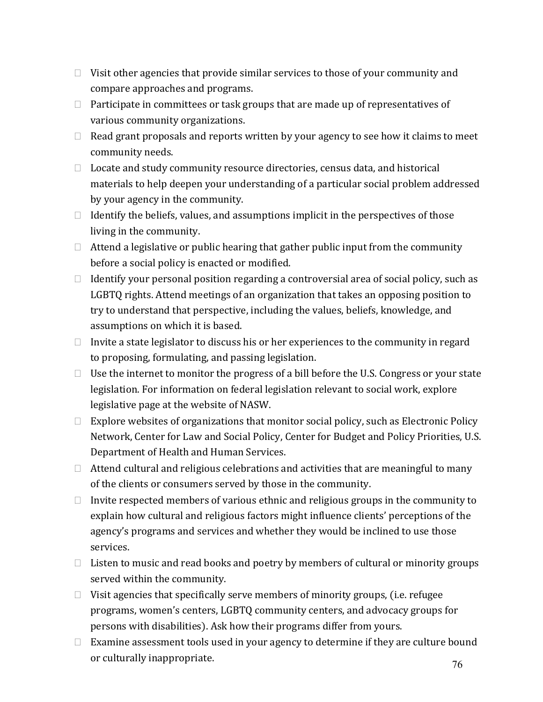- $\Box$  Visit other agencies that provide similar services to those of your community and compare approaches and programs.
- $\Box$  Participate in committees or task groups that are made up of representatives of various community organizations.
- $\Box$  Read grant proposals and reports written by your agency to see how it claims to meet community needs.
- $\Box$  Locate and study community resource directories, census data, and historical materials to help deepen your understanding of a particular social problem addressed by your agency in the community.
- $\Box$  Identify the beliefs, values, and assumptions implicit in the perspectives of those living in the community.
- $\Box$  Attend a legislative or public hearing that gather public input from the community before a social policy is enacted or modified.
- $\Box$  Identify your personal position regarding a controversial area of social policy, such as LGBTQ rights. Attend meetings of an organization that takes an opposing position to try to understand that perspective, including the values, beliefs, knowledge, and assumptions on which it is based.
- $\Box$  Invite a state legislator to discuss his or her experiences to the community in regard to proposing, formulating, and passing legislation.
- $\Box$  Use the internet to monitor the progress of a bill before the U.S. Congress or your state legislation. For information on federal legislation relevant to social work, explore legislative page at the website of NASW.
- $\Box$  Explore websites of organizations that monitor social policy, such as Electronic Policy Network, Center for Law and Social Policy, Center for Budget and Policy Priorities, U.S. Department of Health and Human Services.
- $\Box$  Attend cultural and religious celebrations and activities that are meaningful to many of the clients or consumers served by those in the community.
- $\Box$  Invite respected members of various ethnic and religious groups in the community to explain how cultural and religious factors might influence clients' perceptions of the agency's programs and services and whether they would be inclined to use those services.
- $\Box$  Listen to music and read books and poetry by members of cultural or minority groups served within the community.
- $\Box$  Visit agencies that specifically serve members of minority groups, (i.e. refugee programs, women's centers, LGBTQ community centers, and advocacy groups for persons with disabilities). Ask how their programs differ from yours.
- $\Box$  Examine assessment tools used in your agency to determine if they are culture bound or culturally inappropriate.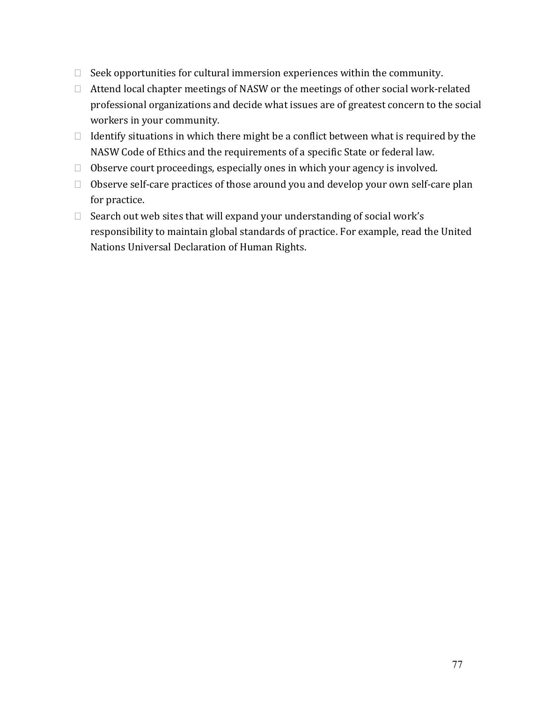- $\Box$  Seek opportunities for cultural immersion experiences within the community.
- $\Box$  Attend local chapter meetings of NASW or the meetings of other social work-related professional organizations and decide what issues are of greatest concern to the social workers in your community.
- $\Box$  Identify situations in which there might be a conflict between what is required by the NASW Code of Ethics and the requirements of a specific State or federal law.
- $\Box$  Observe court proceedings, especially ones in which your agency is involved.
- $\Box$  Observe self-care practices of those around you and develop your own self-care plan for practice.
- $\Box$  Search out web sites that will expand your understanding of social work's responsibility to maintain global standards of practice. For example, read the United Nations Universal Declaration of Human Rights.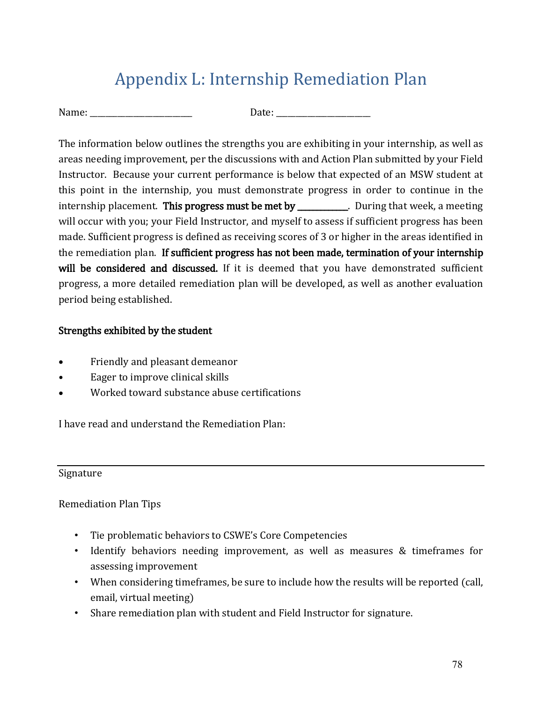# Appendix L: Internship Remediation Plan

| Name: |
|-------|
|       |

Date:

The information below outlines the strengths you are exhibiting in your internship, as well as areas needing improvement, per the discussions with and Action Plan submitted by your Field Instructor. Because your current performance is below that expected of an MSW student at this point in the internship, you must demonstrate progress in order to continue in the internship placement. This progress must be met by \_\_\_\_\_\_\_\_\_\_. During that week, a meeting will occur with you; your Field Instructor, and myself to assess if sufficient progress has been made. Sufficient progress is defined as receiving scores of 3 or higher in the areas identified in the remediation plan. If sufficient progress has not been made, termination of your internship will be considered and discussed. If it is deemed that you have demonstrated sufficient progress, a more detailed remediation plan will be developed, as well as another evaluation period being established.

## Strengths exhibited by the student

- Friendly and pleasant demeanor
- Eager to improve clinical skills
- Worked toward substance abuse certifications

I have read and understand the Remediation Plan:

### Signature

Remediation Plan Tips

- Tie problematic behaviors to CSWE's Core Competencies
- Identify behaviors needing improvement, as well as measures & timeframes for assessing improvement
- When considering timeframes, be sure to include how the results will be reported (call, email, virtual meeting)
- Share remediation plan with student and Field Instructor for signature.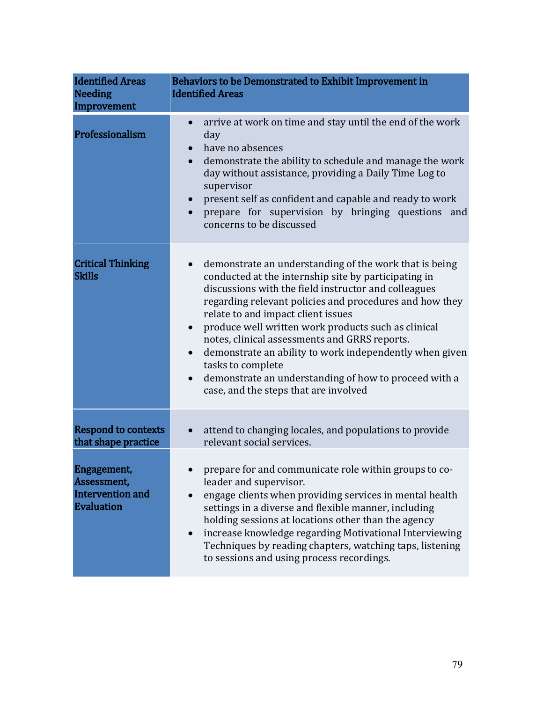| <b>Identified Areas</b><br><b>Needing</b><br>Improvement                   | Behaviors to be Demonstrated to Exhibit Improvement in<br><b>Identified Areas</b>                                                                                                                                                                                                                                                                                                                                                                                                                                                                                                                        |  |  |  |
|----------------------------------------------------------------------------|----------------------------------------------------------------------------------------------------------------------------------------------------------------------------------------------------------------------------------------------------------------------------------------------------------------------------------------------------------------------------------------------------------------------------------------------------------------------------------------------------------------------------------------------------------------------------------------------------------|--|--|--|
| Professionalism                                                            | arrive at work on time and stay until the end of the work<br>$\bullet$<br>day<br>have no absences<br>demonstrate the ability to schedule and manage the work<br>$\bullet$<br>day without assistance, providing a Daily Time Log to<br>supervisor<br>present self as confident and capable and ready to work<br>$\bullet$<br>prepare for supervision by bringing questions and<br>concerns to be discussed                                                                                                                                                                                                |  |  |  |
| <b>Critical Thinking</b><br><b>Skills</b>                                  | demonstrate an understanding of the work that is being<br>conducted at the internship site by participating in<br>discussions with the field instructor and colleagues<br>regarding relevant policies and procedures and how they<br>relate to and impact client issues<br>produce well written work products such as clinical<br>$\bullet$<br>notes, clinical assessments and GRRS reports.<br>demonstrate an ability to work independently when given<br>$\bullet$<br>tasks to complete<br>demonstrate an understanding of how to proceed with a<br>$\bullet$<br>case, and the steps that are involved |  |  |  |
| <b>Respond to contexts</b><br>that shape practice                          | attend to changing locales, and populations to provide<br>relevant social services.                                                                                                                                                                                                                                                                                                                                                                                                                                                                                                                      |  |  |  |
| <b>Engagement,</b><br>Assessment,<br>Intervention and<br><b>Evaluation</b> | prepare for and communicate role within groups to co-<br>leader and supervisor.<br>engage clients when providing services in mental health<br>settings in a diverse and flexible manner, including<br>holding sessions at locations other than the agency<br>increase knowledge regarding Motivational Interviewing<br>Techniques by reading chapters, watching taps, listening<br>to sessions and using process recordings.                                                                                                                                                                             |  |  |  |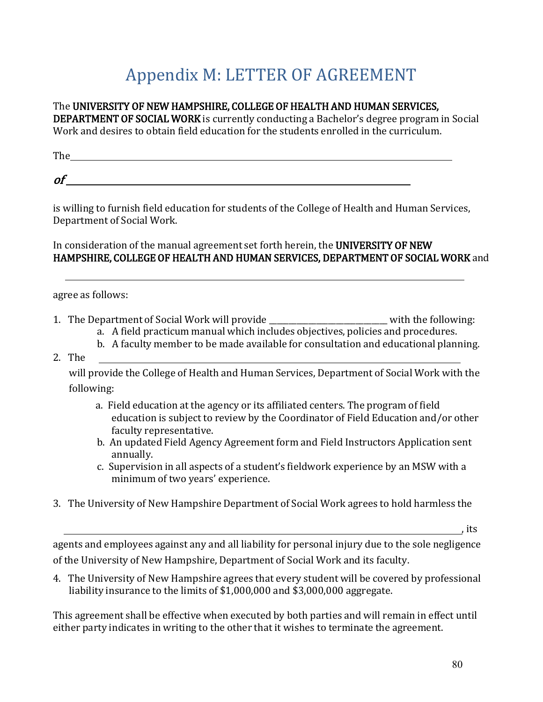# Appendix M: LETTER OF AGREEMENT

### The UNIVERSITY OF NEW HAMPSHIRE, COLLEGE OF HEALTH AND HUMAN SERVICES,

DEPARTMENT OF SOCIAL WORK is currently conducting a Bachelor's degree program in Social Work and desires to obtain field education for the students enrolled in the curriculum.

| Tha<br>1 IIV |  |  |  |
|--------------|--|--|--|
|              |  |  |  |
| 01           |  |  |  |

is willing to furnish field education for students of the College of Health and Human Services, Department of Social Work.

## In consideration of the manual agreement set forth herein, the UNIVERSITY OF NEW HAMPSHIRE, COLLEGE OF HEALTH AND HUMAN SERVICES, DEPARTMENT OF SOCIAL WORK and

agree as follows:

- 1. The Department of Social Work will provide \_\_\_\_\_\_\_\_\_\_\_\_\_\_\_\_\_\_\_\_\_\_\_\_\_\_ with the following:
	- a. A field practicum manual which includes objectives, policies and procedures.
	- b. A faculty member to be made available for consultation and educational planning.
- 2. The

will provide the College of Health and Human Services, Department of Social Work with the following:

- a. Field education at the agency or its affiliated centers. The program of field education is subject to review by the Coordinator of Field Education and/or other faculty representative.
- b. An updated Field Agency Agreement form and Field Instructors Application sent annually.
- c. Supervision in all aspects of a student's fieldwork experience by an MSW with a minimum of two years' experience.
- 3. The University of New Hampshire Department of Social Work agrees to hold harmless the

, its

agents and employees against any and all liability for personal injury due to the sole negligence of the University of New Hampshire, Department of Social Work and its faculty.

4. The University of New Hampshire agrees that every student will be covered by professional liability insurance to the limits of \$1,000,000 and \$3,000,000 aggregate.

This agreement shall be effective when executed by both parties and will remain in effect until either party indicates in writing to the other that it wishes to terminate the agreement.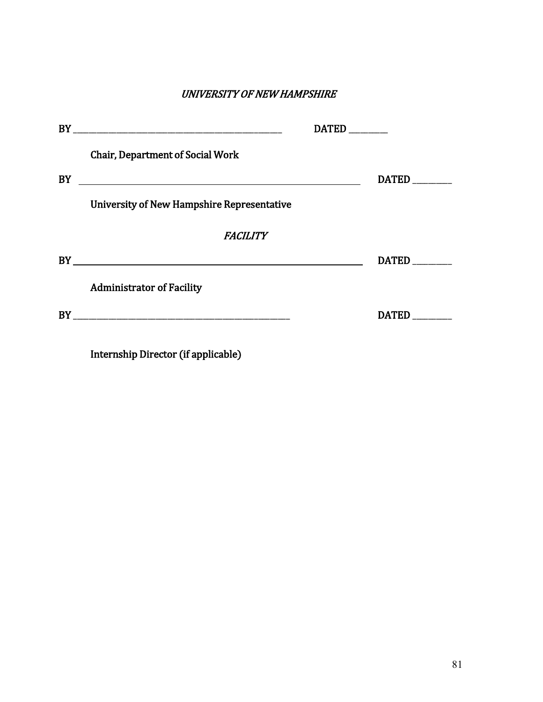#### UNIVERSITY OF NEW HAMPSHIRE

|    | <b>Chair, Department of Social Work</b>                                                                          |              |
|----|------------------------------------------------------------------------------------------------------------------|--------------|
| BY | and the control of the control of the control of the control of the control of the control of the control of the | <b>DATED</b> |
|    | <b>University of New Hampshire Representative</b>                                                                |              |
|    | <i>FACILITY</i>                                                                                                  |              |
|    |                                                                                                                  | <b>DATED</b> |
|    | <b>Administrator of Facility</b>                                                                                 |              |
|    |                                                                                                                  | <b>DATED</b> |
|    |                                                                                                                  |              |

Internship Director (if applicable)